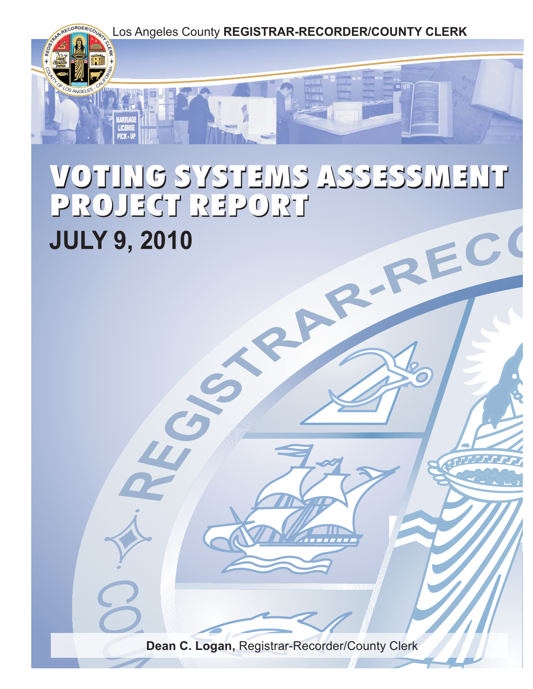

# VOTING SYSTEMS ASSESSMENT VOTING SYSTEMS ASSESSMENT PROJECT REPORT PROJECT REPORT **JULY 9, 2010** RE

**Dean C. Logan,** Registrar-Recorder/County Clerk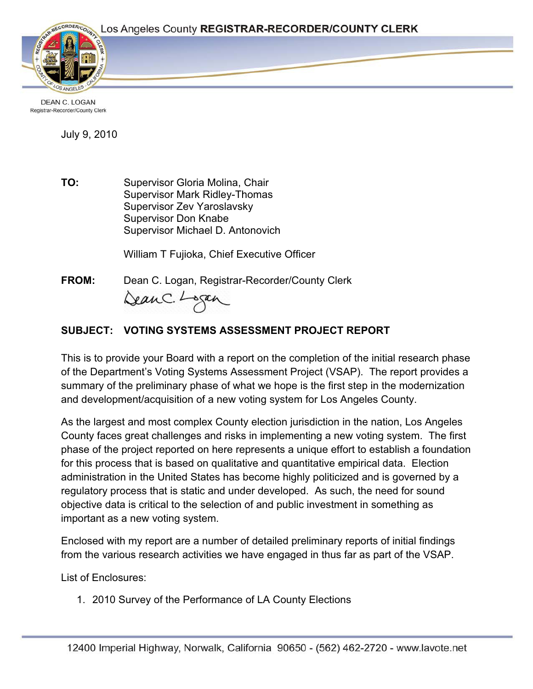

**DEAN C. LOGAN** Registrar-Recorder/County Clerk

July 9, 2010

**TO:** Supervisor Gloria Molina, Chair Supervisor Mark Ridley-Thomas Supervisor Zev Yaroslavsky Supervisor Don Knabe Supervisor Michael D. Antonovich

William T Fujioka, Chief Executive Officer

**FROM:** Dean C. Logan, Registrar-Recorder/County Clerk DeanC. Logan

# **SUBJECT: VOTING SYSTEMS ASSESSMENT PROJECT REPORT**

This is to provide your Board with a report on the completion of the initial research phase of the Department's Voting Systems Assessment Project (VSAP). The report provides a summary of the preliminary phase of what we hope is the first step in the modernization and development/acquisition of a new voting system for Los Angeles County.

As the largest and most complex County election jurisdiction in the nation, Los Angeles County faces great challenges and risks in implementing a new voting system. The first phase of the project reported on here represents a unique effort to establish a foundation for this process that is based on qualitative and quantitative empirical data. Election administration in the United States has become highly politicized and is governed by a regulatory process that is static and under developed. As such, the need for sound objective data is critical to the selection of and public investment in something as important as a new voting system.

Enclosed with my report are a number of detailed preliminary reports of initial findings from the various research activities we have engaged in thus far as part of the VSAP.

List of Enclosures:

1. 2010 Survey of the Performance of LA County Elections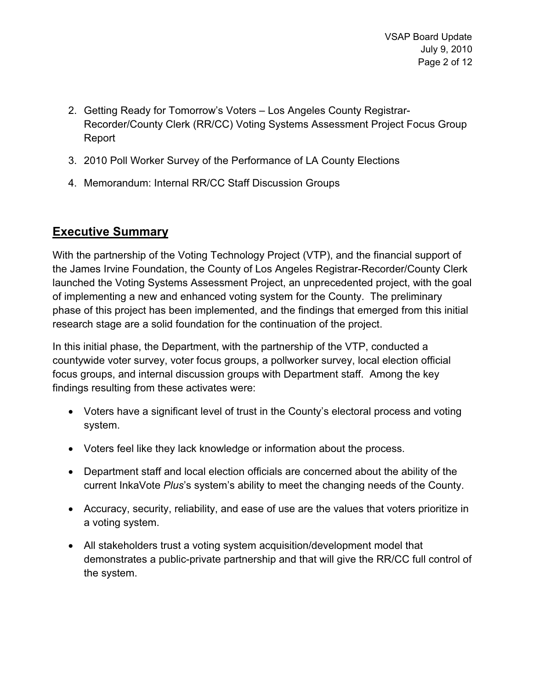- 2. Getting Ready for Tomorrow's Voters Los Angeles County Registrar-Recorder/County Clerk (RR/CC) Voting Systems Assessment Project Focus Group Report
- 3. 2010 Poll Worker Survey of the Performance of LA County Elections
- 4. Memorandum: Internal RR/CC Staff Discussion Groups

# **Executive Summary**

With the partnership of the Voting Technology Project (VTP), and the financial support of the James Irvine Foundation, the County of Los Angeles Registrar-Recorder/County Clerk launched the Voting Systems Assessment Project, an unprecedented project, with the goal of implementing a new and enhanced voting system for the County. The preliminary phase of this project has been implemented, and the findings that emerged from this initial research stage are a solid foundation for the continuation of the project.

In this initial phase, the Department, with the partnership of the VTP, conducted a countywide voter survey, voter focus groups, a pollworker survey, local election official focus groups, and internal discussion groups with Department staff. Among the key findings resulting from these activates were:

- Voters have a significant level of trust in the County's electoral process and voting system.
- Voters feel like they lack knowledge or information about the process.
- Department staff and local election officials are concerned about the ability of the current InkaVote *Plus*'s system's ability to meet the changing needs of the County.
- Accuracy, security, reliability, and ease of use are the values that voters prioritize in a voting system.
- All stakeholders trust a voting system acquisition/development model that demonstrates a public-private partnership and that will give the RR/CC full control of the system.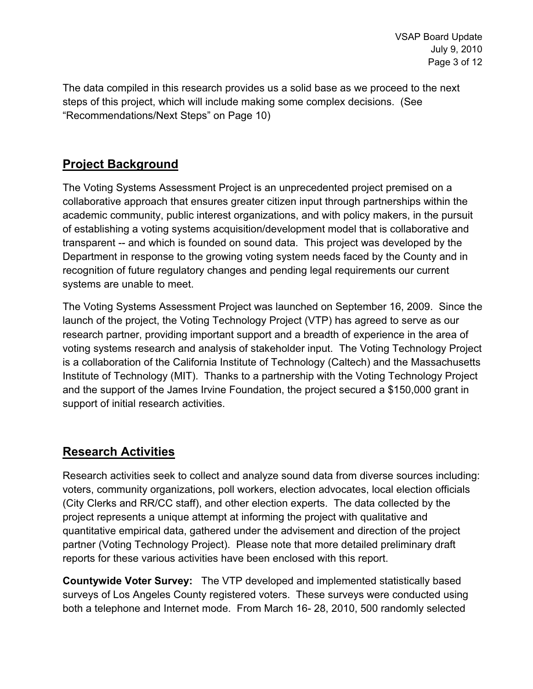The data compiled in this research provides us a solid base as we proceed to the next steps of this project, which will include making some complex decisions. (See "Recommendations/Next Steps" on Page 10)

# **Project Background**

The Voting Systems Assessment Project is an unprecedented project premised on a collaborative approach that ensures greater citizen input through partnerships within the academic community, public interest organizations, and with policy makers, in the pursuit of establishing a voting systems acquisition/development model that is collaborative and transparent -- and which is founded on sound data. This project was developed by the Department in response to the growing voting system needs faced by the County and in recognition of future regulatory changes and pending legal requirements our current systems are unable to meet.

The Voting Systems Assessment Project was launched on September 16, 2009. Since the launch of the project, the Voting Technology Project (VTP) has agreed to serve as our research partner, providing important support and a breadth of experience in the area of voting systems research and analysis of stakeholder input. The Voting Technology Project is a collaboration of the California Institute of Technology (Caltech) and the Massachusetts Institute of Technology (MIT). Thanks to a partnership with the Voting Technology Project and the support of the James Irvine Foundation, the project secured a \$150,000 grant in support of initial research activities.

# **Research Activities**

Research activities seek to collect and analyze sound data from diverse sources including: voters, community organizations, poll workers, election advocates, local election officials (City Clerks and RR/CC staff), and other election experts. The data collected by the project represents a unique attempt at informing the project with qualitative and quantitative empirical data, gathered under the advisement and direction of the project partner (Voting Technology Project). Please note that more detailed preliminary draft reports for these various activities have been enclosed with this report.

**Countywide Voter Survey:** The VTP developed and implemented statistically based surveys of Los Angeles County registered voters. These surveys were conducted using both a telephone and Internet mode. From March 16- 28, 2010, 500 randomly selected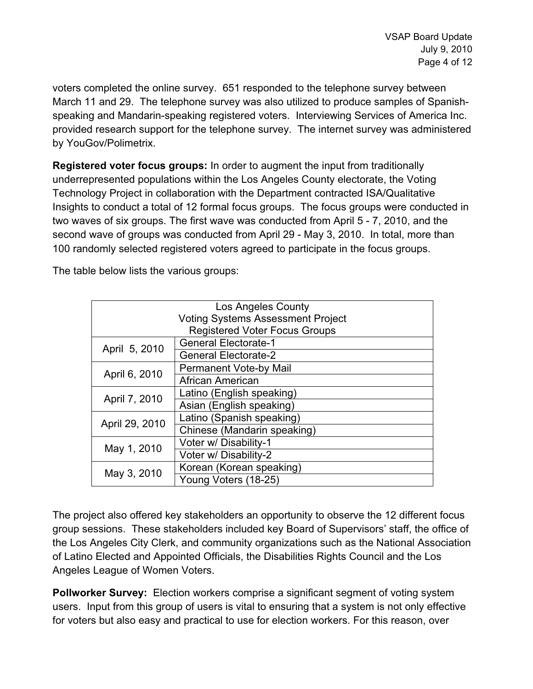voters completed the online survey. 651 responded to the telephone survey between March 11 and 29. The telephone survey was also utilized to produce samples of Spanishspeaking and Mandarin-speaking registered voters. Interviewing Services of America Inc. provided research support for the telephone survey. The internet survey was administered by YouGov/Polimetrix.

**Registered voter focus groups:** In order to augment the input from traditionally underrepresented populations within the Los Angeles County electorate, the Voting Technology Project in collaboration with the Department contracted ISA/Qualitative Insights to conduct a total of 12 formal focus groups. The focus groups were conducted in two waves of six groups. The first wave was conducted from April 5 - 7, 2010, and the second wave of groups was conducted from April 29 - May 3, 2010. In total, more than 100 randomly selected registered voters agreed to participate in the focus groups.

The table below lists the various groups:

|                                          | Los Angeles County                   |  |  |  |  |
|------------------------------------------|--------------------------------------|--|--|--|--|
| <b>Voting Systems Assessment Project</b> |                                      |  |  |  |  |
|                                          | <b>Registered Voter Focus Groups</b> |  |  |  |  |
| April 5, 2010                            | <b>General Electorate-1</b>          |  |  |  |  |
|                                          | <b>General Electorate-2</b>          |  |  |  |  |
|                                          | <b>Permanent Vote-by Mail</b>        |  |  |  |  |
| April 6, 2010                            | African American                     |  |  |  |  |
|                                          | Latino (English speaking)            |  |  |  |  |
| April 7, 2010                            | Asian (English speaking)             |  |  |  |  |
|                                          | Latino (Spanish speaking)            |  |  |  |  |
| April 29, 2010                           | Chinese (Mandarin speaking)          |  |  |  |  |
|                                          | Voter w/ Disability-1                |  |  |  |  |
| May 1, 2010                              | Voter w/ Disability-2                |  |  |  |  |
|                                          | Korean (Korean speaking)             |  |  |  |  |
| May 3, 2010                              | Young Voters (18-25)                 |  |  |  |  |

The project also offered key stakeholders an opportunity to observe the 12 different focus group sessions. These stakeholders included key Board of Supervisors' staff, the office of the Los Angeles City Clerk, and community organizations such as the National Association of Latino Elected and Appointed Officials, the Disabilities Rights Council and the Los Angeles League of Women Voters.

**Pollworker Survey:** Election workers comprise a significant segment of voting system users. Input from this group of users is vital to ensuring that a system is not only effective for voters but also easy and practical to use for election workers. For this reason, over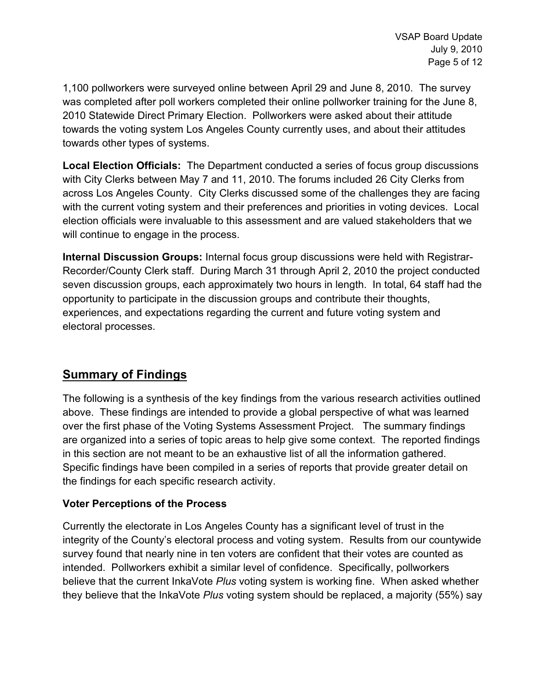1,100 pollworkers were surveyed online between April 29 and June 8, 2010. The survey was completed after poll workers completed their online pollworker training for the June 8, 2010 Statewide Direct Primary Election. Pollworkers were asked about their attitude towards the voting system Los Angeles County currently uses, and about their attitudes towards other types of systems.

**Local Election Officials:** The Department conducted a series of focus group discussions with City Clerks between May 7 and 11, 2010. The forums included 26 City Clerks from across Los Angeles County. City Clerks discussed some of the challenges they are facing with the current voting system and their preferences and priorities in voting devices. Local election officials were invaluable to this assessment and are valued stakeholders that we will continue to engage in the process.

**Internal Discussion Groups:** Internal focus group discussions were held with Registrar-Recorder/County Clerk staff. During March 31 through April 2, 2010 the project conducted seven discussion groups, each approximately two hours in length. In total, 64 staff had the opportunity to participate in the discussion groups and contribute their thoughts, experiences, and expectations regarding the current and future voting system and electoral processes.

# **Summary of Findings**

The following is a synthesis of the key findings from the various research activities outlined above. These findings are intended to provide a global perspective of what was learned over the first phase of the Voting Systems Assessment Project. The summary findings are organized into a series of topic areas to help give some context. The reported findings in this section are not meant to be an exhaustive list of all the information gathered. Specific findings have been compiled in a series of reports that provide greater detail on the findings for each specific research activity.

## **Voter Perceptions of the Process**

Currently the electorate in Los Angeles County has a significant level of trust in the integrity of the County's electoral process and voting system. Results from our countywide survey found that nearly nine in ten voters are confident that their votes are counted as intended. Pollworkers exhibit a similar level of confidence. Specifically, pollworkers believe that the current InkaVote *Plus* voting system is working fine. When asked whether they believe that the InkaVote *Plus* voting system should be replaced, a majority (55%) say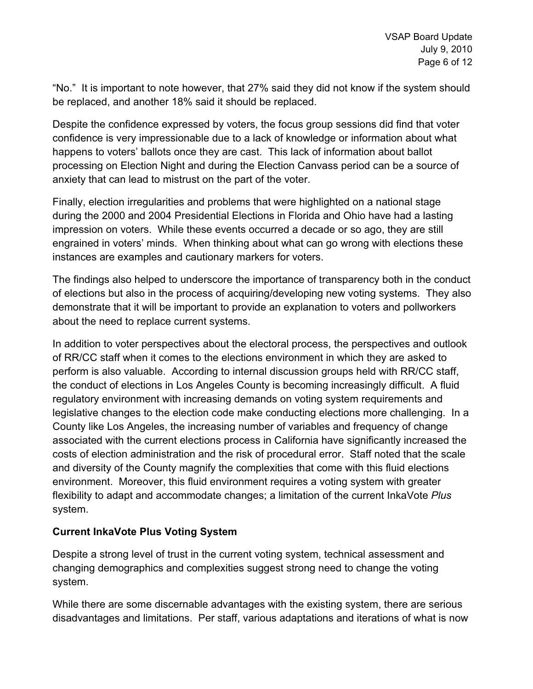"No." It is important to note however, that 27% said they did not know if the system should be replaced, and another 18% said it should be replaced.

Despite the confidence expressed by voters, the focus group sessions did find that voter confidence is very impressionable due to a lack of knowledge or information about what happens to voters' ballots once they are cast. This lack of information about ballot processing on Election Night and during the Election Canvass period can be a source of anxiety that can lead to mistrust on the part of the voter.

Finally, election irregularities and problems that were highlighted on a national stage during the 2000 and 2004 Presidential Elections in Florida and Ohio have had a lasting impression on voters. While these events occurred a decade or so ago, they are still engrained in voters' minds. When thinking about what can go wrong with elections these instances are examples and cautionary markers for voters.

The findings also helped to underscore the importance of transparency both in the conduct of elections but also in the process of acquiring/developing new voting systems. They also demonstrate that it will be important to provide an explanation to voters and pollworkers about the need to replace current systems.

In addition to voter perspectives about the electoral process, the perspectives and outlook of RR/CC staff when it comes to the elections environment in which they are asked to perform is also valuable. According to internal discussion groups held with RR/CC staff, the conduct of elections in Los Angeles County is becoming increasingly difficult. A fluid regulatory environment with increasing demands on voting system requirements and legislative changes to the election code make conducting elections more challenging. In a County like Los Angeles, the increasing number of variables and frequency of change associated with the current elections process in California have significantly increased the costs of election administration and the risk of procedural error. Staff noted that the scale and diversity of the County magnify the complexities that come with this fluid elections environment. Moreover, this fluid environment requires a voting system with greater flexibility to adapt and accommodate changes; a limitation of the current InkaVote *Plus* system.

## **Current InkaVote Plus Voting System**

Despite a strong level of trust in the current voting system, technical assessment and changing demographics and complexities suggest strong need to change the voting system.

While there are some discernable advantages with the existing system, there are serious disadvantages and limitations. Per staff, various adaptations and iterations of what is now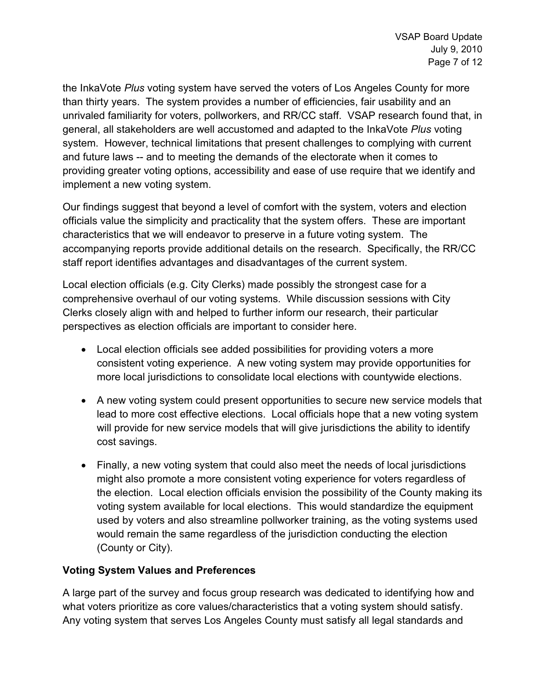the InkaVote *Plus* voting system have served the voters of Los Angeles County for more than thirty years. The system provides a number of efficiencies, fair usability and an unrivaled familiarity for voters, pollworkers, and RR/CC staff. VSAP research found that, in general, all stakeholders are well accustomed and adapted to the InkaVote *Plus* voting system. However, technical limitations that present challenges to complying with current and future laws -- and to meeting the demands of the electorate when it comes to providing greater voting options, accessibility and ease of use require that we identify and implement a new voting system.

Our findings suggest that beyond a level of comfort with the system, voters and election officials value the simplicity and practicality that the system offers. These are important characteristics that we will endeavor to preserve in a future voting system. The accompanying reports provide additional details on the research. Specifically, the RR/CC staff report identifies advantages and disadvantages of the current system.

Local election officials (e.g. City Clerks) made possibly the strongest case for a comprehensive overhaul of our voting systems. While discussion sessions with City Clerks closely align with and helped to further inform our research, their particular perspectives as election officials are important to consider here.

- Local election officials see added possibilities for providing voters a more consistent voting experience. A new voting system may provide opportunities for more local jurisdictions to consolidate local elections with countywide elections.
- A new voting system could present opportunities to secure new service models that lead to more cost effective elections. Local officials hope that a new voting system will provide for new service models that will give jurisdictions the ability to identify cost savings.
- Finally, a new voting system that could also meet the needs of local jurisdictions might also promote a more consistent voting experience for voters regardless of the election. Local election officials envision the possibility of the County making its voting system available for local elections. This would standardize the equipment used by voters and also streamline pollworker training, as the voting systems used would remain the same regardless of the jurisdiction conducting the election (County or City).

## **Voting System Values and Preferences**

A large part of the survey and focus group research was dedicated to identifying how and what voters prioritize as core values/characteristics that a voting system should satisfy. Any voting system that serves Los Angeles County must satisfy all legal standards and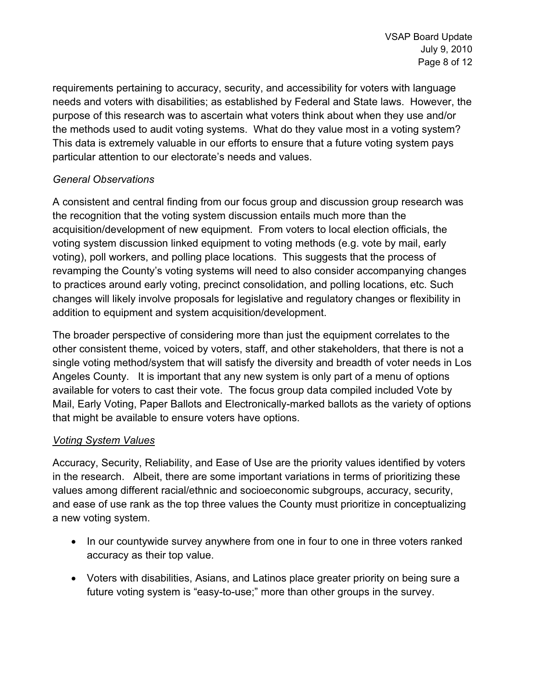requirements pertaining to accuracy, security, and accessibility for voters with language needs and voters with disabilities; as established by Federal and State laws. However, the purpose of this research was to ascertain what voters think about when they use and/or the methods used to audit voting systems. What do they value most in a voting system? This data is extremely valuable in our efforts to ensure that a future voting system pays particular attention to our electorate's needs and values.

## *General Observations*

A consistent and central finding from our focus group and discussion group research was the recognition that the voting system discussion entails much more than the acquisition/development of new equipment. From voters to local election officials, the voting system discussion linked equipment to voting methods (e.g. vote by mail, early voting), poll workers, and polling place locations. This suggests that the process of revamping the County's voting systems will need to also consider accompanying changes to practices around early voting, precinct consolidation, and polling locations, etc. Such changes will likely involve proposals for legislative and regulatory changes or flexibility in addition to equipment and system acquisition/development.

The broader perspective of considering more than just the equipment correlates to the other consistent theme, voiced by voters, staff, and other stakeholders, that there is not a single voting method/system that will satisfy the diversity and breadth of voter needs in Los Angeles County. It is important that any new system is only part of a menu of options available for voters to cast their vote. The focus group data compiled included Vote by Mail, Early Voting, Paper Ballots and Electronically-marked ballots as the variety of options that might be available to ensure voters have options.

## *Voting System Values*

Accuracy, Security, Reliability, and Ease of Use are the priority values identified by voters in the research. Albeit, there are some important variations in terms of prioritizing these values among different racial/ethnic and socioeconomic subgroups, accuracy, security, and ease of use rank as the top three values the County must prioritize in conceptualizing a new voting system.

- In our countywide survey anywhere from one in four to one in three voters ranked accuracy as their top value.
- Voters with disabilities, Asians, and Latinos place greater priority on being sure a future voting system is "easy-to-use;" more than other groups in the survey.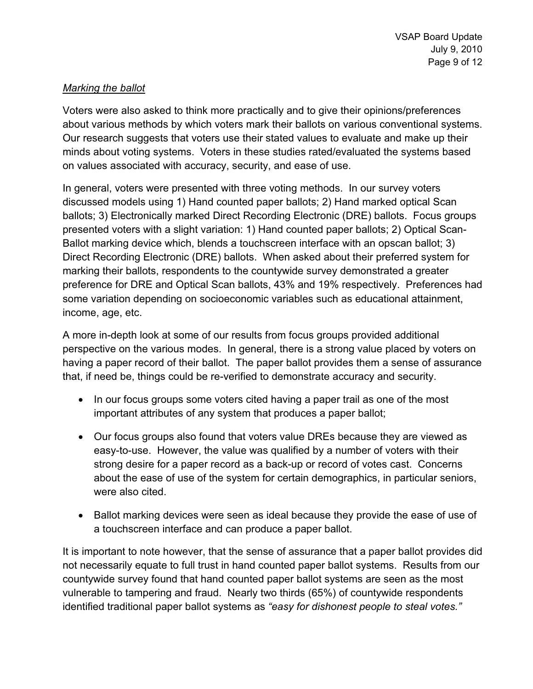## *Marking the ballot*

Voters were also asked to think more practically and to give their opinions/preferences about various methods by which voters mark their ballots on various conventional systems. Our research suggests that voters use their stated values to evaluate and make up their minds about voting systems. Voters in these studies rated/evaluated the systems based on values associated with accuracy, security, and ease of use.

In general, voters were presented with three voting methods. In our survey voters discussed models using 1) Hand counted paper ballots; 2) Hand marked optical Scan ballots; 3) Electronically marked Direct Recording Electronic (DRE) ballots. Focus groups presented voters with a slight variation: 1) Hand counted paper ballots; 2) Optical Scan-Ballot marking device which, blends a touchscreen interface with an opscan ballot; 3) Direct Recording Electronic (DRE) ballots. When asked about their preferred system for marking their ballots, respondents to the countywide survey demonstrated a greater preference for DRE and Optical Scan ballots, 43% and 19% respectively. Preferences had some variation depending on socioeconomic variables such as educational attainment, income, age, etc.

A more in-depth look at some of our results from focus groups provided additional perspective on the various modes. In general, there is a strong value placed by voters on having a paper record of their ballot. The paper ballot provides them a sense of assurance that, if need be, things could be re-verified to demonstrate accuracy and security.

- In our focus groups some voters cited having a paper trail as one of the most important attributes of any system that produces a paper ballot;
- Our focus groups also found that voters value DREs because they are viewed as easy-to-use. However, the value was qualified by a number of voters with their strong desire for a paper record as a back-up or record of votes cast. Concerns about the ease of use of the system for certain demographics, in particular seniors, were also cited.
- Ballot marking devices were seen as ideal because they provide the ease of use of a touchscreen interface and can produce a paper ballot.

It is important to note however, that the sense of assurance that a paper ballot provides did not necessarily equate to full trust in hand counted paper ballot systems. Results from our countywide survey found that hand counted paper ballot systems are seen as the most vulnerable to tampering and fraud. Nearly two thirds (65%) of countywide respondents identified traditional paper ballot systems as *"easy for dishonest people to steal votes."*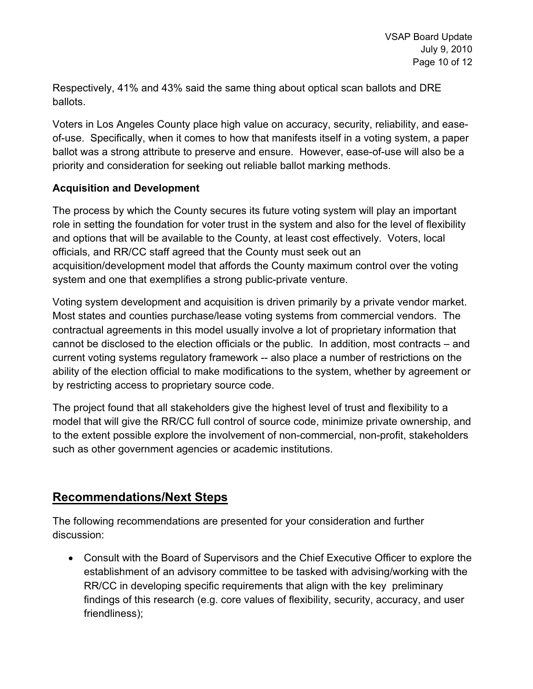Respectively, 41% and 43% said the same thing about optical scan ballots and DRE ballots.

Voters in Los Angeles County place high value on accuracy, security, reliability, and easeof-use. Specifically, when it comes to how that manifests itself in a voting system, a paper ballot was a strong attribute to preserve and ensure. However, ease-of-use will also be a priority and consideration for seeking out reliable ballot marking methods.

## **Acquisition and Development**

The process by which the County secures its future voting system will play an important role in setting the foundation for voter trust in the system and also for the level of flexibility and options that will be available to the County, at least cost effectively. Voters, local officials, and RR/CC staff agreed that the County must seek out an acquisition/development model that affords the County maximum control over the voting system and one that exemplifies a strong public-private venture.

Voting system development and acquisition is driven primarily by a private vendor market. Most states and counties purchase/lease voting systems from commercial vendors. The contractual agreements in this model usually involve a lot of proprietary information that cannot be disclosed to the election officials or the public. In addition, most contracts – and current voting systems regulatory framework -- also place a number of restrictions on the ability of the election official to make modifications to the system, whether by agreement or by restricting access to proprietary source code.

The project found that all stakeholders give the highest level of trust and flexibility to a model that will give the RR/CC full control of source code, minimize private ownership, and to the extent possible explore the involvement of non-commercial, non-profit, stakeholders such as other government agencies or academic institutions.

# **Recommendations/Next Steps**

The following recommendations are presented for your consideration and further discussion:

 Consult with the Board of Supervisors and the Chief Executive Officer to explore the establishment of an advisory committee to be tasked with advising/working with the RR/CC in developing specific requirements that align with the key preliminary findings of this research (e.g. core values of flexibility, security, accuracy, and user friendliness);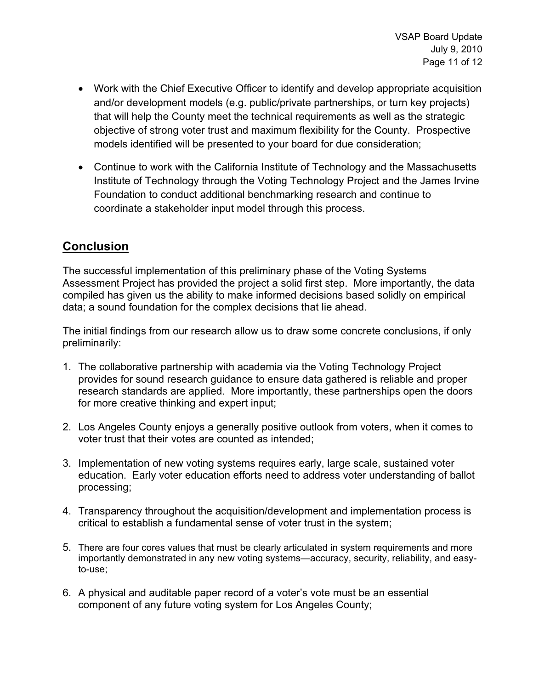- Work with the Chief Executive Officer to identify and develop appropriate acquisition and/or development models (e.g. public/private partnerships, or turn key projects) that will help the County meet the technical requirements as well as the strategic objective of strong voter trust and maximum flexibility for the County. Prospective models identified will be presented to your board for due consideration;
- Continue to work with the California Institute of Technology and the Massachusetts Institute of Technology through the Voting Technology Project and the James Irvine Foundation to conduct additional benchmarking research and continue to coordinate a stakeholder input model through this process.

# **Conclusion**

The successful implementation of this preliminary phase of the Voting Systems Assessment Project has provided the project a solid first step. More importantly, the data compiled has given us the ability to make informed decisions based solidly on empirical data; a sound foundation for the complex decisions that lie ahead.

The initial findings from our research allow us to draw some concrete conclusions, if only preliminarily:

- 1. The collaborative partnership with academia via the Voting Technology Project provides for sound research guidance to ensure data gathered is reliable and proper research standards are applied. More importantly, these partnerships open the doors for more creative thinking and expert input;
- 2. Los Angeles County enjoys a generally positive outlook from voters, when it comes to voter trust that their votes are counted as intended;
- 3. Implementation of new voting systems requires early, large scale, sustained voter education. Early voter education efforts need to address voter understanding of ballot processing;
- 4. Transparency throughout the acquisition/development and implementation process is critical to establish a fundamental sense of voter trust in the system;
- 5. There are four cores values that must be clearly articulated in system requirements and more importantly demonstrated in any new voting systems—accuracy, security, reliability, and easyto-use;
- 6. A physical and auditable paper record of a voter's vote must be an essential component of any future voting system for Los Angeles County;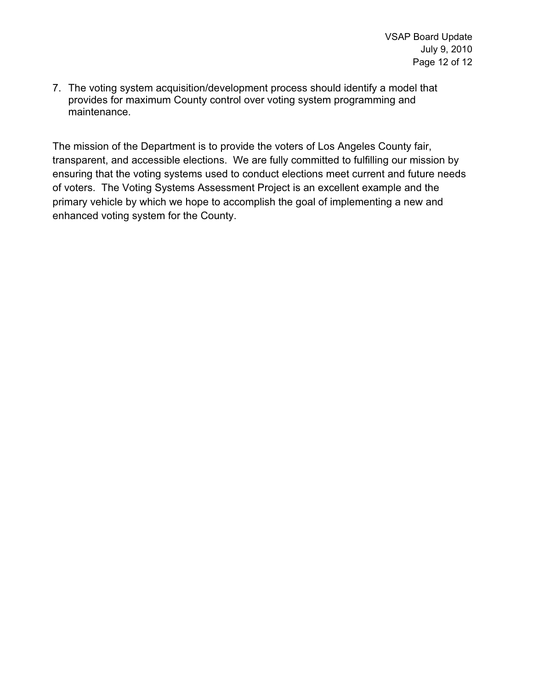7. The voting system acquisition/development process should identify a model that provides for maximum County control over voting system programming and maintenance.

The mission of the Department is to provide the voters of Los Angeles County fair, transparent, and accessible elections. We are fully committed to fulfilling our mission by ensuring that the voting systems used to conduct elections meet current and future needs of voters. The Voting Systems Assessment Project is an excellent example and the primary vehicle by which we hope to accomplish the goal of implementing a new and enhanced voting system for the County.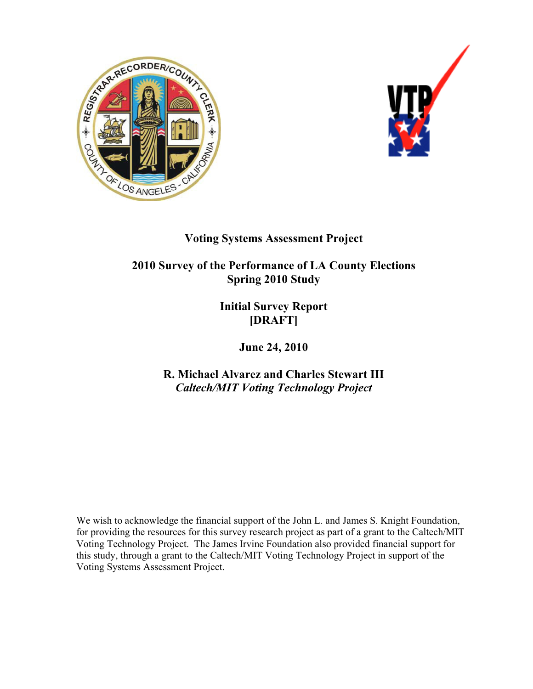



# **Voting Systems Assessment Project**

**2010 Survey of the Performance of LA County Elections Spring 2010 Study** 

> **Initial Survey Report [DRAFT]**

> > **June 24, 2010**

**R. Michael Alvarez and Charles Stewart III**  *Caltech/MIT Voting Technology Project*

We wish to acknowledge the financial support of the John L. and James S. Knight Foundation, for providing the resources for this survey research project as part of a grant to the Caltech/MIT Voting Technology Project. The James Irvine Foundation also provided financial support for this study, through a grant to the Caltech/MIT Voting Technology Project in support of the Voting Systems Assessment Project.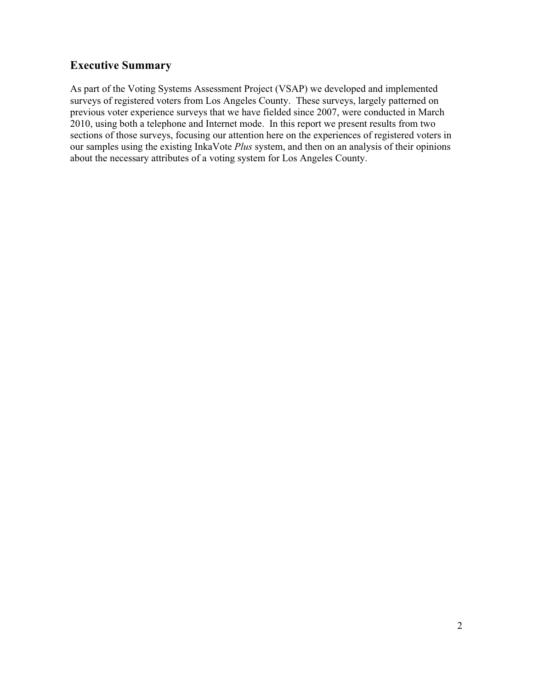## **Executive Summary**

As part of the Voting Systems Assessment Project (VSAP) we developed and implemented surveys of registered voters from Los Angeles County. These surveys, largely patterned on previous voter experience surveys that we have fielded since 2007, were conducted in March 2010, using both a telephone and Internet mode. In this report we present results from two sections of those surveys, focusing our attention here on the experiences of registered voters in our samples using the existing InkaVote *Plus* system, and then on an analysis of their opinions about the necessary attributes of a voting system for Los Angeles County.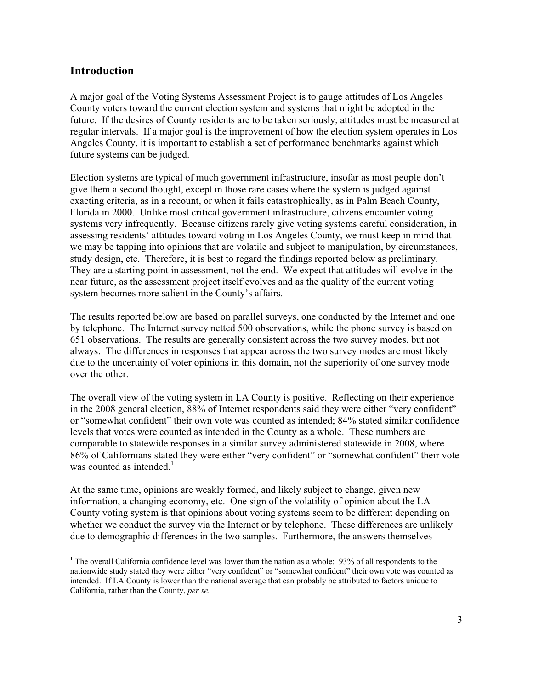## **Introduction**

A major goal of the Voting Systems Assessment Project is to gauge attitudes of Los Angeles County voters toward the current election system and systems that might be adopted in the future. If the desires of County residents are to be taken seriously, attitudes must be measured at regular intervals. If a major goal is the improvement of how the election system operates in Los Angeles County, it is important to establish a set of performance benchmarks against which future systems can be judged.

Election systems are typical of much government infrastructure, insofar as most people don't give them a second thought, except in those rare cases where the system is judged against exacting criteria, as in a recount, or when it fails catastrophically, as in Palm Beach County, Florida in 2000. Unlike most critical government infrastructure, citizens encounter voting systems very infrequently. Because citizens rarely give voting systems careful consideration, in assessing residents' attitudes toward voting in Los Angeles County, we must keep in mind that we may be tapping into opinions that are volatile and subject to manipulation, by circumstances, study design, etc. Therefore, it is best to regard the findings reported below as preliminary. They are a starting point in assessment, not the end. We expect that attitudes will evolve in the near future, as the assessment project itself evolves and as the quality of the current voting system becomes more salient in the County's affairs.

The results reported below are based on parallel surveys, one conducted by the Internet and one by telephone. The Internet survey netted 500 observations, while the phone survey is based on 651 observations. The results are generally consistent across the two survey modes, but not always. The differences in responses that appear across the two survey modes are most likely due to the uncertainty of voter opinions in this domain, not the superiority of one survey mode over the other.

The overall view of the voting system in LA County is positive. Reflecting on their experience in the 2008 general election, 88% of Internet respondents said they were either "very confident" or "somewhat confident" their own vote was counted as intended; 84% stated similar confidence levels that votes were counted as intended in the County as a whole. These numbers are comparable to statewide responses in a similar survey administered statewide in 2008, where 86% of Californians stated they were either "very confident" or "somewhat confident" their vote was counted as intended.<sup>1</sup>

At the same time, opinions are weakly formed, and likely subject to change, given new information, a changing economy, etc. One sign of the volatility of opinion about the LA County voting system is that opinions about voting systems seem to be different depending on whether we conduct the survey via the Internet or by telephone. These differences are unlikely due to demographic differences in the two samples. Furthermore, the answers themselves

<sup>&</sup>lt;sup>1</sup> The overall California confidence level was lower than the nation as a whole: 93% of all respondents to the nationwide study stated they were either "very confident" or "somewhat confident" their own vote was counted as intended. If LA County is lower than the national average that can probably be attributed to factors unique to California, rather than the County, *per se.*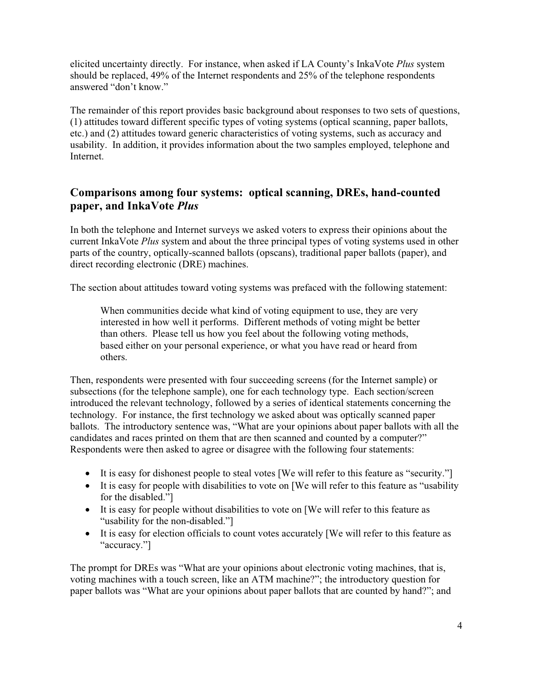elicited uncertainty directly. For instance, when asked if LA County's InkaVote *Plus* system should be replaced, 49% of the Internet respondents and 25% of the telephone respondents answered "don't know."

The remainder of this report provides basic background about responses to two sets of questions, (1) attitudes toward different specific types of voting systems (optical scanning, paper ballots, etc.) and (2) attitudes toward generic characteristics of voting systems, such as accuracy and usability. In addition, it provides information about the two samples employed, telephone and Internet.

## **Comparisons among four systems: optical scanning, DREs, hand-counted paper, and InkaVote** *Plus*

In both the telephone and Internet surveys we asked voters to express their opinions about the current InkaVote *Plus* system and about the three principal types of voting systems used in other parts of the country, optically-scanned ballots (opscans), traditional paper ballots (paper), and direct recording electronic (DRE) machines.

The section about attitudes toward voting systems was prefaced with the following statement:

When communities decide what kind of voting equipment to use, they are very interested in how well it performs. Different methods of voting might be better than others. Please tell us how you feel about the following voting methods, based either on your personal experience, or what you have read or heard from others.

Then, respondents were presented with four succeeding screens (for the Internet sample) or subsections (for the telephone sample), one for each technology type. Each section/screen introduced the relevant technology, followed by a series of identical statements concerning the technology. For instance, the first technology we asked about was optically scanned paper ballots. The introductory sentence was, "What are your opinions about paper ballots with all the candidates and races printed on them that are then scanned and counted by a computer?" Respondents were then asked to agree or disagree with the following four statements:

- It is easy for dishonest people to steal votes [We will refer to this feature as "security."]
- It is easy for people with disabilities to vote on [We will refer to this feature as "usability" for the disabled."]
- It is easy for people without disabilities to vote on [We will refer to this feature as "usability for the non-disabled."]
- It is easy for election officials to count votes accurately [We will refer to this feature as "accuracy."

The prompt for DREs was "What are your opinions about electronic voting machines, that is, voting machines with a touch screen, like an ATM machine?"; the introductory question for paper ballots was "What are your opinions about paper ballots that are counted by hand?"; and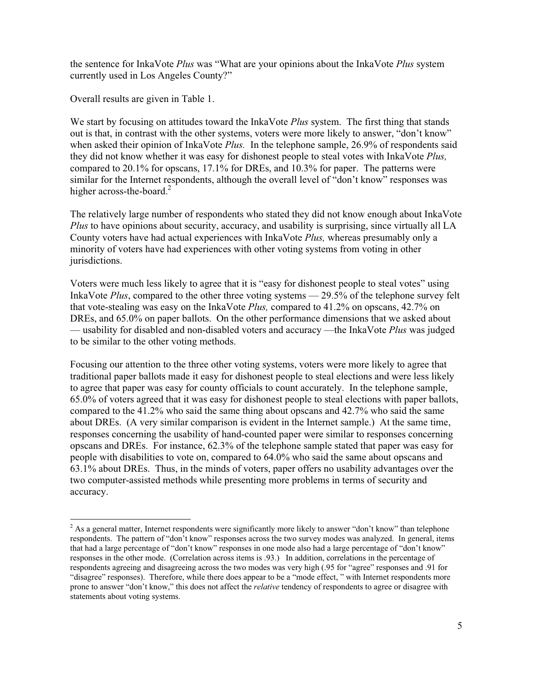the sentence for InkaVote *Plus* was "What are your opinions about the InkaVote *Plus* system currently used in Los Angeles County?"

Overall results are given in Table 1.

We start by focusing on attitudes toward the InkaVote *Plus* system. The first thing that stands out is that, in contrast with the other systems, voters were more likely to answer, "don't know" when asked their opinion of InkaVote *Plus.* In the telephone sample, 26.9% of respondents said they did not know whether it was easy for dishonest people to steal votes with InkaVote *Plus,* compared to 20.1% for opscans, 17.1% for DREs, and 10.3% for paper. The patterns were similar for the Internet respondents, although the overall level of "don't know" responses was higher across-the-board.<sup>2</sup>

The relatively large number of respondents who stated they did not know enough about InkaVote *Plus* to have opinions about security, accuracy, and usability is surprising, since virtually all LA County voters have had actual experiences with InkaVote *Plus,* whereas presumably only a minority of voters have had experiences with other voting systems from voting in other jurisdictions.

Voters were much less likely to agree that it is "easy for dishonest people to steal votes" using InkaVote *Plus*, compared to the other three voting systems — 29.5% of the telephone survey felt that vote-stealing was easy on the InkaVote *Plus,* compared to 41.2% on opscans, 42.7% on DREs, and 65.0% on paper ballots. On the other performance dimensions that we asked about — usability for disabled and non-disabled voters and accuracy —the InkaVote *Plus* was judged to be similar to the other voting methods.

Focusing our attention to the three other voting systems, voters were more likely to agree that traditional paper ballots made it easy for dishonest people to steal elections and were less likely to agree that paper was easy for county officials to count accurately. In the telephone sample, 65.0% of voters agreed that it was easy for dishonest people to steal elections with paper ballots, compared to the 41.2% who said the same thing about opscans and 42.7% who said the same about DREs. (A very similar comparison is evident in the Internet sample.) At the same time, responses concerning the usability of hand-counted paper were similar to responses concerning opscans and DREs. For instance, 62.3% of the telephone sample stated that paper was easy for people with disabilities to vote on, compared to 64.0% who said the same about opscans and 63.1% about DREs. Thus, in the minds of voters, paper offers no usability advantages over the two computer-assisted methods while presenting more problems in terms of security and accuracy.

 $2$  As a general matter, Internet respondents were significantly more likely to answer "don't know" than telephone respondents. The pattern of "don't know" responses across the two survey modes was analyzed. In general, items that had a large percentage of "don't know" responses in one mode also had a large percentage of "don't know" responses in the other mode. (Correlation across items is .93.) In addition, correlations in the percentage of respondents agreeing and disagreeing across the two modes was very high (.95 for "agree" responses and .91 for "disagree" responses). Therefore, while there does appear to be a "mode effect, " with Internet respondents more prone to answer "don't know," this does not affect the *relative* tendency of respondents to agree or disagree with statements about voting systems.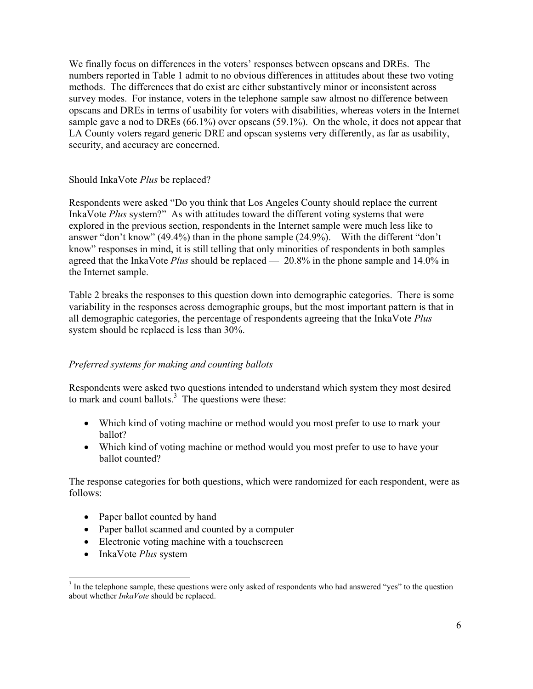We finally focus on differences in the voters' responses between opscans and DREs. The numbers reported in Table 1 admit to no obvious differences in attitudes about these two voting methods. The differences that do exist are either substantively minor or inconsistent across survey modes. For instance, voters in the telephone sample saw almost no difference between opscans and DREs in terms of usability for voters with disabilities, whereas voters in the Internet sample gave a nod to DREs (66.1%) over opscans (59.1%). On the whole, it does not appear that LA County voters regard generic DRE and opscan systems very differently, as far as usability, security, and accuracy are concerned.

#### Should InkaVote *Plus* be replaced?

Respondents were asked "Do you think that Los Angeles County should replace the current InkaVote *Plus* system?" As with attitudes toward the different voting systems that were explored in the previous section, respondents in the Internet sample were much less like to answer "don't know" (49.4%) than in the phone sample (24.9%). With the different "don't know" responses in mind, it is still telling that only minorities of respondents in both samples agreed that the InkaVote *Plus* should be replaced — 20.8% in the phone sample and 14.0% in the Internet sample.

Table 2 breaks the responses to this question down into demographic categories. There is some variability in the responses across demographic groups, but the most important pattern is that in all demographic categories, the percentage of respondents agreeing that the InkaVote *Plus* system should be replaced is less than 30%.

#### *Preferred systems for making and counting ballots*

Respondents were asked two questions intended to understand which system they most desired to mark and count ballots.<sup>3</sup> The questions were these:

- Which kind of voting machine or method would you most prefer to use to mark your ballot?
- Which kind of voting machine or method would you most prefer to use to have your ballot counted?

The response categories for both questions, which were randomized for each respondent, were as follows:

- Paper ballot counted by hand
- Paper ballot scanned and counted by a computer
- Electronic voting machine with a touchscreen
- InkaVote *Plus* system

<sup>3</sup> In the telephone sample, these questions were only asked of respondents who had answered "yes" to the question about whether *InkaVote* should be replaced.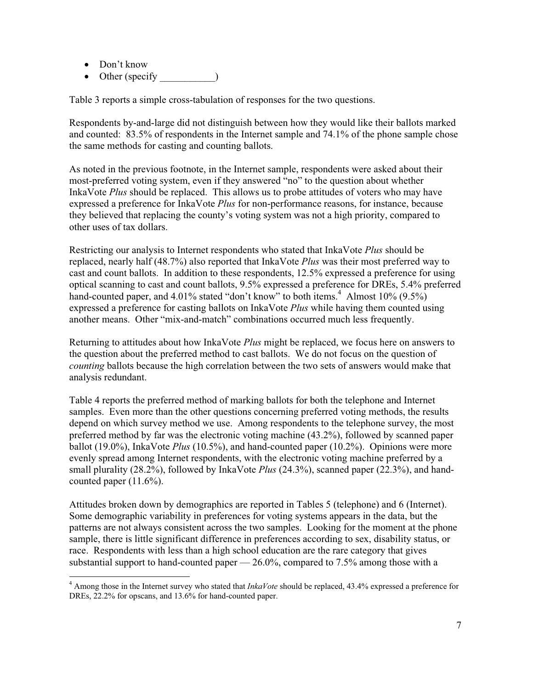- Don't know
- Other (specify )

Table 3 reports a simple cross-tabulation of responses for the two questions.

Respondents by-and-large did not distinguish between how they would like their ballots marked and counted: 83.5% of respondents in the Internet sample and 74.1% of the phone sample chose the same methods for casting and counting ballots.

As noted in the previous footnote, in the Internet sample, respondents were asked about their most-preferred voting system, even if they answered "no" to the question about whether InkaVote *Plus* should be replaced. This allows us to probe attitudes of voters who may have expressed a preference for InkaVote *Plus* for non-performance reasons, for instance, because they believed that replacing the county's voting system was not a high priority, compared to other uses of tax dollars.

Restricting our analysis to Internet respondents who stated that InkaVote *Plus* should be replaced, nearly half (48.7%) also reported that InkaVote *Plus* was their most preferred way to cast and count ballots. In addition to these respondents, 12.5% expressed a preference for using optical scanning to cast and count ballots, 9.5% expressed a preference for DREs, 5.4% preferred hand-counted paper, and 4.01% stated "don't know" to both items.<sup>4</sup> Almost 10%  $(9.5\%)$ expressed a preference for casting ballots on InkaVote *Plus* while having them counted using another means. Other "mix-and-match" combinations occurred much less frequently.

Returning to attitudes about how InkaVote *Plus* might be replaced, we focus here on answers to the question about the preferred method to cast ballots. We do not focus on the question of *counting* ballots because the high correlation between the two sets of answers would make that analysis redundant.

Table 4 reports the preferred method of marking ballots for both the telephone and Internet samples. Even more than the other questions concerning preferred voting methods, the results depend on which survey method we use. Among respondents to the telephone survey, the most preferred method by far was the electronic voting machine (43.2%), followed by scanned paper ballot (19.0%), InkaVote *Plus* (10.5%), and hand-counted paper (10.2%). Opinions were more evenly spread among Internet respondents, with the electronic voting machine preferred by a small plurality (28.2%), followed by InkaVote *Plus* (24.3%), scanned paper (22.3%), and handcounted paper (11.6%).

Attitudes broken down by demographics are reported in Tables 5 (telephone) and 6 (Internet). Some demographic variability in preferences for voting systems appears in the data, but the patterns are not always consistent across the two samples. Looking for the moment at the phone sample, there is little significant difference in preferences according to sex, disability status, or race. Respondents with less than a high school education are the rare category that gives substantial support to hand-counted paper  $-26.0\%$ , compared to 7.5% among those with a

<sup>4</sup> Among those in the Internet survey who stated that *InkaVote* should be replaced, 43.4% expressed a preference for DREs,  $22.2\%$  for opscans, and 13.6% for hand-counted paper.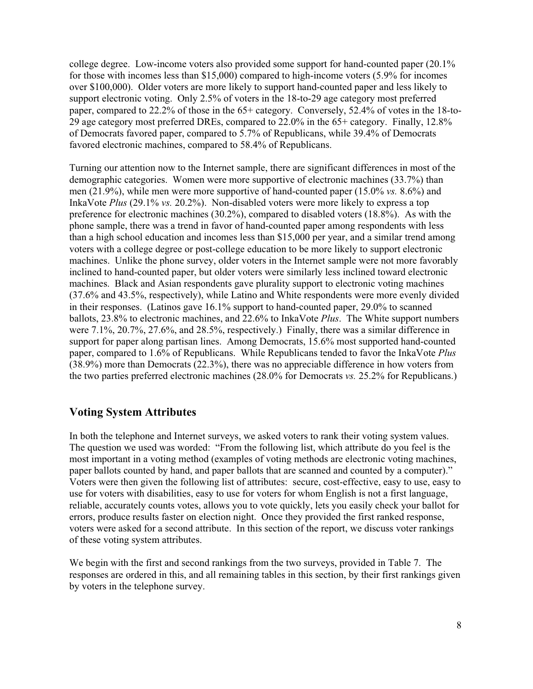college degree. Low-income voters also provided some support for hand-counted paper (20.1% for those with incomes less than \$15,000) compared to high-income voters (5.9% for incomes over \$100,000). Older voters are more likely to support hand-counted paper and less likely to support electronic voting. Only 2.5% of voters in the 18-to-29 age category most preferred paper, compared to 22.2% of those in the 65+ category. Conversely, 52.4% of votes in the 18-to-29 age category most preferred DREs, compared to 22.0% in the 65+ category. Finally, 12.8% of Democrats favored paper, compared to 5.7% of Republicans, while 39.4% of Democrats favored electronic machines, compared to 58.4% of Republicans.

Turning our attention now to the Internet sample, there are significant differences in most of the demographic categories. Women were more supportive of electronic machines (33.7%) than men (21.9%), while men were more supportive of hand-counted paper (15.0% *vs.* 8.6%) and InkaVote *Plus* (29.1% *vs.* 20.2%). Non-disabled voters were more likely to express a top preference for electronic machines (30.2%), compared to disabled voters (18.8%). As with the phone sample, there was a trend in favor of hand-counted paper among respondents with less than a high school education and incomes less than \$15,000 per year, and a similar trend among voters with a college degree or post-college education to be more likely to support electronic machines. Unlike the phone survey, older voters in the Internet sample were not more favorably inclined to hand-counted paper, but older voters were similarly less inclined toward electronic machines. Black and Asian respondents gave plurality support to electronic voting machines (37.6% and 43.5%, respectively), while Latino and White respondents were more evenly divided in their responses. (Latinos gave 16.1% support to hand-counted paper, 29.0% to scanned ballots, 23.8% to electronic machines, and 22.6% to InkaVote *Plus*. The White support numbers were 7.1%, 20.7%, 27.6%, and 28.5%, respectively.) Finally, there was a similar difference in support for paper along partisan lines. Among Democrats, 15.6% most supported hand-counted paper, compared to 1.6% of Republicans. While Republicans tended to favor the InkaVote *Plus* (38.9%) more than Democrats (22.3%), there was no appreciable difference in how voters from the two parties preferred electronic machines (28.0% for Democrats *vs.* 25.2% for Republicans.)

## **Voting System Attributes**

In both the telephone and Internet surveys, we asked voters to rank their voting system values. The question we used was worded: "From the following list, which attribute do you feel is the most important in a voting method (examples of voting methods are electronic voting machines, paper ballots counted by hand, and paper ballots that are scanned and counted by a computer)." Voters were then given the following list of attributes: secure, cost-effective, easy to use, easy to use for voters with disabilities, easy to use for voters for whom English is not a first language, reliable, accurately counts votes, allows you to vote quickly, lets you easily check your ballot for errors, produce results faster on election night. Once they provided the first ranked response, voters were asked for a second attribute. In this section of the report, we discuss voter rankings of these voting system attributes.

We begin with the first and second rankings from the two surveys, provided in Table 7. The responses are ordered in this, and all remaining tables in this section, by their first rankings given by voters in the telephone survey.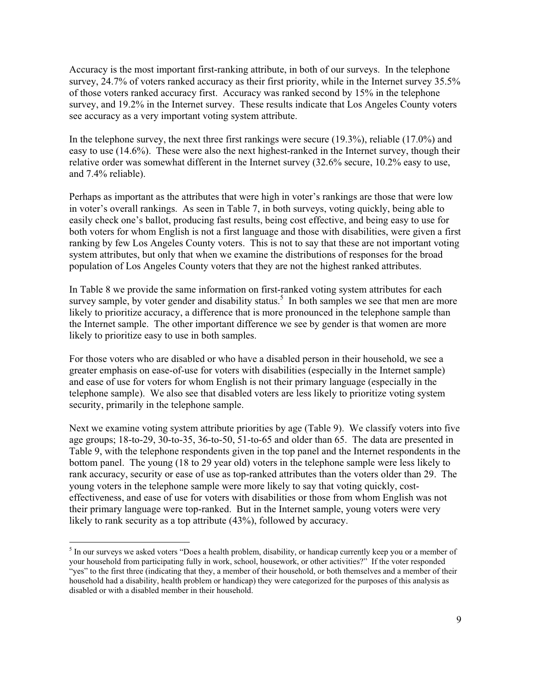Accuracy is the most important first-ranking attribute, in both of our surveys. In the telephone survey, 24.7% of voters ranked accuracy as their first priority, while in the Internet survey 35.5% of those voters ranked accuracy first. Accuracy was ranked second by 15% in the telephone survey, and 19.2% in the Internet survey. These results indicate that Los Angeles County voters see accuracy as a very important voting system attribute.

In the telephone survey, the next three first rankings were secure (19.3%), reliable (17.0%) and easy to use (14.6%). These were also the next highest-ranked in the Internet survey, though their relative order was somewhat different in the Internet survey (32.6% secure, 10.2% easy to use, and 7.4% reliable).

Perhaps as important as the attributes that were high in voter's rankings are those that were low in voter's overall rankings. As seen in Table 7, in both surveys, voting quickly, being able to easily check one's ballot, producing fast results, being cost effective, and being easy to use for both voters for whom English is not a first language and those with disabilities, were given a first ranking by few Los Angeles County voters. This is not to say that these are not important voting system attributes, but only that when we examine the distributions of responses for the broad population of Los Angeles County voters that they are not the highest ranked attributes.

In Table 8 we provide the same information on first-ranked voting system attributes for each survey sample, by voter gender and disability status.<sup>5</sup> In both samples we see that men are more likely to prioritize accuracy, a difference that is more pronounced in the telephone sample than the Internet sample. The other important difference we see by gender is that women are more likely to prioritize easy to use in both samples.

For those voters who are disabled or who have a disabled person in their household, we see a greater emphasis on ease-of-use for voters with disabilities (especially in the Internet sample) and ease of use for voters for whom English is not their primary language (especially in the telephone sample). We also see that disabled voters are less likely to prioritize voting system security, primarily in the telephone sample.

Next we examine voting system attribute priorities by age (Table 9). We classify voters into five age groups; 18-to-29, 30-to-35, 36-to-50, 51-to-65 and older than 65. The data are presented in Table 9, with the telephone respondents given in the top panel and the Internet respondents in the bottom panel. The young (18 to 29 year old) voters in the telephone sample were less likely to rank accuracy, security or ease of use as top-ranked attributes than the voters older than 29. The young voters in the telephone sample were more likely to say that voting quickly, costeffectiveness, and ease of use for voters with disabilities or those from whom English was not their primary language were top-ranked. But in the Internet sample, young voters were very likely to rank security as a top attribute (43%), followed by accuracy.

<sup>&</sup>lt;sup>5</sup> In our surveys we asked voters "Does a health problem, disability, or handicap currently keep you or a member of your household from participating fully in work, school, housework, or other activities?" If the voter responded "yes" to the first three (indicating that they, a member of their household, or both themselves and a member of their household had a disability, health problem or handicap) they were categorized for the purposes of this analysis as disabled or with a disabled member in their household.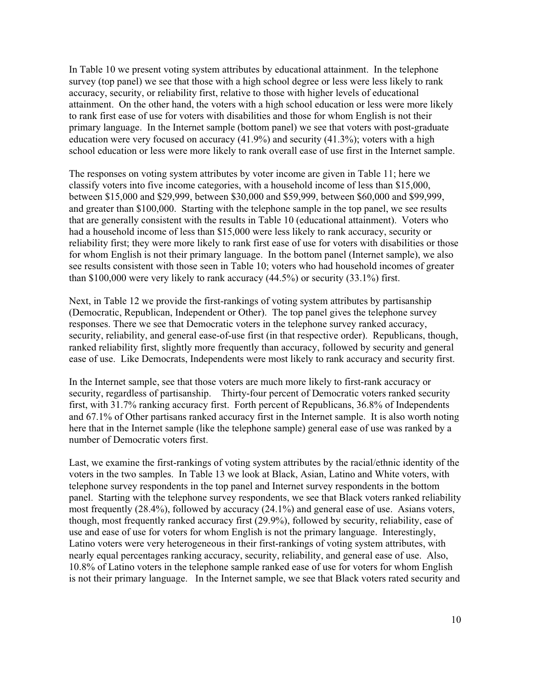In Table 10 we present voting system attributes by educational attainment. In the telephone survey (top panel) we see that those with a high school degree or less were less likely to rank accuracy, security, or reliability first, relative to those with higher levels of educational attainment. On the other hand, the voters with a high school education or less were more likely to rank first ease of use for voters with disabilities and those for whom English is not their primary language. In the Internet sample (bottom panel) we see that voters with post-graduate education were very focused on accuracy (41.9%) and security (41.3%); voters with a high school education or less were more likely to rank overall ease of use first in the Internet sample.

The responses on voting system attributes by voter income are given in Table 11; here we classify voters into five income categories, with a household income of less than \$15,000, between \$15,000 and \$29,999, between \$30,000 and \$59,999, between \$60,000 and \$99,999, and greater than \$100,000. Starting with the telephone sample in the top panel, we see results that are generally consistent with the results in Table 10 (educational attainment). Voters who had a household income of less than \$15,000 were less likely to rank accuracy, security or reliability first; they were more likely to rank first ease of use for voters with disabilities or those for whom English is not their primary language. In the bottom panel (Internet sample), we also see results consistent with those seen in Table 10; voters who had household incomes of greater than \$100,000 were very likely to rank accuracy (44.5%) or security (33.1%) first.

Next, in Table 12 we provide the first-rankings of voting system attributes by partisanship (Democratic, Republican, Independent or Other). The top panel gives the telephone survey responses. There we see that Democratic voters in the telephone survey ranked accuracy, security, reliability, and general ease-of-use first (in that respective order). Republicans, though, ranked reliability first, slightly more frequently than accuracy, followed by security and general ease of use. Like Democrats, Independents were most likely to rank accuracy and security first.

In the Internet sample, see that those voters are much more likely to first-rank accuracy or security, regardless of partisanship. Thirty-four percent of Democratic voters ranked security first, with 31.7% ranking accuracy first. Forth percent of Republicans, 36.8% of Independents and 67.1% of Other partisans ranked accuracy first in the Internet sample. It is also worth noting here that in the Internet sample (like the telephone sample) general ease of use was ranked by a number of Democratic voters first.

Last, we examine the first-rankings of voting system attributes by the racial/ethnic identity of the voters in the two samples. In Table 13 we look at Black, Asian, Latino and White voters, with telephone survey respondents in the top panel and Internet survey respondents in the bottom panel. Starting with the telephone survey respondents, we see that Black voters ranked reliability most frequently (28.4%), followed by accuracy (24.1%) and general ease of use. Asians voters, though, most frequently ranked accuracy first (29.9%), followed by security, reliability, ease of use and ease of use for voters for whom English is not the primary language. Interestingly, Latino voters were very heterogeneous in their first-rankings of voting system attributes, with nearly equal percentages ranking accuracy, security, reliability, and general ease of use. Also, 10.8% of Latino voters in the telephone sample ranked ease of use for voters for whom English is not their primary language. In the Internet sample, we see that Black voters rated security and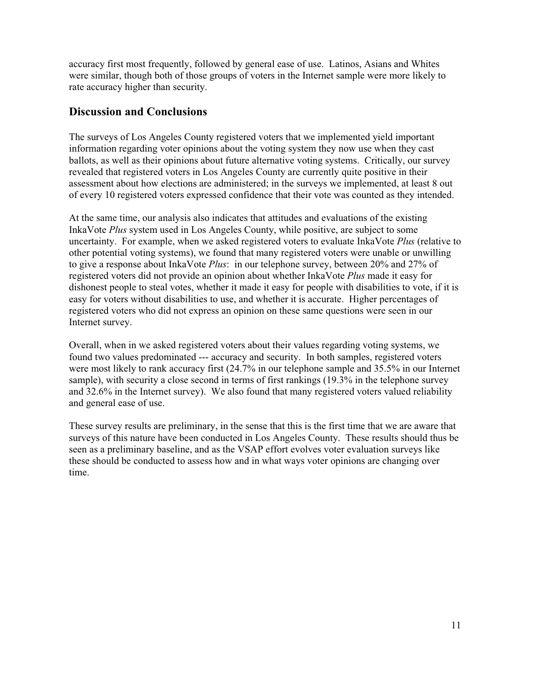accuracy first most frequently, followed by general ease of use. Latinos, Asians and Whites were similar, though both of those groups of voters in the Internet sample were more likely to rate accuracy higher than security.

## **Discussion and Conclusions**

The surveys of Los Angeles County registered voters that we implemented yield important information regarding voter opinions about the voting system they now use when they cast ballots, as well as their opinions about future alternative voting systems. Critically, our survey revealed that registered voters in Los Angeles County are currently quite positive in their assessment about how elections are administered; in the surveys we implemented, at least 8 out of every 10 registered voters expressed confidence that their vote was counted as they intended.

At the same time, our analysis also indicates that attitudes and evaluations of the existing InkaVote *Plus* system used in Los Angeles County, while positive, are subject to some uncertainty. For example, when we asked registered voters to evaluate InkaVote *Plus* (relative to other potential voting systems), we found that many registered voters were unable or unwilling to give a response about InkaVote *Plus*: in our telephone survey, between 20% and 27% of registered voters did not provide an opinion about whether InkaVote *Plus* made it easy for dishonest people to steal votes, whether it made it easy for people with disabilities to vote, if it is easy for voters without disabilities to use, and whether it is accurate. Higher percentages of registered voters who did not express an opinion on these same questions were seen in our Internet survey.

Overall, when in we asked registered voters about their values regarding voting systems, we found two values predominated --- accuracy and security. In both samples, registered voters were most likely to rank accuracy first (24.7% in our telephone sample and 35.5% in our Internet sample), with security a close second in terms of first rankings (19.3% in the telephone survey and 32.6% in the Internet survey). We also found that many registered voters valued reliability and general ease of use.

These survey results are preliminary, in the sense that this is the first time that we are aware that surveys of this nature have been conducted in Los Angeles County. These results should thus be seen as a preliminary baseline, and as the VSAP effort evolves voter evaluation surveys like these should be conducted to assess how and in what ways voter opinions are changing over time.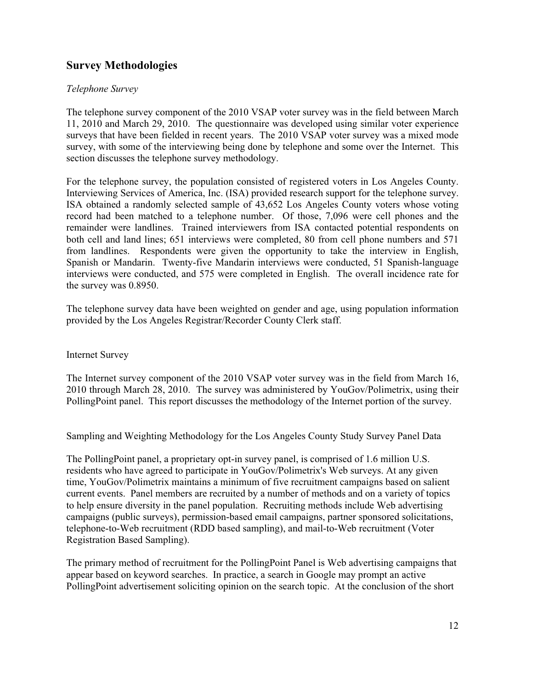## **Survey Methodologies**

#### *Telephone Survey*

The telephone survey component of the 2010 VSAP voter survey was in the field between March 11, 2010 and March 29, 2010. The questionnaire was developed using similar voter experience surveys that have been fielded in recent years. The 2010 VSAP voter survey was a mixed mode survey, with some of the interviewing being done by telephone and some over the Internet. This section discusses the telephone survey methodology.

For the telephone survey, the population consisted of registered voters in Los Angeles County. Interviewing Services of America, Inc. (ISA) provided research support for the telephone survey. ISA obtained a randomly selected sample of 43,652 Los Angeles County voters whose voting record had been matched to a telephone number. Of those, 7,096 were cell phones and the remainder were landlines. Trained interviewers from ISA contacted potential respondents on both cell and land lines; 651 interviews were completed, 80 from cell phone numbers and 571 from landlines. Respondents were given the opportunity to take the interview in English, Spanish or Mandarin. Twenty-five Mandarin interviews were conducted, 51 Spanish-language interviews were conducted, and 575 were completed in English. The overall incidence rate for the survey was 0.8950.

The telephone survey data have been weighted on gender and age, using population information provided by the Los Angeles Registrar/Recorder County Clerk staff.

#### Internet Survey

The Internet survey component of the 2010 VSAP voter survey was in the field from March 16, 2010 through March 28, 2010. The survey was administered by YouGov/Polimetrix, using their PollingPoint panel. This report discusses the methodology of the Internet portion of the survey.

Sampling and Weighting Methodology for the Los Angeles County Study Survey Panel Data

The PollingPoint panel, a proprietary opt-in survey panel, is comprised of 1.6 million U.S. residents who have agreed to participate in YouGov/Polimetrix's Web surveys. At any given time, YouGov/Polimetrix maintains a minimum of five recruitment campaigns based on salient current events. Panel members are recruited by a number of methods and on a variety of topics to help ensure diversity in the panel population. Recruiting methods include Web advertising campaigns (public surveys), permission-based email campaigns, partner sponsored solicitations, telephone-to-Web recruitment (RDD based sampling), and mail-to-Web recruitment (Voter Registration Based Sampling).

The primary method of recruitment for the PollingPoint Panel is Web advertising campaigns that appear based on keyword searches. In practice, a search in Google may prompt an active PollingPoint advertisement soliciting opinion on the search topic. At the conclusion of the short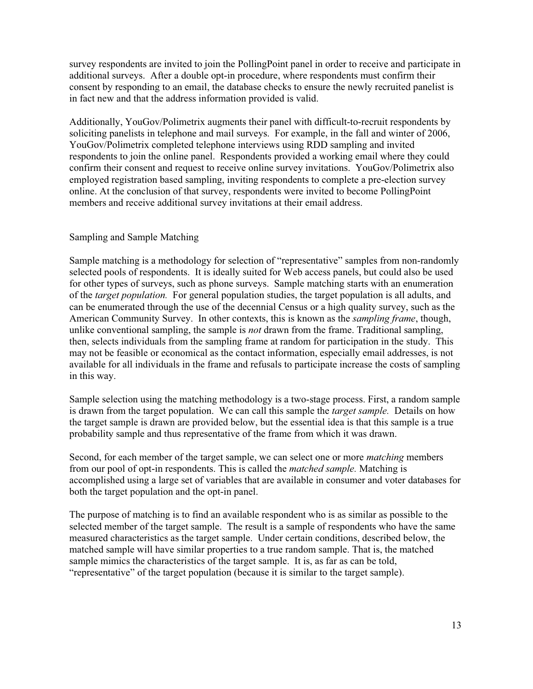survey respondents are invited to join the PollingPoint panel in order to receive and participate in additional surveys. After a double opt-in procedure, where respondents must confirm their consent by responding to an email, the database checks to ensure the newly recruited panelist is in fact new and that the address information provided is valid.

Additionally, YouGov/Polimetrix augments their panel with difficult-to-recruit respondents by soliciting panelists in telephone and mail surveys. For example, in the fall and winter of 2006, YouGov/Polimetrix completed telephone interviews using RDD sampling and invited respondents to join the online panel. Respondents provided a working email where they could confirm their consent and request to receive online survey invitations. YouGov/Polimetrix also employed registration based sampling, inviting respondents to complete a pre-election survey online. At the conclusion of that survey, respondents were invited to become PollingPoint members and receive additional survey invitations at their email address.

#### Sampling and Sample Matching

Sample matching is a methodology for selection of "representative" samples from non-randomly selected pools of respondents. It is ideally suited for Web access panels, but could also be used for other types of surveys, such as phone surveys. Sample matching starts with an enumeration of the *target population.* For general population studies, the target population is all adults, and can be enumerated through the use of the decennial Census or a high quality survey, such as the American Community Survey. In other contexts, this is known as the *sampling frame*, though, unlike conventional sampling, the sample is *not* drawn from the frame. Traditional sampling, then, selects individuals from the sampling frame at random for participation in the study. This may not be feasible or economical as the contact information, especially email addresses, is not available for all individuals in the frame and refusals to participate increase the costs of sampling in this way.

Sample selection using the matching methodology is a two-stage process. First, a random sample is drawn from the target population. We can call this sample the *target sample.* Details on how the target sample is drawn are provided below, but the essential idea is that this sample is a true probability sample and thus representative of the frame from which it was drawn.

Second, for each member of the target sample, we can select one or more *matching* members from our pool of opt-in respondents. This is called the *matched sample.* Matching is accomplished using a large set of variables that are available in consumer and voter databases for both the target population and the opt-in panel.

The purpose of matching is to find an available respondent who is as similar as possible to the selected member of the target sample. The result is a sample of respondents who have the same measured characteristics as the target sample. Under certain conditions, described below, the matched sample will have similar properties to a true random sample. That is, the matched sample mimics the characteristics of the target sample. It is, as far as can be told, "representative" of the target population (because it is similar to the target sample).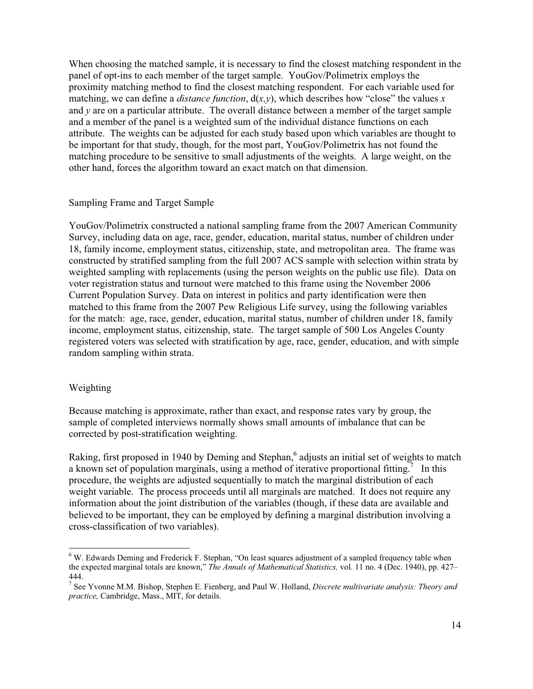When choosing the matched sample, it is necessary to find the closest matching respondent in the panel of opt-ins to each member of the target sample. YouGov/Polimetrix employs the proximity matching method to find the closest matching respondent. For each variable used for matching, we can define a *distance function*,  $d(x, y)$ , which describes how "close" the values *x* and *y* are on a particular attribute. The overall distance between a member of the target sample and a member of the panel is a weighted sum of the individual distance functions on each attribute. The weights can be adjusted for each study based upon which variables are thought to be important for that study, though, for the most part, YouGov/Polimetrix has not found the matching procedure to be sensitive to small adjustments of the weights. A large weight, on the other hand, forces the algorithm toward an exact match on that dimension.

#### Sampling Frame and Target Sample

YouGov/Polimetrix constructed a national sampling frame from the 2007 American Community Survey, including data on age, race, gender, education, marital status, number of children under 18, family income, employment status, citizenship, state, and metropolitan area. The frame was constructed by stratified sampling from the full 2007 ACS sample with selection within strata by weighted sampling with replacements (using the person weights on the public use file). Data on voter registration status and turnout were matched to this frame using the November 2006 Current Population Survey. Data on interest in politics and party identification were then matched to this frame from the 2007 Pew Religious Life survey, using the following variables for the match: age, race, gender, education, marital status, number of children under 18, family income, employment status, citizenship, state. The target sample of 500 Los Angeles County registered voters was selected with stratification by age, race, gender, education, and with simple random sampling within strata.

#### Weighting

Because matching is approximate, rather than exact, and response rates vary by group, the sample of completed interviews normally shows small amounts of imbalance that can be corrected by post-stratification weighting.

Raking, first proposed in 1940 by Deming and Stephan,<sup>6</sup> adjusts an initial set of weights to match a known set of population marginals, using a method of iterative proportional fitting.<sup>7</sup> In this procedure, the weights are adjusted sequentially to match the marginal distribution of each weight variable. The process proceeds until all marginals are matched. It does not require any information about the joint distribution of the variables (though, if these data are available and believed to be important, they can be employed by defining a marginal distribution involving a cross-classification of two variables).

<sup>&</sup>lt;sup>6</sup> W. Edwards Deming and Frederick F. Stephan, "On least squares adjustment of a sampled frequency table when the expected marginal totals are known," *The Annals of Mathematical Statistics,* vol. 11 no. 4 (Dec. 1940), pp. 427– 444.

<sup>7</sup> See Yvonne M.M. Bishop, Stephen E. Fienberg, and Paul W. Holland, *Discrete multivariate analysis: Theory and practice,* Cambridge, Mass., MIT, for details.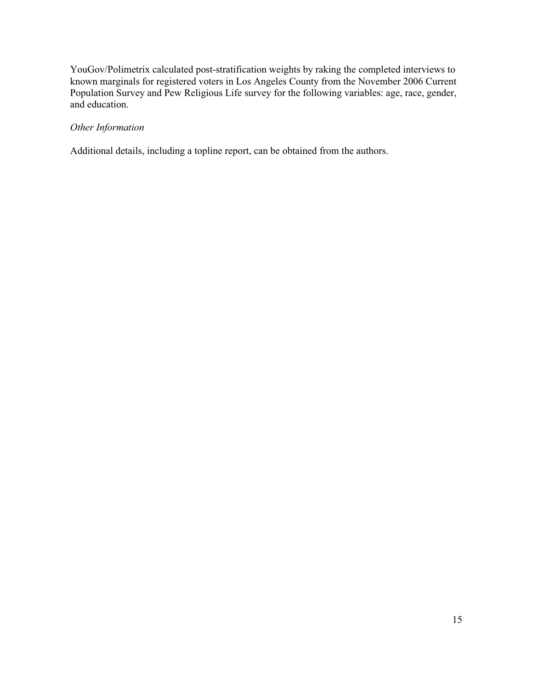YouGov/Polimetrix calculated post-stratification weights by raking the completed interviews to known marginals for registered voters in Los Angeles County from the November 2006 Current Population Survey and Pew Religious Life survey for the following variables: age, race, gender, and education.

#### *Other Information*

Additional details, including a topline report, can be obtained from the authors.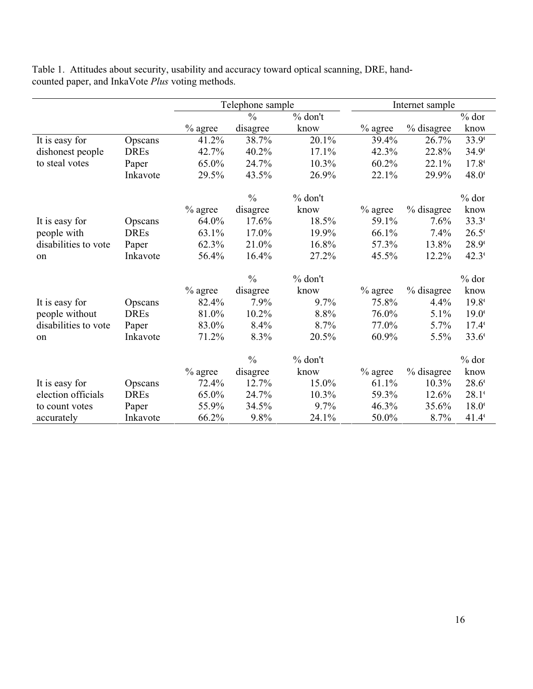|                      |             | Telephone sample |               |           | Internet sample |            |                |
|----------------------|-------------|------------------|---------------|-----------|-----------------|------------|----------------|
|                      |             |                  | $\frac{0}{0}$ | $%$ don't |                 |            | $%$ dor        |
|                      |             | $%$ agree        | disagree      | know      | $%$ agree       | % disagree | know           |
| It is easy for       | Opscans     | 41.2%            | 38.7%         | 20.1%     | 39.4%           | 26.7%      | 33.9           |
| dishonest people     | <b>DREs</b> | 42.7%            | 40.2%         | 17.1%     | 42.3%           | 22.8%      | $34.9^{\circ}$ |
| to steal votes       | Paper       | 65.0%            | 24.7%         | 10.3%     | 60.2%           | 22.1%      | $17.8^{\circ}$ |
|                      | Inkavote    | 29.5%            | 43.5%         | 26.9%     | 22.1%           | 29.9%      | 48.0           |
|                      |             |                  | $\frac{0}{0}$ | $%$ don't |                 |            | $%$ dor        |
|                      |             | $\%$ agree       | disagree      | know      | $%$ agree       | % disagree | know           |
| It is easy for       | Opscans     | 64.0%            | 17.6%         | 18.5%     | 59.1%           | 7.6%       | $33.3^{\circ}$ |
| people with          | <b>DREs</b> | 63.1%            | 17.0%         | 19.9%     | 66.1%           | 7.4%       | $26.5^{\circ}$ |
| disabilities to vote | Paper       | 62.3%            | 21.0%         | 16.8%     | 57.3%           | 13.8%      | 28.9           |
| on                   | Inkavote    | 56.4%            | 16.4%         | 27.2%     | 45.5%           | 12.2%      | $42.3^{\circ}$ |
|                      |             |                  | $\frac{0}{0}$ | $%$ don't |                 |            | $%$ dor        |
|                      |             | $%$ agree        | disagree      | know      | $%$ agree       | % disagree | know           |
| It is easy for       | Opscans     | 82.4%            | 7.9%          | 9.7%      | 75.8%           | 4.4%       | $19.8^{\circ}$ |
| people without       | <b>DREs</b> | 81.0%            | 10.2%         | 8.8%      | 76.0%           | 5.1%       | $19.0^{\circ}$ |
| disabilities to vote | Paper       | 83.0%            | 8.4%          | 8.7%      | 77.0%           | 5.7%       | $17.4^{\circ}$ |
| on                   | Inkavote    | 71.2%            | 8.3%          | 20.5%     | 60.9%           | 5.5%       | $33.6^{\circ}$ |
|                      |             |                  | $\frac{0}{0}$ | $%$ don't |                 |            | $%$ dor        |
|                      |             | $%$ agree        | disagree      | know      | $%$ agree       | % disagree | know           |
| It is easy for       | Opscans     | 72.4%            | 12.7%         | 15.0%     | 61.1%           | 10.3%      | $28.6^{\circ}$ |
| election officials   | <b>DREs</b> | 65.0%            | 24.7%         | 10.3%     | 59.3%           | 12.6%      | $28.1^{\circ}$ |
| to count votes       | Paper       | 55.9%            | 34.5%         | 9.7%      | 46.3%           | 35.6%      | $18.0^{\circ}$ |
| accurately           | Inkavote    | 66.2%            | 9.8%          | 24.1%     | 50.0%           | 8.7%       | $41.4^{\circ}$ |

Table 1. Attitudes about security, usability and accuracy toward optical scanning, DRE, handcounted paper, and InkaVote *Plus* voting methods.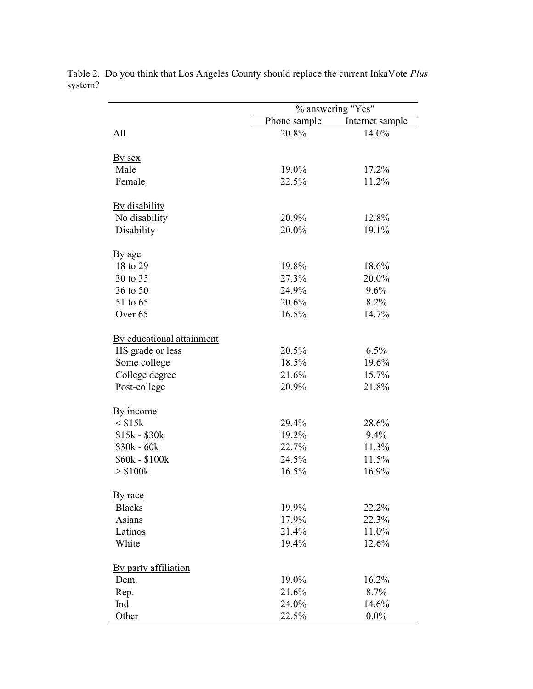|                           | % answering "Yes" |                 |  |  |  |
|---------------------------|-------------------|-----------------|--|--|--|
|                           | Phone sample      | Internet sample |  |  |  |
| All                       | 20.8%             | 14.0%           |  |  |  |
| By sex                    |                   |                 |  |  |  |
| Male                      | 19.0%             | 17.2%           |  |  |  |
| Female                    | 22.5%             | 11.2%           |  |  |  |
| By disability             |                   |                 |  |  |  |
| No disability             | 20.9%             | 12.8%           |  |  |  |
| Disability                | 20.0%             | 19.1%           |  |  |  |
| By age                    |                   |                 |  |  |  |
| 18 to 29                  | 19.8%             | 18.6%           |  |  |  |
| 30 to 35                  | 27.3%             | 20.0%           |  |  |  |
| 36 to 50                  | 24.9%             | 9.6%            |  |  |  |
| 51 to 65                  | 20.6%             | 8.2%            |  |  |  |
| Over <sub>65</sub>        | 16.5%             | 14.7%           |  |  |  |
| By educational attainment |                   |                 |  |  |  |
| HS grade or less          | 20.5%             | 6.5%            |  |  |  |
| Some college              | 18.5%             | 19.6%           |  |  |  |
| College degree            | 21.6%             | 15.7%           |  |  |  |
| Post-college              | 20.9%             | 21.8%           |  |  |  |
| By income                 |                   |                 |  |  |  |
| $<$ \$15 $k$              | 29.4%             | 28.6%           |  |  |  |
| $$15k - $30k$             | 19.2%             | 9.4%            |  |  |  |
| $$30k - 60k$              | 22.7%             | 11.3%           |  |  |  |
| \$60k - \$100k            | 24.5%             | 11.5%           |  |  |  |
| $>$ \$100 $k$             | 16.5%             | 16.9%           |  |  |  |
| By race                   |                   |                 |  |  |  |
| <b>Blacks</b>             | 19.9%             | 22.2%           |  |  |  |
| Asians                    | 17.9%             | 22.3%           |  |  |  |
| Latinos                   | 21.4%             | 11.0%           |  |  |  |
| White                     | 19.4%             | 12.6%           |  |  |  |
| By party affiliation      |                   |                 |  |  |  |
| Dem.                      | 19.0%             | 16.2%           |  |  |  |
| Rep.                      | 21.6%             | 8.7%            |  |  |  |
| Ind.                      | 24.0%             | 14.6%           |  |  |  |
| Other                     | 22.5%             | $0.0\%$         |  |  |  |

Table 2. Do you think that Los Angeles County should replace the current InkaVote *Plus* system?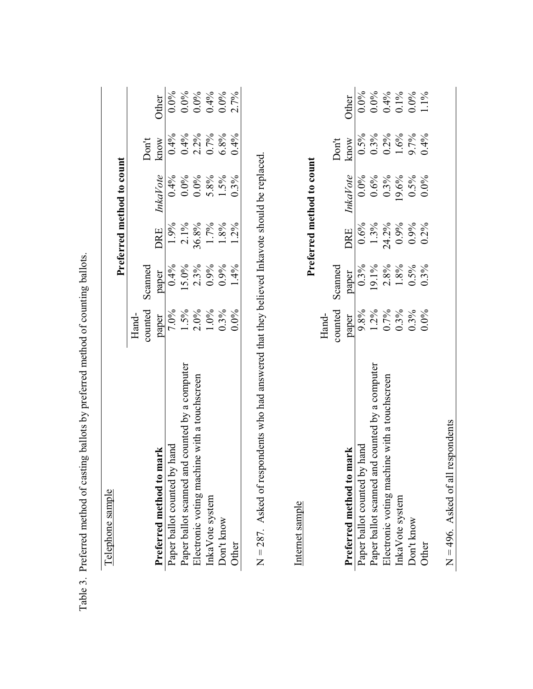|                                                |         |         |            | Preferred method to count |         |         |
|------------------------------------------------|---------|---------|------------|---------------------------|---------|---------|
|                                                | $Hand-$ |         |            |                           |         |         |
|                                                | counted | Scanned |            |                           | Don't   |         |
| mark<br>Preferred method to                    | paper   | paper   | <b>DRE</b> | <b>InkaVote</b>           | know    | Other   |
| Paper ballot counted by hand                   | 7.0%    | 0.4%    | 1.9%       | 0.4%                      | 0.4%    | $0.0\%$ |
| Paper ballot scanned and counted by a computer | 1.5%    | 15.0%   | $2.1\%$    | $0.0\%$                   | 0.4%    | $0.0\%$ |
| Electronic voting machine with a touchscreen   | 2.0%    | 2.3%    | 36.8%      | $0.0\%$                   | $2.2\%$ | $0.0\%$ |
| InkaVote system                                | 1.0%    | 0.9%    | $1.7\%$    | 5.8%                      | 0.7%    | 0.4%    |
| Don't know                                     | 0.3%    | 0.9%    | 1.8%       | 1.5%                      | 6.8%    | $0.0\%$ |
| Other                                          | $0.0\%$ | 1.4%    | $1.2\%$    | 0.3%                      | 0.4%    | 2.7%    |
| Internet sample                                |         |         |            | Preferred method to count |         |         |
|                                                | Hand-   |         |            |                           |         |         |
|                                                | counted | Scanned |            |                           | Don't   |         |
| mark<br>Preferred method to                    | paper   | paper   | DRE        | InkaVote                  | know    | Other   |
| Paper ballot counted by hand                   | 9.8%    | 0.3%    | 0.6%       | $0.0\%$                   | 0.5%    | $0.0\%$ |
| Paper ballot scanned and counted by a computer | $1.2\%$ | 19.1%   | 1.3%       | 0.6%                      | 0.3%    | $0.0\%$ |
| Electronic voting machine with a touchscreen   | $0.7\%$ | 2.8%    | 24.2%      | $0.3\%$                   | $0.2\%$ | 0.4%    |
| InkaVote system                                | 0.3%    | 1.8%    | 0.9%       | 19.6%                     | 1.6%    | $0.1\%$ |
| Don't know                                     | 0.3%    | 0.5%    | 0.9%       | 0.5%                      | 9.7%    | $0.0\%$ |
|                                                |         |         |            |                           |         |         |

Table

 $N = 496$ . Asked of all respondents  $N = 496$ . Asked of all respondents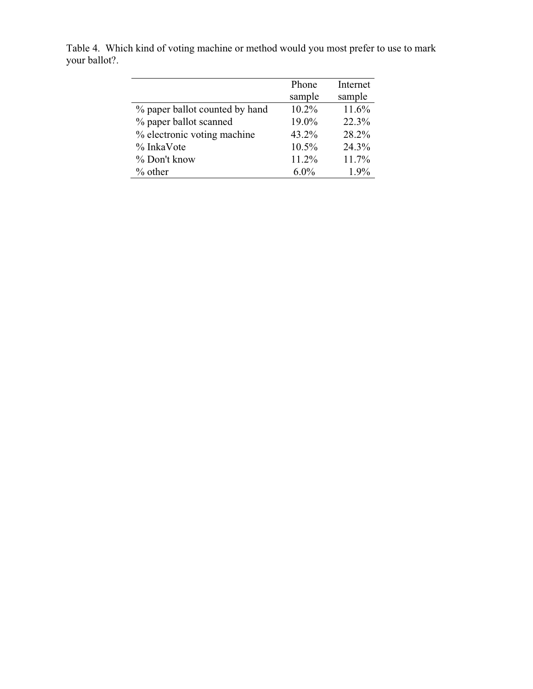|                                | Phone    | Internet |
|--------------------------------|----------|----------|
|                                | sample   | sample   |
| % paper ballot counted by hand | 10.2%    | 11.6%    |
| % paper ballot scanned         | 19.0%    | 22.3%    |
| % electronic voting machine    | 43.2%    | 28.2%    |
| $\%$ InkaVote                  | $10.5\%$ | 24.3%    |
| % Don't know                   | 11.2%    | 11.7%    |
| $%$ other                      | $6.0\%$  | 1.9%     |
|                                |          |          |

Table 4. Which kind of voting machine or method would you most prefer to use to mark your ballot?.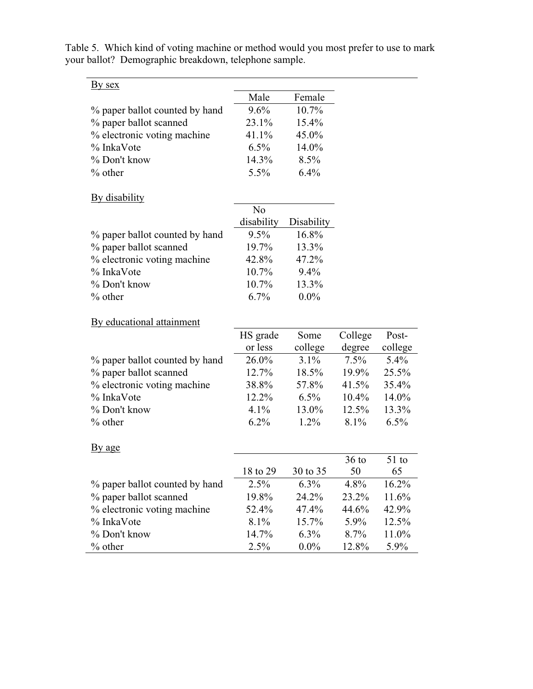| <u>By sex</u>                  |                |            |          |         |
|--------------------------------|----------------|------------|----------|---------|
|                                | Male           | Female     |          |         |
| % paper ballot counted by hand | 9.6%           | 10.7%      |          |         |
| % paper ballot scanned         | 23.1%          | 15.4%      |          |         |
| % electronic voting machine    | 41.1%          | 45.0%      |          |         |
| % InkaVote                     | $6.5\%$        | 14.0%      |          |         |
| % Don't know                   | 14.3%          | 8.5%       |          |         |
| $%$ other                      | 5.5%           | 6.4%       |          |         |
| <b>By disability</b>           |                |            |          |         |
|                                | N <sub>o</sub> |            |          |         |
|                                | disability     | Disability |          |         |
| % paper ballot counted by hand | $9.5\%$        | 16.8%      |          |         |
| % paper ballot scanned         | 19.7%          | 13.3%      |          |         |
| % electronic voting machine    | 42.8%          | 47.2%      |          |         |
| % InkaVote                     | $10.7\%$       | 9.4%       |          |         |
| % Don't know                   | 10.7%          | 13.3%      |          |         |
| $%$ other                      | 6.7%           | $0.0\%$    |          |         |
| By educational attainment      |                |            |          |         |
|                                | HS grade       | Some       | College  | Post-   |
|                                | or less        | college    | degree   | college |
| % paper ballot counted by hand | 26.0%          | 3.1%       | 7.5%     | $5.4\%$ |
| % paper ballot scanned         | 12.7%          | 18.5%      | 19.9%    | 25.5%   |
| % electronic voting machine    | 38.8%          | 57.8%      | 41.5%    | 35.4%   |
| % InkaVote                     | 12.2%          | $6.5\%$    | $10.4\%$ | 14.0%   |
| % Don't know                   | 4.1%           | 13.0%      | 12.5%    | 13.3%   |
| $%$ other                      | 6.2%           | $1.2\%$    | 8.1%     | $6.5\%$ |
| By age                         |                |            |          |         |
|                                |                |            | $36$ to  | $51$ to |
|                                | 18 to 29       | 30 to 35   | 50       | 65      |
| % paper ballot counted by hand | 2.5%           | $6.3\%$    | 4.8%     | 16.2%   |
| % paper ballot scanned         | 19.8%          | 24.2%      | 23.2%    | 11.6%   |
| % electronic voting machine    | 52.4%          | 47.4%      | 44.6%    | 42.9%   |
| % InkaVote                     | 8.1%           | 15.7%      | 5.9%     | 12.5%   |
| % Don't know                   | 14.7%          | 6.3%       | 8.7%     | 11.0%   |
| $%$ other                      | 2.5%           | $0.0\%$    | 12.8%    | 5.9%    |
|                                |                |            |          |         |

Table 5. Which kind of voting machine or method would you most prefer to use to mark your ballot? Demographic breakdown, telephone sample.

<u> 1989 - Johann Stoff, deutscher Stoffen und der Stoffen und der Stoffen und der Stoffen und der Stoffen und der</u>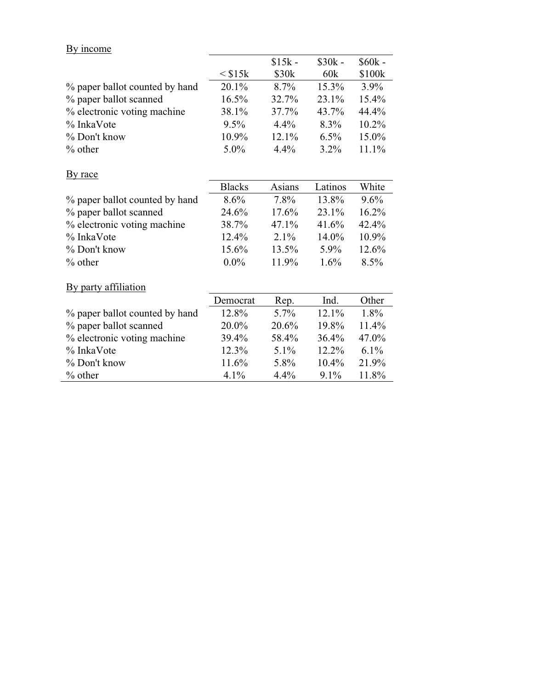|  |  | By income |
|--|--|-----------|
|--|--|-----------|

|                                |               | $$15k -$          | $$30k -$ | $$60k -$ |
|--------------------------------|---------------|-------------------|----------|----------|
|                                | $<$ \$15 $k$  | \$30 <sub>k</sub> | 60k      | \$100k   |
| % paper ballot counted by hand | 20.1%         | 8.7%              | 15.3%    | 3.9%     |
| % paper ballot scanned         | 16.5%         | 32.7%             | 23.1%    | 15.4%    |
| % electronic voting machine    | 38.1%         | 37.7%             | 43.7%    | 44.4%    |
| % InkaVote                     | $9.5\%$       | 4.4%              | 8.3%     | $10.2\%$ |
| % Don't know                   | 10.9%         | 12.1%             | $6.5\%$  | 15.0%    |
| $%$ other                      | 5.0%          | 4.4%              | $3.2\%$  | 11.1%    |
| By race                        |               |                   |          |          |
|                                | <b>Blacks</b> | Asians            | Latinos  | White    |
| % paper ballot counted by hand | 8.6%          | 7.8%              | 13.8%    | $9.6\%$  |
| % paper ballot scanned         | 24.6%         | 17.6%             | 23.1%    | 16.2%    |
| % electronic voting machine    | 38.7%         | 47.1%             | 41.6%    | 42.4%    |
| % InkaVote                     | 12.4%         | 2.1%              | 14.0%    | 10.9%    |
| % Don't know                   | 15.6%         | 13.5%             | 5.9%     | 12.6%    |
| $%$ other                      | $0.0\%$       | 11.9%             | $1.6\%$  | 8.5%     |
| By party affiliation           |               |                   |          |          |
|                                | Democrat      | Rep.              | Ind.     | Other    |
| % paper ballot counted by hand | 12.8%         | 5.7%              | 12.1%    | 1.8%     |
| % paper ballot scanned         | 20.0%         | 20.6%             | 19.8%    | 11.4%    |
| % electronic voting machine    | 39.4%         | 58.4%             | 36.4%    | 47.0%    |
| % InkaVote                     | 12.3%         | $5.1\%$           | 12.2%    | $6.1\%$  |
| % Don't know                   | 11.6%         | 5.8%              | 10.4%    | 21.9%    |
| $%$ other                      | 4.1%          | 4.4%              | 9.1%     | 11.8%    |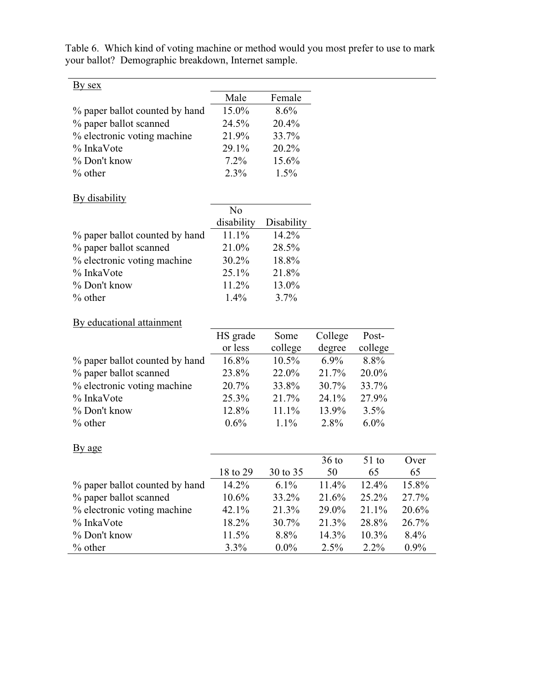| Male    | Female  |
|---------|---------|
| 15.0%   | 8.6%    |
| 24.5%   | 20.4%   |
| 21.9%   | 33.7%   |
| 29.1%   | 20.2%   |
| $7.2\%$ | 15.6%   |
| $2.3\%$ | $1.5\%$ |
|         |         |

<u> 1989 - Johann Stoff, Amerikaansk politiker († 1908)</u>

Table 6. Which kind of voting machine or method would you most prefer to use to mark your ballot? Demographic breakdown, Internet sample.

## By disability

| N <sub>0</sub> |            |
|----------------|------------|
| disability     | Disability |
| 11.1%          | 14.2%      |
| 21.0%          | 28.5%      |
| 30.2%          | 18.8%      |
| 25.1%          | 21.8%      |
| 11.2%          | 13.0%      |
| $1.4\%$        | 3.7%       |
|                |            |

## By educational attainment

| By educational attainment      |          |          |          |         |
|--------------------------------|----------|----------|----------|---------|
|                                | HS grade | Some     | College  | Post-   |
|                                | or less  | college  | degree   | college |
| % paper ballot counted by hand | 16.8%    | 10.5%    | $6.9\%$  | 8.8%    |
| % paper ballot scanned         | 23.8%    | 22.0%    | 21.7%    | 20.0%   |
| % electronic voting machine    | 20.7%    | 33.8%    | $30.7\%$ | 33.7%   |
| % InkaVote                     | 25.3%    | 21.7%    | 24.1%    | 27.9%   |
| % Don't know                   | 12.8%    | $11.1\%$ | 13.9%    | $3.5\%$ |
| $%$ other                      | $0.6\%$  | $1.1\%$  | $2.8\%$  | $6.0\%$ |
|                                |          |          |          |         |

## By age

|                                |          |          | $36$ to  | $51$ to  | Over     |
|--------------------------------|----------|----------|----------|----------|----------|
|                                | 18 to 29 | 30 to 35 | 50       | 65       | 65       |
| % paper ballot counted by hand | $14.2\%$ | $6.1\%$  | $11.4\%$ | $12.4\%$ | 15.8%    |
| % paper ballot scanned         | $10.6\%$ | 33.2%    | 21.6%    | 25.2%    | 27.7%    |
| % electronic voting machine    | 42.1%    | 21.3%    | 29.0%    | $21.1\%$ | $20.6\%$ |
| $\%$ InkaVote                  | 18.2%    | 30.7%    | 21.3%    | 28.8%    | 26.7%    |
| % Don't know                   | 11.5%    | $8.8\%$  | $14.3\%$ | $10.3\%$ | 8.4%     |
| $\%$ other                     | $3.3\%$  | $0.0\%$  | $2.5\%$  | $2.2\%$  | $0.9\%$  |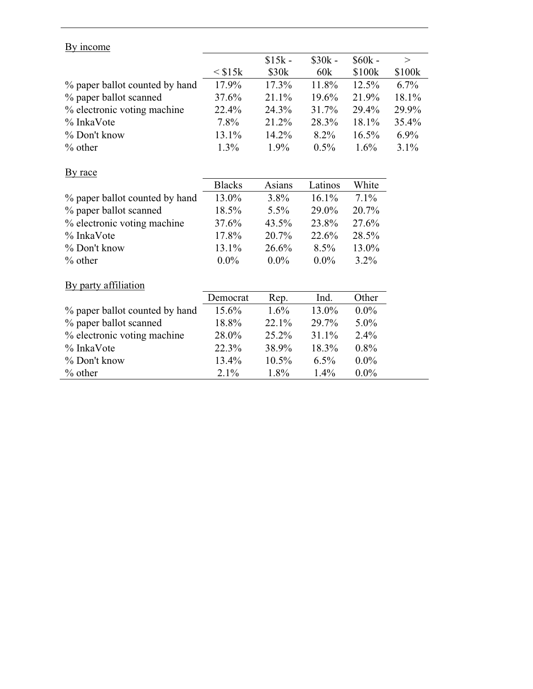## By income

|                                |                 | $$15k -$ | $$30k -$ | $$60k -$ | $\rm{>}$ |
|--------------------------------|-----------------|----------|----------|----------|----------|
|                                | $\leq$ \$15 $k$ | \$30k    | 60k      | \$100k   | \$100k   |
| % paper ballot counted by hand | 17.9%           | 17.3%    | 11.8%    | $12.5\%$ | $6.7\%$  |
| % paper ballot scanned         | 37.6%           | 21.1%    | $19.6\%$ | 21.9%    | 18.1%    |
| % electronic voting machine    | 22.4%           | 24.3%    | 31.7%    | 29.4%    | 29.9%    |
| $\%$ InkaVote                  | $7.8\%$         | 21.2%    | 28.3%    | 18.1%    | 35.4%    |
| $\%$ Don't know                | $13.1\%$        | 14.2%    | $8.2\%$  | $16.5\%$ | $6.9\%$  |
| $\%$ other                     | $1.3\%$         | $1.9\%$  | $0.5\%$  | $1.6\%$  | $3.1\%$  |

## By race

|                                | <b>Blacks</b> | Asians  | Latinos  | White    |
|--------------------------------|---------------|---------|----------|----------|
| % paper ballot counted by hand | 13.0%         | $3.8\%$ | $16.1\%$ | $7.1\%$  |
| % paper ballot scanned         | 18.5%         | $5.5\%$ | 29.0%    | $20.7\%$ |
| % electronic voting machine    | 37.6%         | 43.5%   | 23.8%    | 27.6%    |
| % InkaVote                     | 17.8%         | 20.7%   | 22.6%    | 28.5%    |
| $\%$ Don't know                | 13.1%         | 26.6%   | $8.5\%$  | 13.0%    |
| $\%$ other                     | $0.0\%$       | $0.0\%$ | $0.0\%$  | $3.2\%$  |

#### By party affiliation

|                                | Democrat | Rep.     | Ind.     | Other   |
|--------------------------------|----------|----------|----------|---------|
| % paper ballot counted by hand | 15.6%    | $1.6\%$  | $13.0\%$ | $0.0\%$ |
| % paper ballot scanned         | 18.8%    | $22.1\%$ | 29.7%    | $5.0\%$ |
| % electronic voting machine    | 28.0%    | $25.2\%$ | $31.1\%$ | $2.4\%$ |
| $\%$ InkaVote                  | 22.3%    | 38.9%    | 18.3%    | $0.8\%$ |
| % Don't know                   | 13.4%    | $10.5\%$ | 6.5%     | $0.0\%$ |
| $%$ other                      | $2.1\%$  | $1.8\%$  | $1.4\%$  | $0.0\%$ |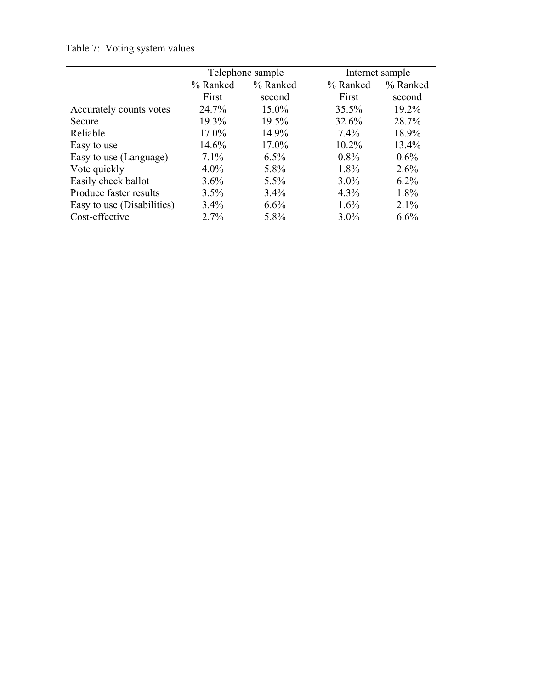|                            | Telephone sample |          |          | Internet sample |
|----------------------------|------------------|----------|----------|-----------------|
|                            | % Ranked         | % Ranked | % Ranked | % Ranked        |
|                            | First            | second   | First    | second          |
| Accurately counts votes    | 24.7%            | 15.0%    | 35.5%    | 19.2%           |
| Secure                     | 19.3%            | 19.5%    | 32.6%    | 28.7%           |
| Reliable                   | 17.0%            | 14.9%    | 7.4%     | 18.9%           |
| Easy to use                | 14.6%            | 17.0%    | 10.2%    | 13.4%           |
| Easy to use (Language)     | $7.1\%$          | $6.5\%$  | $0.8\%$  | $0.6\%$         |
| Vote quickly               | $4.0\%$          | 5.8%     | 1.8%     | 2.6%            |
| Easily check ballot        | 3.6%             | 5.5%     | $3.0\%$  | $6.2\%$         |
| Produce faster results     | 3.5%             | 3.4%     | $4.3\%$  | $1.8\%$         |
| Easy to use (Disabilities) | $3.4\%$          | 6.6%     | $1.6\%$  | $2.1\%$         |
| Cost-effective             | $2.7\%$          | 5.8%     | $3.0\%$  | 6.6%            |

# Table 7: Voting system values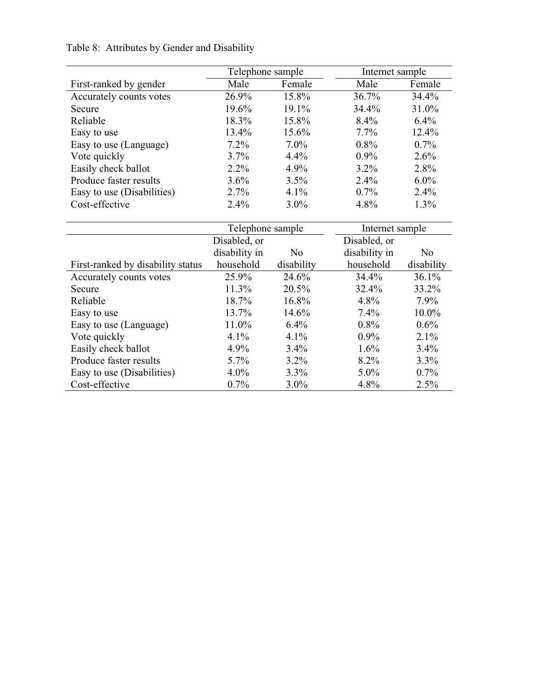|                            | Telephone sample |          | Internet sample |          |  |
|----------------------------|------------------|----------|-----------------|----------|--|
| First-ranked by gender     | Male             | Female   | Male            | Female   |  |
| Accurately counts votes    | 26.9%            | 15.8%    | 36.7%           | $34.4\%$ |  |
| Secure                     | 19.6%            | $19.1\%$ | 34.4%           | 31.0%    |  |
| Reliable                   | 18.3%            | 15.8%    | 8.4%            | $6.4\%$  |  |
| Easy to use                | 13.4%            | 15.6%    | $7.7\%$         | 12.4%    |  |
| Easy to use (Language)     | $7.2\%$          | $7.0\%$  | $0.8\%$         | $0.7\%$  |  |
| Vote quickly               | $3.7\%$          | $4.4\%$  | $0.9\%$         | $2.6\%$  |  |
| Easily check ballot        | $2.2\%$          | $4.9\%$  | $3.2\%$         | 2.8%     |  |
| Produce faster results     | $3.6\%$          | 3.5%     | $2.4\%$         | $6.0\%$  |  |
| Easy to use (Disabilities) | $2.7\%$          | 4.1%     | $0.7\%$         | $2.4\%$  |  |
| Cost-effective             | $2.4\%$          | $3.0\%$  | 4.8%            | $1.3\%$  |  |

# Table 8: Attributes by Gender and Disability

|                                   | Telephone sample |                | Internet sample |                |
|-----------------------------------|------------------|----------------|-----------------|----------------|
|                                   | Disabled, or     |                | Disabled, or    |                |
|                                   | disability in    | N <sub>0</sub> | disability in   | N <sub>0</sub> |
| First-ranked by disability status | household        | disability     | household       | disability     |
| Accurately counts votes           | 25.9%            | 24.6%          | 34.4%           | 36.1%          |
| Secure                            | $11.3\%$         | 20.5%          | 32.4%           | 33.2%          |
| Reliable                          | 18.7%            | $16.8\%$       | 4.8%            | $7.9\%$        |
| Easy to use                       | 13.7%            | $14.6\%$       | $7.4\%$         | $10.0\%$       |
| Easy to use (Language)            | 11.0%            | 6.4%           | $0.8\%$         | $0.6\%$        |
| Vote quickly                      | $4.1\%$          | $4.1\%$        | $0.9\%$         | $2.1\%$        |
| Easily check ballot               | $4.9\%$          | 3.4%           | $1.6\%$         | $3.4\%$        |
| Produce faster results            | $5.7\%$          | $3.2\%$        | $8.2\%$         | $3.3\%$        |
| Easy to use (Disabilities)        | $4.0\%$          | 3.3%           | $5.0\%$         | $0.7\%$        |
| Cost-effective                    | $0.7\%$          | $3.0\%$        | 4.8%            | 2.5%           |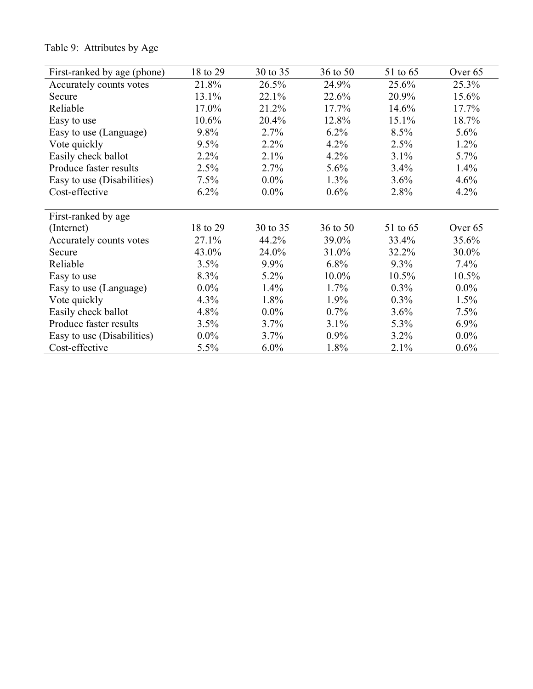| First-ranked by age (phone) | 18 to 29 | 30 to 35 | 36 to 50 | 51 to 65 | Over 65 |
|-----------------------------|----------|----------|----------|----------|---------|
| Accurately counts votes     | 21.8%    | 26.5%    | 24.9%    | 25.6%    | 25.3%   |
| Secure                      | 13.1%    | 22.1%    | 22.6%    | 20.9%    | 15.6%   |
| Reliable                    | 17.0%    | 21.2%    | $17.7\%$ | $14.6\%$ | 17.7%   |
| Easy to use                 | $10.6\%$ | 20.4%    | 12.8%    | $15.1\%$ | 18.7%   |
| Easy to use (Language)      | 9.8%     | 2.7%     | 6.2%     | $8.5\%$  | $5.6\%$ |
| Vote quickly                | $9.5\%$  | $2.2\%$  | 4.2%     | 2.5%     | $1.2\%$ |
| Easily check ballot         | $2.2\%$  | 2.1%     | 4.2%     | 3.1%     | 5.7%    |
| Produce faster results      | 2.5%     | 2.7%     | $5.6\%$  | 3.4%     | $1.4\%$ |
| Easy to use (Disabilities)  | $7.5\%$  | $0.0\%$  | 1.3%     | $3.6\%$  | 4.6%    |
| Cost-effective              | $6.2\%$  | $0.0\%$  | $0.6\%$  | 2.8%     | $4.2\%$ |
| First-ranked by age         |          |          |          |          |         |
| (Internet)                  | 18 to 29 | 30 to 35 | 36 to 50 | 51 to 65 | Over 65 |
| Accurately counts votes     | 27.1%    | 44.2%    | 39.0%    | 33.4%    | 35.6%   |
| Secure                      | 43.0%    | 24.0%    | 31.0%    | 32.2%    | 30.0%   |
| Reliable                    | 3.5%     | 9.9%     | $6.8\%$  | $9.3\%$  | $7.4\%$ |
| Easy to use                 | 8.3%     | $5.2\%$  | $10.0\%$ | $10.5\%$ | 10.5%   |
| Easy to use (Language)      | $0.0\%$  | 1.4%     | 1.7%     | $0.3\%$  | $0.0\%$ |
| Vote quickly                | 4.3%     | 1.8%     | $1.9\%$  | $0.3\%$  | $1.5\%$ |
| Easily check ballot         | $4.8\%$  | $0.0\%$  | $0.7\%$  | $3.6\%$  | $7.5\%$ |
| Produce faster results      | 3.5%     | 3.7%     | 3.1%     | 5.3%     | $6.9\%$ |
| Easy to use (Disabilities)  | $0.0\%$  | 3.7%     | $0.9\%$  | $3.2\%$  | $0.0\%$ |
| Cost-effective              | $5.5\%$  | $6.0\%$  | 1.8%     | $2.1\%$  | 0.6%    |

# Table 9: Attributes by Age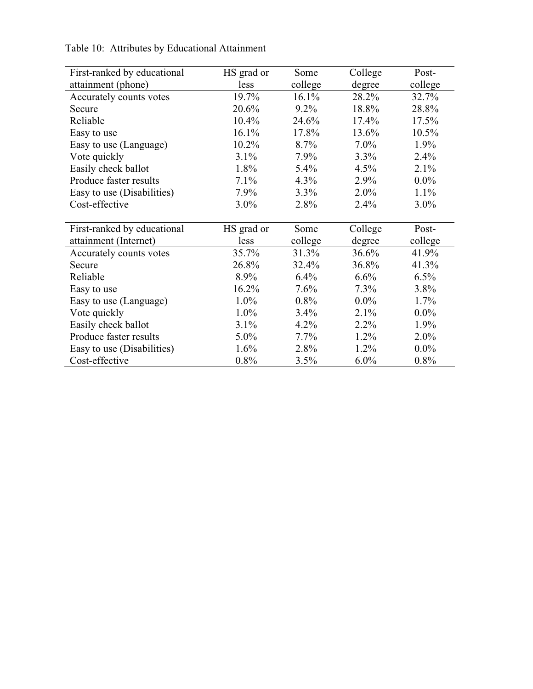| First-ranked by educational | HS grad or | Some    | College | Post-   |
|-----------------------------|------------|---------|---------|---------|
| attainment (phone)          | less       | college | degree  | college |
| Accurately counts votes     | 19.7%      | 16.1%   | 28.2%   | 32.7%   |
| Secure                      | 20.6%      | 9.2%    | 18.8%   | 28.8%   |
| Reliable                    | 10.4%      | 24.6%   | 17.4%   | 17.5%   |
| Easy to use                 | 16.1%      | 17.8%   | 13.6%   | 10.5%   |
| Easy to use (Language)      | 10.2%      | 8.7%    | $7.0\%$ | 1.9%    |
| Vote quickly                | 3.1%       | 7.9%    | 3.3%    | 2.4%    |
| Easily check ballot         | 1.8%       | $5.4\%$ | $4.5\%$ | $2.1\%$ |
| Produce faster results      | $7.1\%$    | $4.3\%$ | 2.9%    | $0.0\%$ |
| Easy to use (Disabilities)  | $7.9\%$    | 3.3%    | $2.0\%$ | $1.1\%$ |
| Cost-effective              | $3.0\%$    | 2.8%    | 2.4%    | $3.0\%$ |
|                             |            |         |         |         |
| First-ranked by educational | HS grad or | Some    | College | Post-   |
| attainment (Internet)       | less       | college | degree  | college |
| Accurately counts votes     | 35.7%      | 31.3%   | 36.6%   | 41.9%   |
| Secure                      | 26.8%      | 32.4%   | 36.8%   | 41.3%   |
| Reliable                    | 8.9%       | 6.4%    | 6.6%    | $6.5\%$ |
| Easy to use                 | 16.2%      | 7.6%    | 7.3%    | 3.8%    |
| Easy to use (Language)      | $1.0\%$    | $0.8\%$ | $0.0\%$ | $1.7\%$ |
| Vote quickly                | $1.0\%$    | 3.4%    | $2.1\%$ | $0.0\%$ |
| Easily check ballot         | $3.1\%$    | $4.2\%$ | 2.2%    | $1.9\%$ |
| Produce faster results      | $5.0\%$    | $7.7\%$ | 1.2%    | $2.0\%$ |
| Easy to use (Disabilities)  | $1.6\%$    | 2.8%    | 1.2%    | $0.0\%$ |
| Cost-effective              | 0.8%       | 3.5%    | $6.0\%$ | 0.8%    |

Table 10: Attributes by Educational Attainment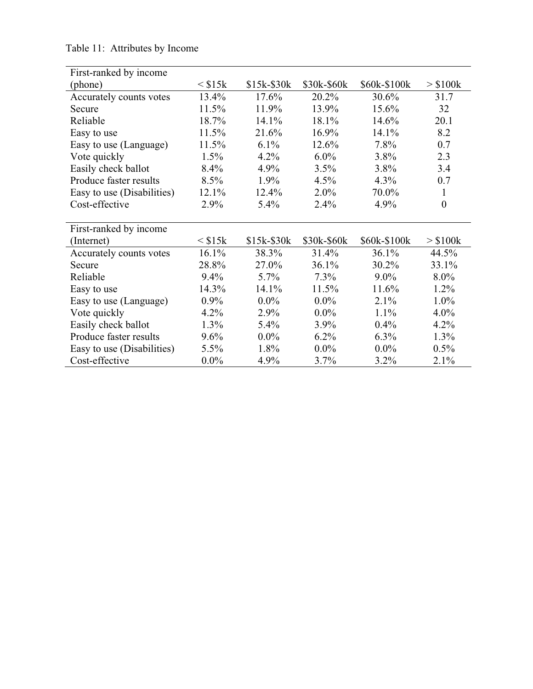| First-ranked by income     |                 |             |             |              |                  |
|----------------------------|-----------------|-------------|-------------|--------------|------------------|
| (phone)                    | $\leq$ \$15 $k$ | $$15k-$30k$ | \$30k-\$60k | \$60k-\$100k | $>$ \$100 $k$    |
| Accurately counts votes    | 13.4%           | 17.6%       | 20.2%       | 30.6%        | 31.7             |
| Secure                     | 11.5%           | 11.9%       | 13.9%       | 15.6%        | 32               |
| Reliable                   | 18.7%           | 14.1%       | 18.1%       | 14.6%        | 20.1             |
| Easy to use                | 11.5%           | 21.6%       | 16.9%       | 14.1%        | 8.2              |
| Easy to use (Language)     | 11.5%           | $6.1\%$     | 12.6%       | 7.8%         | 0.7              |
| Vote quickly               | 1.5%            | 4.2%        | $6.0\%$     | 3.8%         | 2.3              |
| Easily check ballot        | 8.4%            | 4.9%        | 3.5%        | 3.8%         | 3.4              |
| Produce faster results     | $8.5\%$         | $1.9\%$     | $4.5\%$     | 4.3%         | 0.7              |
| Easy to use (Disabilities) | 12.1%           | 12.4%       | $2.0\%$     | 70.0%        | $\mathbf{1}$     |
| Cost-effective             | 2.9%            | 5.4%        | 2.4%        | 4.9%         | $\boldsymbol{0}$ |
|                            |                 |             |             |              |                  |
| First-ranked by income     |                 |             |             |              |                  |
| (Internet)                 | $\leq$ \$15 $k$ | \$15k-\$30k | \$30k-\$60k | \$60k-\$100k | $>$ \$100 $k$    |
| Accurately counts votes    | 16.1%           | 38.3%       | 31.4%       | 36.1%        | 44.5%            |
| Secure                     | 28.8%           | 27.0%       | 36.1%       | 30.2%        | 33.1%            |
| Reliable                   | 9.4%            | $5.7\%$     | $7.3\%$     | $9.0\%$      | 8.0%             |
| Easy to use                | $14.3\%$        | 14.1%       | 11.5%       | 11.6%        | $1.2\%$          |
| Easy to use (Language)     | $0.9\%$         | $0.0\%$     | $0.0\%$     | 2.1%         | $1.0\%$          |
| Vote quickly               | 4.2%            | 2.9%        | $0.0\%$     | 1.1%         | 4.0%             |
| Easily check ballot        | 1.3%            | 5.4%        | 3.9%        | $0.4\%$      | 4.2%             |
| Produce faster results     | 9.6%            | $0.0\%$     | $6.2\%$     | $6.3\%$      | 1.3%             |
| Easy to use (Disabilities) | 5.5%            | 1.8%        | $0.0\%$     | $0.0\%$      | $0.5\%$          |
| Cost-effective             | $0.0\%$         | 4.9%        | 3.7%        | 3.2%         | 2.1%             |

Table 11: Attributes by Income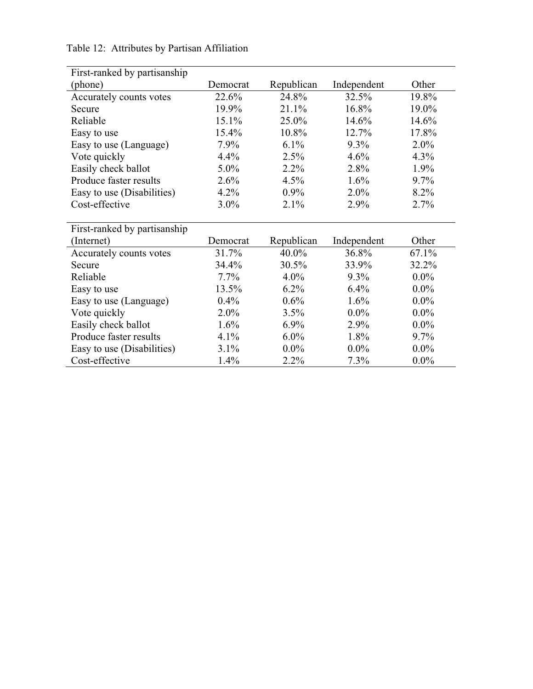| First-ranked by partisanship |          |            |             |         |
|------------------------------|----------|------------|-------------|---------|
| (phone)                      | Democrat | Republican | Independent | Other   |
| Accurately counts votes      | 22.6%    | 24.8%      | 32.5%       | 19.8%   |
| Secure                       | 19.9%    | $21.1\%$   | 16.8%       | 19.0%   |
| Reliable                     | 15.1%    | 25.0%      | 14.6%       | 14.6%   |
| Easy to use                  | 15.4%    | 10.8%      | 12.7%       | 17.8%   |
| Easy to use (Language)       | $7.9\%$  | $6.1\%$    | $9.3\%$     | $2.0\%$ |
| Vote quickly                 | 4.4%     | 2.5%       | 4.6%        | $4.3\%$ |
| Easily check ballot          | 5.0%     | $2.2\%$    | 2.8%        | 1.9%    |
| Produce faster results       | 2.6%     | $4.5\%$    | $1.6\%$     | $9.7\%$ |
| Easy to use (Disabilities)   | $4.2\%$  | $0.9\%$    | $2.0\%$     | $8.2\%$ |
| Cost-effective               | $3.0\%$  | $2.1\%$    | 2.9%        | 2.7%    |
|                              |          |            |             |         |
| First-ranked by partisanship |          |            |             |         |
| (Internet)                   | Democrat | Republican | Independent | Other   |
| Accurately counts votes      | 31.7%    | 40.0%      | 36.8%       | 67.1%   |
| Secure                       | 34.4%    | 30.5%      | 33.9%       | 32.2%   |
| Reliable                     | $7.7\%$  | $4.0\%$    | $9.3\%$     | $0.0\%$ |
| Easy to use                  | 13.5%    | $6.2\%$    | $6.4\%$     | $0.0\%$ |
| Easy to use (Language)       |          |            |             |         |
|                              | $0.4\%$  | $0.6\%$    | $1.6\%$     | $0.0\%$ |
| Vote quickly                 | $2.0\%$  | 3.5%       | $0.0\%$     | $0.0\%$ |
| Easily check ballot          | 1.6%     | $6.9\%$    | 2.9%        | $0.0\%$ |
| Produce faster results       | $4.1\%$  | $6.0\%$    | 1.8%        | $9.7\%$ |

Easy to use (Disabilities)  $3.1\%$   $0.0\%$   $0.0\%$   $0.0\%$   $0.0\%$   $0.0\%$   $0.0\%$   $0.0\%$ 

Table 12: Attributes by Partisan Affiliation

Cost-effective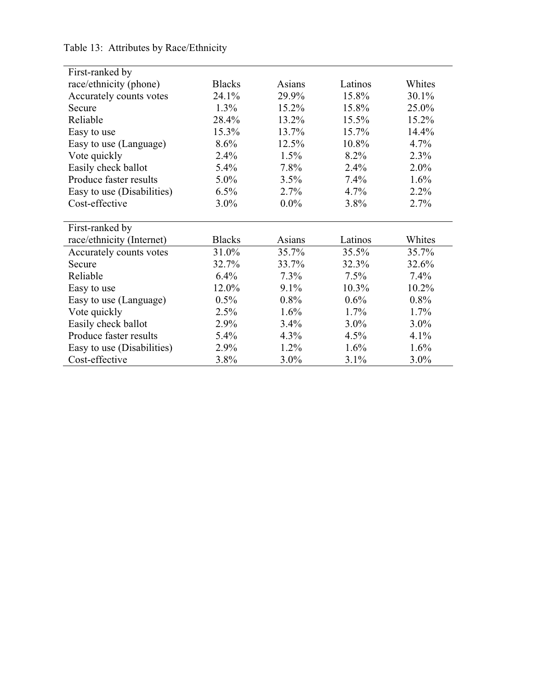| First-ranked by            |               |          |          |         |
|----------------------------|---------------|----------|----------|---------|
| race/ethnicity (phone)     | <b>Blacks</b> | Asians   | Latinos  | Whites  |
| Accurately counts votes    | 24.1%         | 29.9%    | 15.8%    | 30.1%   |
| Secure                     | $1.3\%$       | $15.2\%$ | 15.8%    | 25.0%   |
| Reliable                   | 28.4%         | 13.2%    | 15.5%    | 15.2%   |
| Easy to use                | 15.3%         | 13.7%    | 15.7%    | 14.4%   |
| Easy to use (Language)     | 8.6%          | 12.5%    | 10.8%    | 4.7%    |
| Vote quickly               | 2.4%          | $1.5\%$  | 8.2%     | 2.3%    |
| Easily check ballot        | $5.4\%$       | 7.8%     | $2.4\%$  | $2.0\%$ |
| Produce faster results     | 5.0%          | 3.5%     | 7.4%     | 1.6%    |
| Easy to use (Disabilities) | 6.5%          | 2.7%     | 4.7%     | 2.2%    |
| Cost-effective             | 3.0%          | $0.0\%$  | 3.8%     | 2.7%    |
|                            |               |          |          |         |
| First-ranked by            |               |          |          |         |
| race/ethnicity (Internet)  | <b>Blacks</b> | Asians   | Latinos  | Whites  |
| Accurately counts votes    | 31.0%         | 35.7%    | 35.5%    | 35.7%   |
| Secure                     | 32.7%         | 33.7%    | 32.3%    | 32.6%   |
| Reliable                   | 6.4%          | $7.3\%$  | 7.5%     | 7.4%    |
| Easy to use                | 12.0%         | $9.1\%$  | $10.3\%$ | 10.2%   |
| Easy to use (Language)     | 0.5%          | 0.8%     | 0.6%     | 0.8%    |
| Vote quickly               | 2.5%          | 1.6%     | 1.7%     | 1.7%    |
| Easily check ballot        | 2.9%          | $3.4\%$  | $3.0\%$  | $3.0\%$ |
| Produce faster results     | $5.4\%$       | $4.3\%$  | $4.5\%$  | 4.1%    |
| Easy to use (Disabilities) | 2.9%          | 1.2%     | 1.6%     | 1.6%    |
| Cost-effective             | 3.8%          | $3.0\%$  | 3.1%     | 3.0%    |

Table 13: Attributes by Race/Ethnicity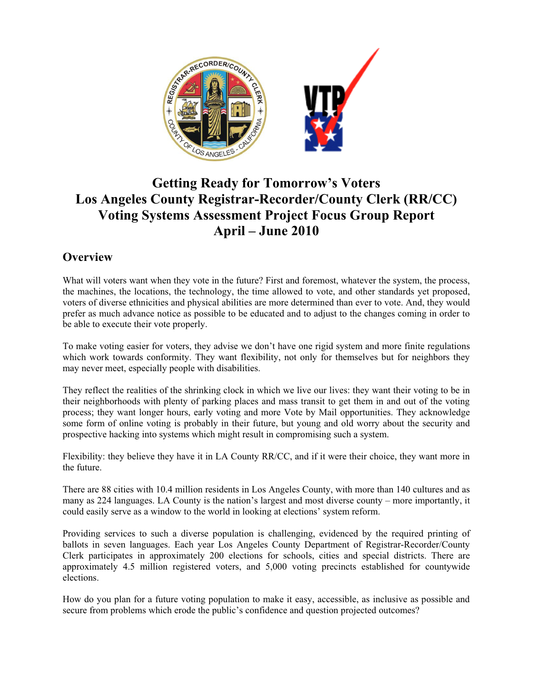

# **Getting Ready for Tomorrow's Voters Los Angeles County Registrar-Recorder/County Clerk (RR/CC) Voting Systems Assessment Project Focus Group Report April – June 2010**

## **Overview**

What will voters want when they vote in the future? First and foremost, whatever the system, the process, the machines, the locations, the technology, the time allowed to vote, and other standards yet proposed, voters of diverse ethnicities and physical abilities are more determined than ever to vote. And, they would prefer as much advance notice as possible to be educated and to adjust to the changes coming in order to be able to execute their vote properly.

To make voting easier for voters, they advise we don't have one rigid system and more finite regulations which work towards conformity. They want flexibility, not only for themselves but for neighbors they may never meet, especially people with disabilities.

They reflect the realities of the shrinking clock in which we live our lives: they want their voting to be in their neighborhoods with plenty of parking places and mass transit to get them in and out of the voting process; they want longer hours, early voting and more Vote by Mail opportunities. They acknowledge some form of online voting is probably in their future, but young and old worry about the security and prospective hacking into systems which might result in compromising such a system.

Flexibility: they believe they have it in LA County RR/CC, and if it were their choice, they want more in the future.

There are 88 cities with 10.4 million residents in Los Angeles County, with more than 140 cultures and as many as 224 languages. LA County is the nation's largest and most diverse county – more importantly, it could easily serve as a window to the world in looking at elections' system reform.

Providing services to such a diverse population is challenging, evidenced by the required printing of ballots in seven languages. Each year Los Angeles County Department of Registrar-Recorder/County Clerk participates in approximately 200 elections for schools, cities and special districts. There are approximately 4.5 million registered voters, and 5,000 voting precincts established for countywide elections.

How do you plan for a future voting population to make it easy, accessible, as inclusive as possible and secure from problems which erode the public's confidence and question projected outcomes?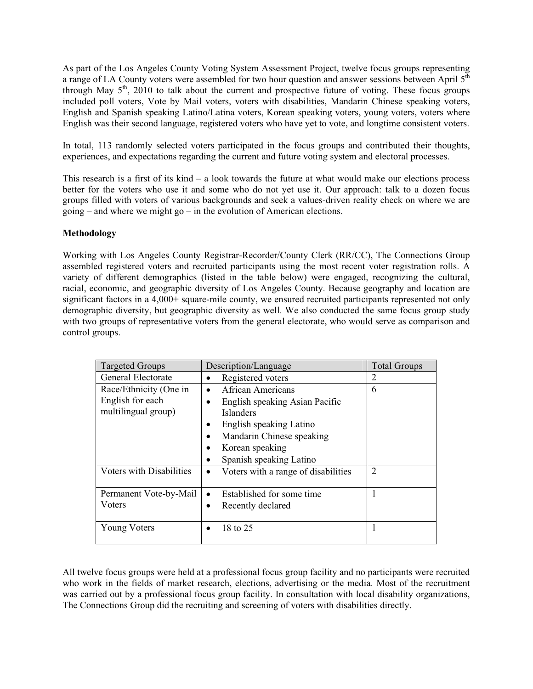As part of the Los Angeles County Voting System Assessment Project, twelve focus groups representing a range of LA County voters were assembled for two hour question and answer sessions between April 5<sup>th</sup> through May  $5<sup>th</sup>$ , 2010 to talk about the current and prospective future of voting. These focus groups included poll voters, Vote by Mail voters, voters with disabilities, Mandarin Chinese speaking voters, English and Spanish speaking Latino/Latina voters, Korean speaking voters, young voters, voters where English was their second language, registered voters who have yet to vote, and longtime consistent voters.

In total, 113 randomly selected voters participated in the focus groups and contributed their thoughts, experiences, and expectations regarding the current and future voting system and electoral processes.

This research is a first of its kind  $-$  a look towards the future at what would make our elections process better for the voters who use it and some who do not yet use it. Our approach: talk to a dozen focus groups filled with voters of various backgrounds and seek a values-driven reality check on where we are going – and where we might go – in the evolution of American elections.

#### **Methodology**

Working with Los Angeles County Registrar-Recorder/County Clerk (RR/CC), The Connections Group assembled registered voters and recruited participants using the most recent voter registration rolls. A variety of different demographics (listed in the table below) were engaged, recognizing the cultural, racial, economic, and geographic diversity of Los Angeles County. Because geography and location are significant factors in a 4,000+ square-mile county, we ensured recruited participants represented not only demographic diversity, but geographic diversity as well. We also conducted the same focus group study with two groups of representative voters from the general electorate, who would serve as comparison and control groups.

| <b>Targeted Groups</b>                                            | Description/Language                                                                                                                   | <b>Total Groups</b> |
|-------------------------------------------------------------------|----------------------------------------------------------------------------------------------------------------------------------------|---------------------|
| General Electorate                                                | Registered voters                                                                                                                      | 2                   |
| Race/Ethnicity (One in<br>English for each<br>multilingual group) | <b>African Americans</b><br>English speaking Asian Pacific<br><b>Islanders</b><br>English speaking Latino<br>Mandarin Chinese speaking | 6                   |
|                                                                   | Korean speaking<br>Spanish speaking Latino                                                                                             |                     |
| Voters with Disabilities                                          | Voters with a range of disabilities                                                                                                    | $\overline{2}$      |
| Permanent Vote-by-Mail<br>Voters                                  | Established for some time<br>Recently declared                                                                                         |                     |
| <b>Young Voters</b>                                               | 18 to 25                                                                                                                               |                     |

All twelve focus groups were held at a professional focus group facility and no participants were recruited who work in the fields of market research, elections, advertising or the media. Most of the recruitment was carried out by a professional focus group facility. In consultation with local disability organizations, The Connections Group did the recruiting and screening of voters with disabilities directly.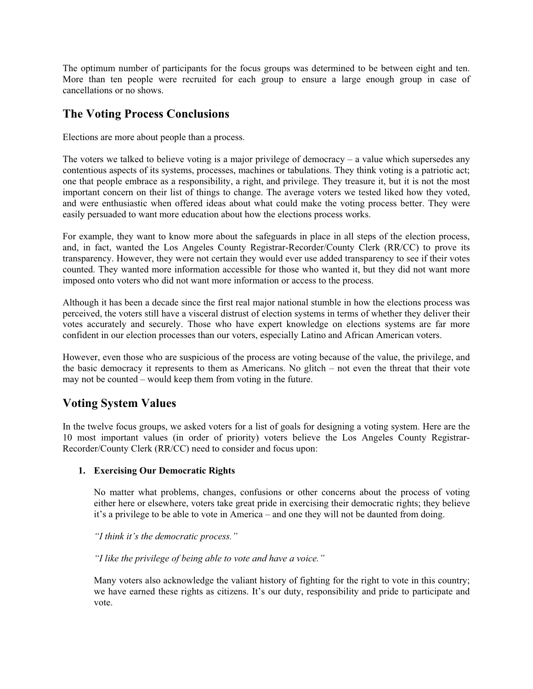The optimum number of participants for the focus groups was determined to be between eight and ten. More than ten people were recruited for each group to ensure a large enough group in case of cancellations or no shows.

## **The Voting Process Conclusions**

Elections are more about people than a process.

The voters we talked to believe voting is a major privilege of democracy  $-$  a value which supersedes any contentious aspects of its systems, processes, machines or tabulations. They think voting is a patriotic act; one that people embrace as a responsibility, a right, and privilege. They treasure it, but it is not the most important concern on their list of things to change. The average voters we tested liked how they voted, and were enthusiastic when offered ideas about what could make the voting process better. They were easily persuaded to want more education about how the elections process works.

For example, they want to know more about the safeguards in place in all steps of the election process, and, in fact, wanted the Los Angeles County Registrar-Recorder/County Clerk (RR/CC) to prove its transparency. However, they were not certain they would ever use added transparency to see if their votes counted. They wanted more information accessible for those who wanted it, but they did not want more imposed onto voters who did not want more information or access to the process.

Although it has been a decade since the first real major national stumble in how the elections process was perceived, the voters still have a visceral distrust of election systems in terms of whether they deliver their votes accurately and securely. Those who have expert knowledge on elections systems are far more confident in our election processes than our voters, especially Latino and African American voters.

However, even those who are suspicious of the process are voting because of the value, the privilege, and the basic democracy it represents to them as Americans. No glitch – not even the threat that their vote may not be counted – would keep them from voting in the future.

## **Voting System Values**

In the twelve focus groups, we asked voters for a list of goals for designing a voting system. Here are the 10 most important values (in order of priority) voters believe the Los Angeles County Registrar-Recorder/County Clerk (RR/CC) need to consider and focus upon:

#### **1. Exercising Our Democratic Rights**

No matter what problems, changes, confusions or other concerns about the process of voting either here or elsewhere, voters take great pride in exercising their democratic rights; they believe it's a privilege to be able to vote in America – and one they will not be daunted from doing.

*"I think it's the democratic process."* 

*"I like the privilege of being able to vote and have a voice."* 

Many voters also acknowledge the valiant history of fighting for the right to vote in this country; we have earned these rights as citizens. It's our duty, responsibility and pride to participate and vote.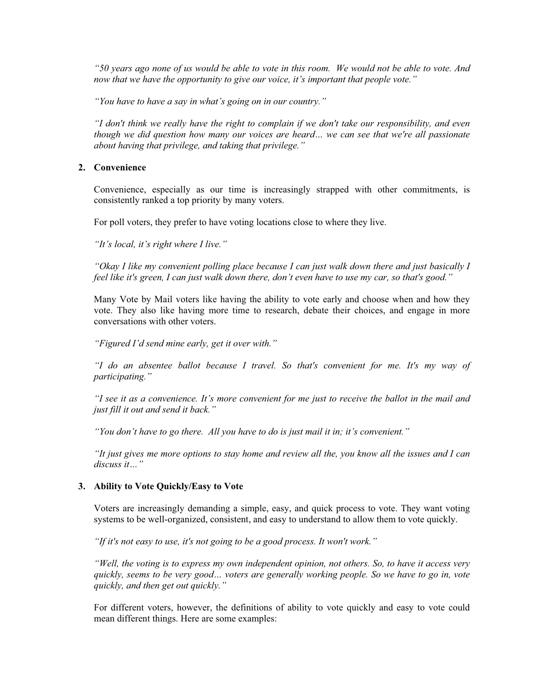*"50 years ago none of us would be able to vote in this room. We would not be able to vote. And now that we have the opportunity to give our voice, it's important that people vote."*

*"You have to have a say in what's going on in our country."* 

*"I don't think we really have the right to complain if we don't take our responsibility, and even though we did question how many our voices are heard… we can see that we're all passionate about having that privilege, and taking that privilege."* 

#### **2. Convenience**

Convenience, especially as our time is increasingly strapped with other commitments, is consistently ranked a top priority by many voters.

For poll voters, they prefer to have voting locations close to where they live.

*"It's local, it's right where I live."*

*"Okay I like my convenient polling place because I can just walk down there and just basically I feel like it's green, I can just walk down there, don't even have to use my car, so that's good."* 

Many Vote by Mail voters like having the ability to vote early and choose when and how they vote. They also like having more time to research, debate their choices, and engage in more conversations with other voters.

*"Figured I'd send mine early, get it over with."* 

*"I do an absentee ballot because I travel. So that's convenient for me. It's my way of participating."*

*"I see it as a convenience. It's more convenient for me just to receive the ballot in the mail and just fill it out and send it back."* 

*"You don't have to go there. All you have to do is just mail it in; it's convenient."* 

*"It just gives me more options to stay home and review all the, you know all the issues and I can discuss it…"* 

#### **3. Ability to Vote Quickly/Easy to Vote**

Voters are increasingly demanding a simple, easy, and quick process to vote. They want voting systems to be well-organized, consistent, and easy to understand to allow them to vote quickly.

*"If it's not easy to use, it's not going to be a good process. It won't work."* 

*"Well, the voting is to express my own independent opinion, not others. So, to have it access very quickly, seems to be very good… voters are generally working people. So we have to go in, vote quickly, and then get out quickly."* 

For different voters, however, the definitions of ability to vote quickly and easy to vote could mean different things. Here are some examples: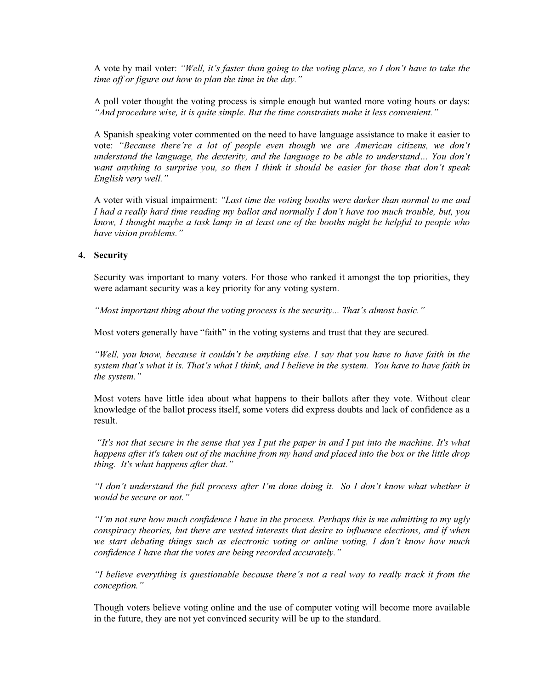A vote by mail voter: *"Well, it's faster than going to the voting place, so I don't have to take the time off or figure out how to plan the time in the day."*

A poll voter thought the voting process is simple enough but wanted more voting hours or days: *"And procedure wise, it is quite simple. But the time constraints make it less convenient."* 

A Spanish speaking voter commented on the need to have language assistance to make it easier to vote: *"Because there're a lot of people even though we are American citizens, we don't understand the language, the dexterity, and the language to be able to understand… You don't want anything to surprise you, so then I think it should be easier for those that don't speak English very well."* 

A voter with visual impairment: *"Last time the voting booths were darker than normal to me and I had a really hard time reading my ballot and normally I don't have too much trouble, but, you know, I thought maybe a task lamp in at least one of the booths might be helpful to people who have vision problems."* 

#### **4. Security**

Security was important to many voters. For those who ranked it amongst the top priorities, they were adamant security was a key priority for any voting system.

*"Most important thing about the voting process is the security... That's almost basic."* 

Most voters generally have "faith" in the voting systems and trust that they are secured.

*"Well, you know, because it couldn't be anything else. I say that you have to have faith in the system that's what it is. That's what I think, and I believe in the system. You have to have faith in the system."* 

Most voters have little idea about what happens to their ballots after they vote. Without clear knowledge of the ballot process itself, some voters did express doubts and lack of confidence as a result.

 *"It's not that secure in the sense that yes I put the paper in and I put into the machine. It's what happens after it's taken out of the machine from my hand and placed into the box or the little drop thing. It's what happens after that."* 

*"I don't understand the full process after I'm done doing it. So I don't know what whether it would be secure or not."* 

*"I'm not sure how much confidence I have in the process. Perhaps this is me admitting to my ugly conspiracy theories, but there are vested interests that desire to influence elections, and if when we start debating things such as electronic voting or online voting, I don't know how much confidence I have that the votes are being recorded accurately."* 

*"I believe everything is questionable because there's not a real way to really track it from the conception."* 

Though voters believe voting online and the use of computer voting will become more available in the future, they are not yet convinced security will be up to the standard.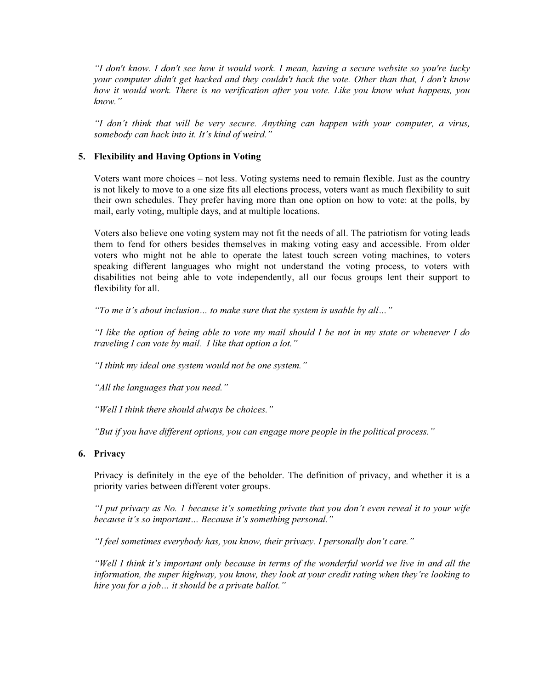*"I don't know. I don't see how it would work. I mean, having a secure website so you're lucky your computer didn't get hacked and they couldn't hack the vote. Other than that, I don't know how it would work. There is no verification after you vote. Like you know what happens, you know."*

*"I don't think that will be very secure. Anything can happen with your computer, a virus, somebody can hack into it. It's kind of weird."* 

#### **5. Flexibility and Having Options in Voting**

Voters want more choices – not less. Voting systems need to remain flexible. Just as the country is not likely to move to a one size fits all elections process, voters want as much flexibility to suit their own schedules. They prefer having more than one option on how to vote: at the polls, by mail, early voting, multiple days, and at multiple locations.

Voters also believe one voting system may not fit the needs of all. The patriotism for voting leads them to fend for others besides themselves in making voting easy and accessible. From older voters who might not be able to operate the latest touch screen voting machines, to voters speaking different languages who might not understand the voting process, to voters with disabilities not being able to vote independently, all our focus groups lent their support to flexibility for all.

*"To me it's about inclusion… to make sure that the system is usable by all…"* 

*"I like the option of being able to vote my mail should I be not in my state or whenever I do traveling I can vote by mail. I like that option a lot."* 

*"I think my ideal one system would not be one system."* 

*"All the languages that you need."* 

*"Well I think there should always be choices."* 

*"But if you have different options, you can engage more people in the political process."* 

#### **6. Privacy**

Privacy is definitely in the eye of the beholder. The definition of privacy, and whether it is a priority varies between different voter groups.

*"I put privacy as No. 1 because it's something private that you don't even reveal it to your wife because it's so important… Because it's something personal."* 

*"I feel sometimes everybody has, you know, their privacy. I personally don't care."* 

*"Well I think it's important only because in terms of the wonderful world we live in and all the information, the super highway, you know, they look at your credit rating when they're looking to hire you for a job… it should be a private ballot."*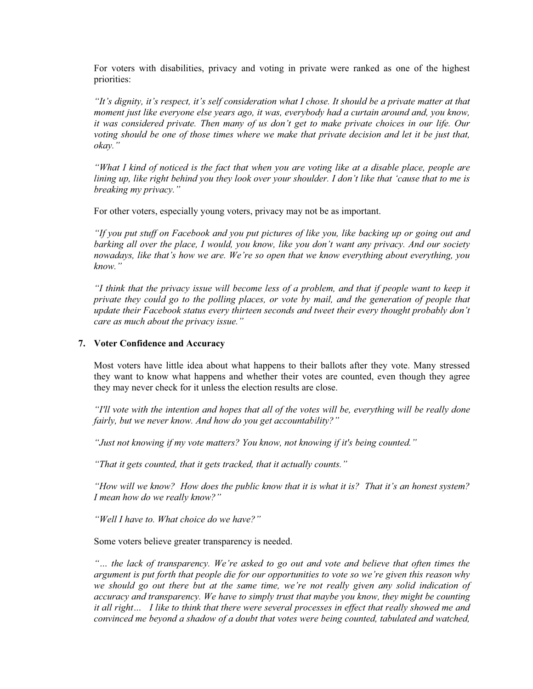For voters with disabilities, privacy and voting in private were ranked as one of the highest priorities:

*"It's dignity, it's respect, it's self consideration what I chose. It should be a private matter at that moment just like everyone else years ago, it was, everybody had a curtain around and, you know, it was considered private. Then many of us don't get to make private choices in our life. Our voting should be one of those times where we make that private decision and let it be just that, okay."*

*"What I kind of noticed is the fact that when you are voting like at a disable place, people are lining up, like right behind you they look over your shoulder. I don't like that 'cause that to me is breaking my privacy."* 

For other voters, especially young voters, privacy may not be as important.

*"If you put stuff on Facebook and you put pictures of like you, like backing up or going out and barking all over the place, I would, you know, like you don't want any privacy. And our society nowadays, like that's how we are. We're so open that we know everything about everything, you know."*

*"I think that the privacy issue will become less of a problem, and that if people want to keep it private they could go to the polling places, or vote by mail, and the generation of people that update their Facebook status every thirteen seconds and tweet their every thought probably don't care as much about the privacy issue."* 

#### **7. Voter Confidence and Accuracy**

Most voters have little idea about what happens to their ballots after they vote. Many stressed they want to know what happens and whether their votes are counted, even though they agree they may never check for it unless the election results are close.

*"I'll vote with the intention and hopes that all of the votes will be, everything will be really done fairly, but we never know. And how do you get accountability?"* 

*"Just not knowing if my vote matters? You know, not knowing if it's being counted."* 

*"That it gets counted, that it gets tracked, that it actually counts."* 

*"How will we know? How does the public know that it is what it is? That it's an honest system? I mean how do we really know?"* 

*"Well I have to. What choice do we have?"* 

Some voters believe greater transparency is needed.

*"… the lack of transparency. We're asked to go out and vote and believe that often times the argument is put forth that people die for our opportunities to vote so we're given this reason why*  we should go out there but at the same time, we're not really given any solid indication of *accuracy and transparency. We have to simply trust that maybe you know, they might be counting it all right… I like to think that there were several processes in effect that really showed me and convinced me beyond a shadow of a doubt that votes were being counted, tabulated and watched,*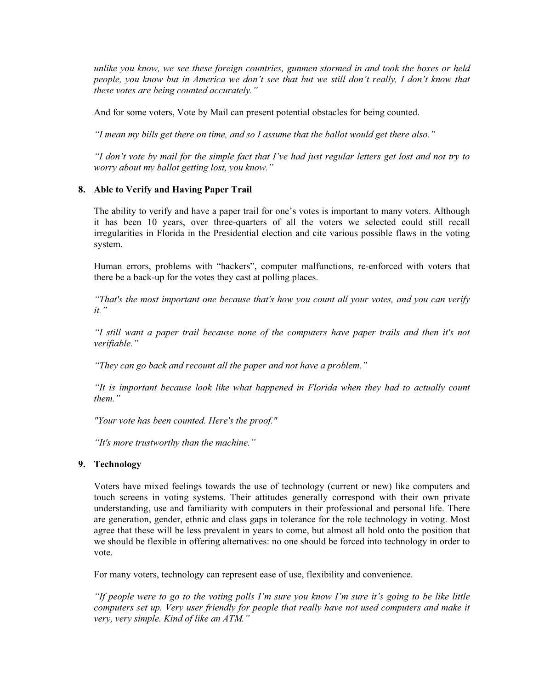*unlike you know, we see these foreign countries, gunmen stormed in and took the boxes or held people, you know but in America we don't see that but we still don't really, I don't know that these votes are being counted accurately."* 

And for some voters, Vote by Mail can present potential obstacles for being counted.

*"I mean my bills get there on time, and so I assume that the ballot would get there also."* 

*"I don't vote by mail for the simple fact that I've had just regular letters get lost and not try to worry about my ballot getting lost, you know."* 

#### **8. Able to Verify and Having Paper Trail**

The ability to verify and have a paper trail for one's votes is important to many voters. Although it has been 10 years, over three-quarters of all the voters we selected could still recall irregularities in Florida in the Presidential election and cite various possible flaws in the voting system.

Human errors, problems with "hackers", computer malfunctions, re-enforced with voters that there be a back-up for the votes they cast at polling places.

*"That's the most important one because that's how you count all your votes, and you can verify it."*

*"I still want a paper trail because none of the computers have paper trails and then it's not verifiable."*

*"They can go back and recount all the paper and not have a problem."*

*"It is important because look like what happened in Florida when they had to actually count them."*

*"Your vote has been counted. Here's the proof."*

*"It's more trustworthy than the machine."*

#### **9. Technology**

Voters have mixed feelings towards the use of technology (current or new) like computers and touch screens in voting systems. Their attitudes generally correspond with their own private understanding, use and familiarity with computers in their professional and personal life. There are generation, gender, ethnic and class gaps in tolerance for the role technology in voting. Most agree that these will be less prevalent in years to come, but almost all hold onto the position that we should be flexible in offering alternatives: no one should be forced into technology in order to vote.

For many voters, technology can represent ease of use, flexibility and convenience.

*"If people were to go to the voting polls I'm sure you know I'm sure it's going to be like little computers set up. Very user friendly for people that really have not used computers and make it very, very simple. Kind of like an ATM."*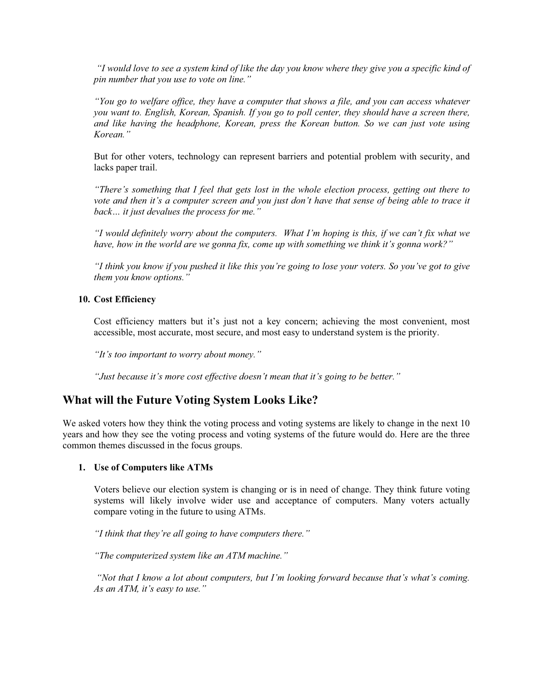*"I would love to see a system kind of like the day you know where they give you a specific kind of pin number that you use to vote on line."* 

*"You go to welfare office, they have a computer that shows a file, and you can access whatever you want to. English, Korean, Spanish. If you go to poll center, they should have a screen there, and like having the headphone, Korean, press the Korean button. So we can just vote using Korean."*

But for other voters, technology can represent barriers and potential problem with security, and lacks paper trail.

*"There's something that I feel that gets lost in the whole election process, getting out there to*  vote and then it's a computer screen and you just don't have that sense of being able to trace it *back… it just devalues the process for me."* 

*"I would definitely worry about the computers. What I'm hoping is this, if we can't fix what we have, how in the world are we gonna fix, come up with something we think it's gonna work?"* 

*"I think you know if you pushed it like this you're going to lose your voters. So you've got to give them you know options."* 

#### **10. Cost Efficiency**

Cost efficiency matters but it's just not a key concern; achieving the most convenient, most accessible, most accurate, most secure, and most easy to understand system is the priority.

*"It's too important to worry about money."*

*"Just because it's more cost effective doesn't mean that it's going to be better."* 

## **What will the Future Voting System Looks Like?**

We asked voters how they think the voting process and voting systems are likely to change in the next 10 years and how they see the voting process and voting systems of the future would do. Here are the three common themes discussed in the focus groups.

#### **1. Use of Computers like ATMs**

Voters believe our election system is changing or is in need of change. They think future voting systems will likely involve wider use and acceptance of computers. Many voters actually compare voting in the future to using ATMs.

*"I think that they're all going to have computers there."* 

*"The computerized system like an ATM machine."* 

 *"Not that I know a lot about computers, but I'm looking forward because that's what's coming. As an ATM, it's easy to use."*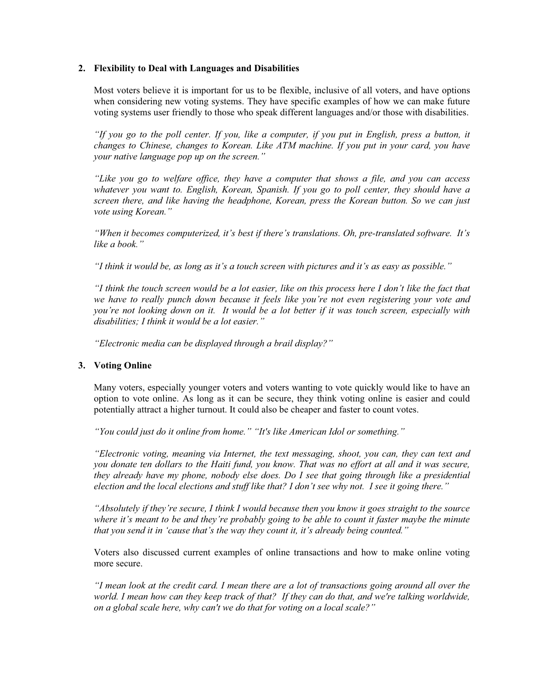#### **2. Flexibility to Deal with Languages and Disabilities**

Most voters believe it is important for us to be flexible, inclusive of all voters, and have options when considering new voting systems. They have specific examples of how we can make future voting systems user friendly to those who speak different languages and/or those with disabilities.

*"If you go to the poll center. If you, like a computer, if you put in English, press a button, it changes to Chinese, changes to Korean. Like ATM machine. If you put in your card, you have your native language pop up on the screen."* 

*"Like you go to welfare office, they have a computer that shows a file, and you can access whatever you want to. English, Korean, Spanish. If you go to poll center, they should have a screen there, and like having the headphone, Korean, press the Korean button. So we can just vote using Korean."* 

*"When it becomes computerized, it's best if there's translations. Oh, pre-translated software. It's like a book."* 

*"I think it would be, as long as it's a touch screen with pictures and it's as easy as possible."* 

*"I think the touch screen would be a lot easier, like on this process here I don't like the fact that we have to really punch down because it feels like you're not even registering your vote and you're not looking down on it. It would be a lot better if it was touch screen, especially with disabilities; I think it would be a lot easier."* 

*"Electronic media can be displayed through a brail display?"* 

#### **3. Voting Online**

Many voters, especially younger voters and voters wanting to vote quickly would like to have an option to vote online. As long as it can be secure, they think voting online is easier and could potentially attract a higher turnout. It could also be cheaper and faster to count votes.

*"You could just do it online from home." "It's like American Idol or something."* 

*"Electronic voting, meaning via Internet, the text messaging, shoot, you can, they can text and you donate ten dollars to the Haiti fund, you know. That was no effort at all and it was secure, they already have my phone, nobody else does. Do I see that going through like a presidential election and the local elections and stuff like that? I don't see why not. I see it going there."* 

*"Absolutely if they're secure, I think I would because then you know it goes straight to the source where it's meant to be and they're probably going to be able to count it faster maybe the minute that you send it in 'cause that's the way they count it, it's already being counted."*

Voters also discussed current examples of online transactions and how to make online voting more secure.

*"I mean look at the credit card. I mean there are a lot of transactions going around all over the*  world. I mean how can they keep track of that? If they can do that, and we're talking worldwide, *on a global scale here, why can't we do that for voting on a local scale?"*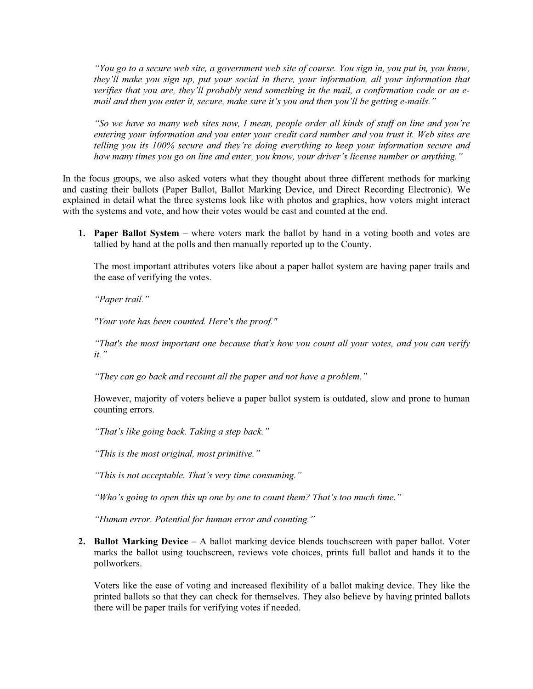*"You go to a secure web site, a government web site of course. You sign in, you put in, you know, they'll make you sign up, put your social in there, your information, all your information that verifies that you are, they'll probably send something in the mail, a confirmation code or an email and then you enter it, secure, make sure it's you and then you'll be getting e-mails."* 

*"So we have so many web sites now, I mean, people order all kinds of stuff on line and you're entering your information and you enter your credit card number and you trust it. Web sites are telling you its 100% secure and they're doing everything to keep your information secure and how many times you go on line and enter, you know, your driver's license number or anything."* 

In the focus groups, we also asked voters what they thought about three different methods for marking and casting their ballots (Paper Ballot, Ballot Marking Device, and Direct Recording Electronic). We explained in detail what the three systems look like with photos and graphics, how voters might interact with the systems and vote, and how their votes would be cast and counted at the end.

**1. Paper Ballot System –** where voters mark the ballot by hand in a voting booth and votes are tallied by hand at the polls and then manually reported up to the County.

The most important attributes voters like about a paper ballot system are having paper trails and the ease of verifying the votes.

*"Paper trail."* 

*"Your vote has been counted. Here's the proof."*

*"That's the most important one because that's how you count all your votes, and you can verify it."*

*"They can go back and recount all the paper and not have a problem."*

However, majority of voters believe a paper ballot system is outdated, slow and prone to human counting errors.

*"That's like going back. Taking a step back."* 

*"This is the most original, most primitive."* 

*"This is not acceptable. That's very time consuming."* 

*"Who's going to open this up one by one to count them? That's too much time."* 

*"Human error. Potential for human error and counting."* 

**2. Ballot Marking Device** – A ballot marking device blends touchscreen with paper ballot. Voter marks the ballot using touchscreen, reviews vote choices, prints full ballot and hands it to the pollworkers.

Voters like the ease of voting and increased flexibility of a ballot making device. They like the printed ballots so that they can check for themselves. They also believe by having printed ballots there will be paper trails for verifying votes if needed.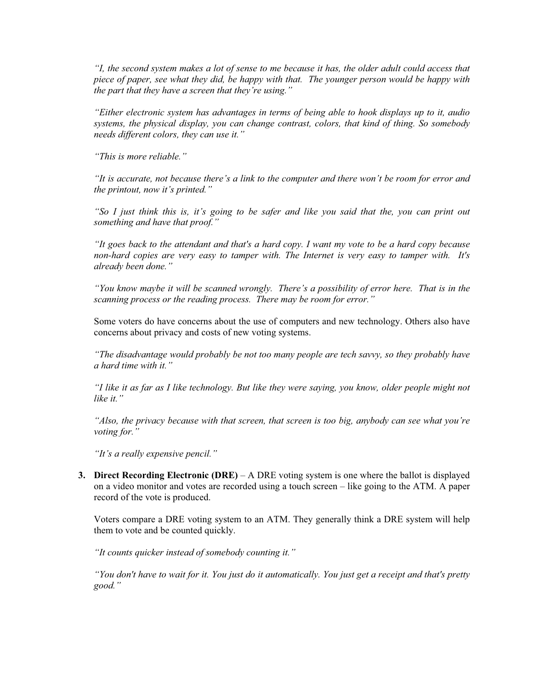*"I, the second system makes a lot of sense to me because it has, the older adult could access that piece of paper, see what they did, be happy with that. The younger person would be happy with the part that they have a screen that they're using."* 

*"Either electronic system has advantages in terms of being able to hook displays up to it, audio systems, the physical display, you can change contrast, colors, that kind of thing. So somebody needs different colors, they can use it."* 

*"This is more reliable."* 

*"It is accurate, not because there's a link to the computer and there won't be room for error and the printout, now it's printed."* 

*"So I just think this is, it's going to be safer and like you said that the, you can print out something and have that proof."* 

*"It goes back to the attendant and that's a hard copy. I want my vote to be a hard copy because non-hard copies are very easy to tamper with. The Internet is very easy to tamper with. It's already been done."* 

*"You know maybe it will be scanned wrongly. There's a possibility of error here. That is in the scanning process or the reading process. There may be room for error."* 

Some voters do have concerns about the use of computers and new technology. Others also have concerns about privacy and costs of new voting systems.

*"The disadvantage would probably be not too many people are tech savvy, so they probably have a hard time with it."* 

*"I like it as far as I like technology. But like they were saying, you know, older people might not like it."*

*"Also, the privacy because with that screen, that screen is too big, anybody can see what you're voting for."* 

*"It's a really expensive pencil."* 

**3. Direct Recording Electronic (DRE)** – A DRE voting system is one where the ballot is displayed on a video monitor and votes are recorded using a touch screen – like going to the ATM. A paper record of the vote is produced.

Voters compare a DRE voting system to an ATM. They generally think a DRE system will help them to vote and be counted quickly.

*"It counts quicker instead of somebody counting it."* 

*"You don't have to wait for it. You just do it automatically. You just get a receipt and that's pretty good."*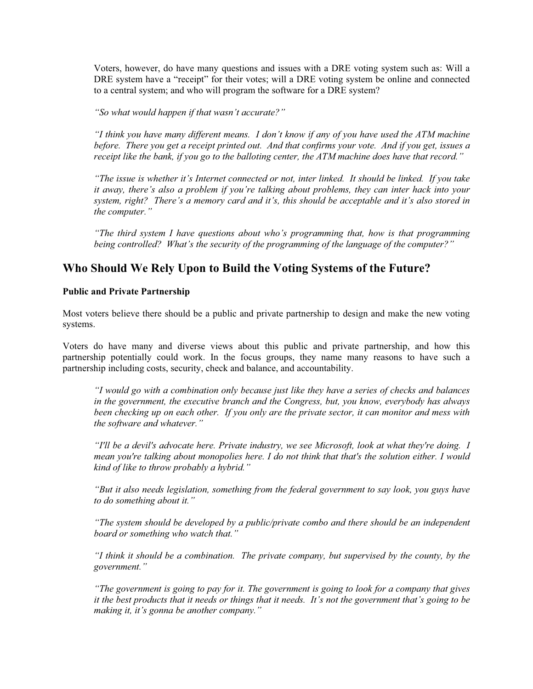Voters, however, do have many questions and issues with a DRE voting system such as: Will a DRE system have a "receipt" for their votes; will a DRE voting system be online and connected to a central system; and who will program the software for a DRE system?

*"So what would happen if that wasn't accurate?"* 

*"I think you have many different means. I don't know if any of you have used the ATM machine before. There you get a receipt printed out. And that confirms your vote. And if you get, issues a receipt like the bank, if you go to the balloting center, the ATM machine does have that record."* 

*"The issue is whether it's Internet connected or not, inter linked. It should be linked. If you take it away, there's also a problem if you're talking about problems, they can inter hack into your system, right? There's a memory card and it's, this should be acceptable and it's also stored in the computer."* 

*"The third system I have questions about who's programming that, how is that programming being controlled? What's the security of the programming of the language of the computer?"* 

## **Who Should We Rely Upon to Build the Voting Systems of the Future?**

#### **Public and Private Partnership**

Most voters believe there should be a public and private partnership to design and make the new voting systems.

Voters do have many and diverse views about this public and private partnership, and how this partnership potentially could work. In the focus groups, they name many reasons to have such a partnership including costs, security, check and balance, and accountability.

*"I would go with a combination only because just like they have a series of checks and balances in the government, the executive branch and the Congress, but, you know, everybody has always been checking up on each other. If you only are the private sector, it can monitor and mess with the software and whatever."*

*"I'll be a devil's advocate here. Private industry, we see Microsoft, look at what they're doing. I mean you're talking about monopolies here. I do not think that that's the solution either. I would kind of like to throw probably a hybrid."* 

*"But it also needs legislation, something from the federal government to say look, you guys have to do something about it."* 

*"The system should be developed by a public/private combo and there should be an independent board or something who watch that."* 

*"I think it should be a combination. The private company, but supervised by the county, by the government."*

*"The government is going to pay for it. The government is going to look for a company that gives it the best products that it needs or things that it needs. It's not the government that's going to be making it, it's gonna be another company."*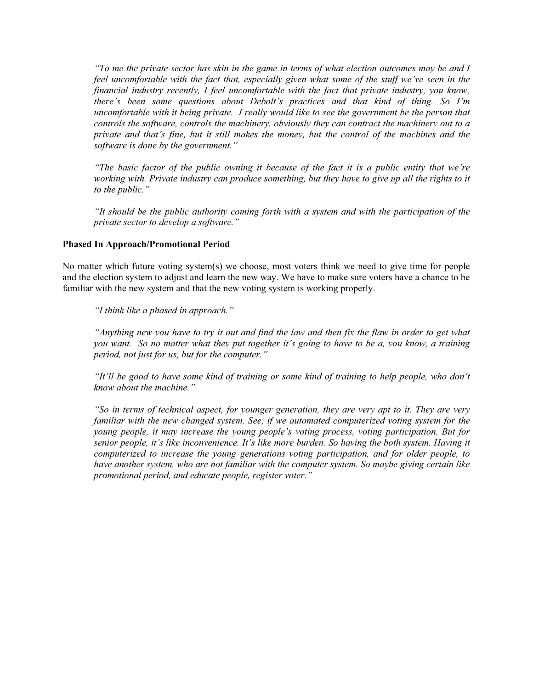*"To me the private sector has skin in the game in terms of what election outcomes may be and I feel uncomfortable with the fact that, especially given what some of the stuff we've seen in the financial industry recently, I feel uncomfortable with the fact that private industry, you know, there's been some questions about Debolt's practices and that kind of thing. So I'm uncomfortable with it being private. I really would like to see the government be the person that controls the software, controls the machinery, obviously they can contract the machinery out to a private and that's fine, but it still makes the money, but the control of the machines and the software is done by the government."* 

*"The basic factor of the public owning it because of the fact it is a public entity that we're working with. Private industry can produce something, but they have to give up all the rights to it to the public."* 

*"It should be the public authority coming forth with a system and with the participation of the private sector to develop a software."* 

#### **Phased In Approach/Promotional Period**

No matter which future voting system(s) we choose, most voters think we need to give time for people and the election system to adjust and learn the new way. We have to make sure voters have a chance to be familiar with the new system and that the new voting system is working properly.

*"I think like a phased in approach."* 

*"Anything new you have to try it out and find the law and then fix the flaw in order to get what you want. So no matter what they put together it's going to have to be a, you know, a training period, not just for us, but for the computer."* 

*"It'll be good to have some kind of training or some kind of training to help people, who don't know about the machine."* 

*"So in terms of technical aspect, for younger generation, they are very apt to it. They are very familiar with the new changed system. See, if we automated computerized voting system for the young people, it may increase the young people's voting process, voting participation. But for senior people, it's like inconvenience. It's like more burden. So having the both system. Having it computerized to increase the young generations voting participation, and for older people, to have another system, who are not familiar with the computer system. So maybe giving certain like promotional period, and educate people, register voter."*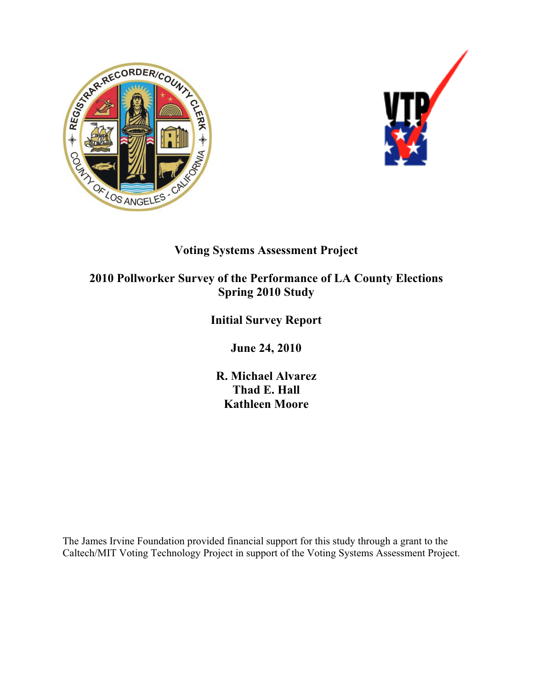



# **Voting Systems Assessment Project**

# **2010 Pollworker Survey of the Performance of LA County Elections Spring 2010 Study**

# **Initial Survey Report**

**June 24, 2010** 

**R. Michael Alvarez Thad E. Hall Kathleen Moore** 

The James Irvine Foundation provided financial support for this study through a grant to the Caltech/MIT Voting Technology Project in support of the Voting Systems Assessment Project.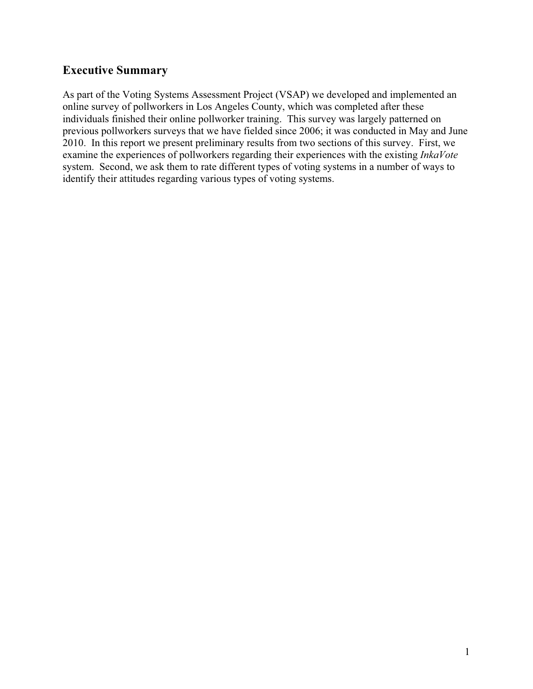## **Executive Summary**

As part of the Voting Systems Assessment Project (VSAP) we developed and implemented an online survey of pollworkers in Los Angeles County, which was completed after these individuals finished their online pollworker training. This survey was largely patterned on previous pollworkers surveys that we have fielded since 2006; it was conducted in May and June 2010. In this report we present preliminary results from two sections of this survey. First, we examine the experiences of pollworkers regarding their experiences with the existing *InkaVote* system. Second, we ask them to rate different types of voting systems in a number of ways to identify their attitudes regarding various types of voting systems.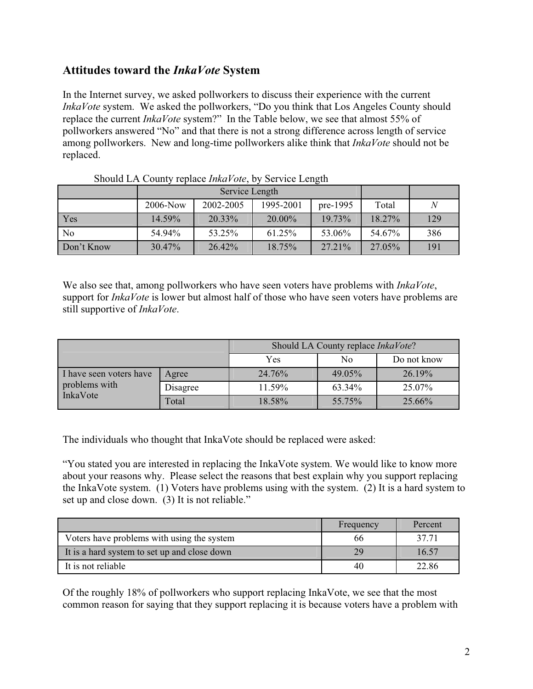## **Attitudes toward the** *InkaVote* **System**

In the Internet survey, we asked pollworkers to discuss their experience with the current *InkaVote* system. We asked the pollworkers, "Do you think that Los Angeles County should replace the current *InkaVote* system?" In the Table below, we see that almost 55% of pollworkers answered "No" and that there is not a strong difference across length of service among pollworkers. New and long-time pollworkers alike think that *InkaVote* should not be replaced.

|            | $2006 - Now$ | 2002-2005 | 1995-2001 | $pre-1995$ | Total  | N   |
|------------|--------------|-----------|-----------|------------|--------|-----|
| Yes        | 14.59%       | 20.33%    | 20.00%    | 19.73%     | 18.27% | 129 |
| No         | 54.94%       | 53.25%    | 61.25%    | 53.06%     | 54.67% | 386 |
| Don't Know | 30.47%       | 26.42%    | 18.75%    | 27.21%     | 27.05% | 191 |

We also see that, among pollworkers who have seen voters have problems with *InkaVote*, support for *InkaVote* is lower but almost half of those who have seen voters have problems are still supportive of *InkaVote*.

|                                          |          | Should LA County replace InkaVote? |        |             |  |  |
|------------------------------------------|----------|------------------------------------|--------|-------------|--|--|
|                                          |          | Yes                                | No     | Do not know |  |  |
| I have seen voters have<br>problems with | Agree    | 24.76%                             | 49.05% | 26.19%      |  |  |
|                                          | Disagree | 11.59%                             | 63.34% | 25.07%      |  |  |
| InkaVote                                 | Total    | 18.58%                             | 55.75% | 25.66%      |  |  |

The individuals who thought that InkaVote should be replaced were asked:

"You stated you are interested in replacing the InkaVote system. We would like to know more about your reasons why. Please select the reasons that best explain why you support replacing the InkaVote system. (1) Voters have problems using with the system. (2) It is a hard system to set up and close down. (3) It is not reliable."

|                                              | Frequency | Percent |
|----------------------------------------------|-----------|---------|
| Voters have problems with using the system   | 66        | 37.71   |
| It is a hard system to set up and close down | 29        | 16.57   |
| It is not reliable                           | 40        | 22.86   |

Of the roughly 18% of pollworkers who support replacing InkaVote, we see that the most common reason for saying that they support replacing it is because voters have a problem with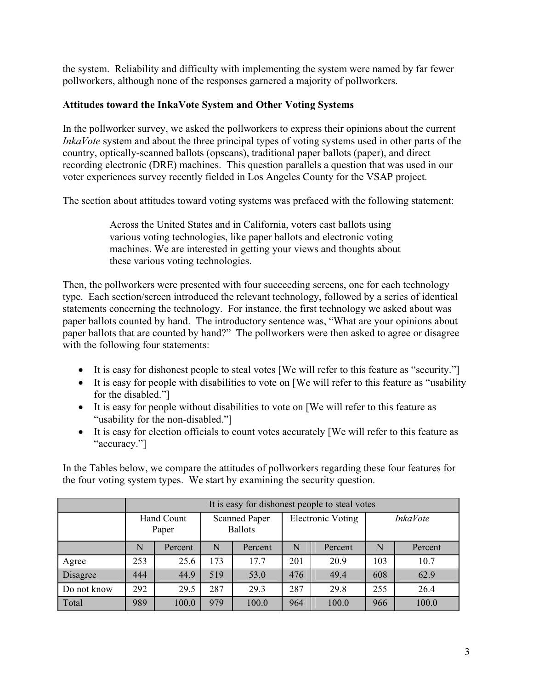the system. Reliability and difficulty with implementing the system were named by far fewer pollworkers, although none of the responses garnered a majority of pollworkers.

## **Attitudes toward the InkaVote System and Other Voting Systems**

In the pollworker survey, we asked the pollworkers to express their opinions about the current *InkaVote* system and about the three principal types of voting systems used in other parts of the country, optically-scanned ballots (opscans), traditional paper ballots (paper), and direct recording electronic (DRE) machines. This question parallels a question that was used in our voter experiences survey recently fielded in Los Angeles County for the VSAP project.

The section about attitudes toward voting systems was prefaced with the following statement:

Across the United States and in California, voters cast ballots using various voting technologies, like paper ballots and electronic voting machines. We are interested in getting your views and thoughts about these various voting technologies.

Then, the pollworkers were presented with four succeeding screens, one for each technology type. Each section/screen introduced the relevant technology, followed by a series of identical statements concerning the technology. For instance, the first technology we asked about was paper ballots counted by hand. The introductory sentence was, "What are your opinions about paper ballots that are counted by hand?" The pollworkers were then asked to agree or disagree with the following four statements:

- It is easy for dishonest people to steal votes [We will refer to this feature as "security."]
- It is easy for people with disabilities to vote on [We will refer to this feature as "usability" for the disabled."]
- It is easy for people without disabilities to vote on [We will refer to this feature as "usability for the non-disabled."]
- It is easy for election officials to count votes accurately [We will refer to this feature as "accuracy."]

In the Tables below, we compare the attitudes of pollworkers regarding these four features for the four voting system types. We start by examining the security question.

|             | It is easy for dishonest people to steal votes |         |                                        |         |                   |         |                 |         |
|-------------|------------------------------------------------|---------|----------------------------------------|---------|-------------------|---------|-----------------|---------|
|             | Hand Count<br>Paper                            |         | <b>Scanned Paper</b><br><b>Ballots</b> |         | Electronic Voting |         | <b>InkaVote</b> |         |
|             | N                                              | Percent | N                                      | Percent | N                 | Percent | N               | Percent |
| Agree       | 253                                            | 25.6    | 173                                    | 17.7    | 201               | 20.9    | 103             | 10.7    |
| Disagree    | 444                                            | 44.9    | 519                                    | 53.0    | 476               | 49.4    | 608             | 62.9    |
| Do not know | 292                                            | 29.5    | 287                                    | 29.3    | 287               | 29.8    | 255             | 26.4    |
| Total       | 989                                            | 100.0   | 979                                    | 100.0   | 964               | 100.0   | 966             | 100.0   |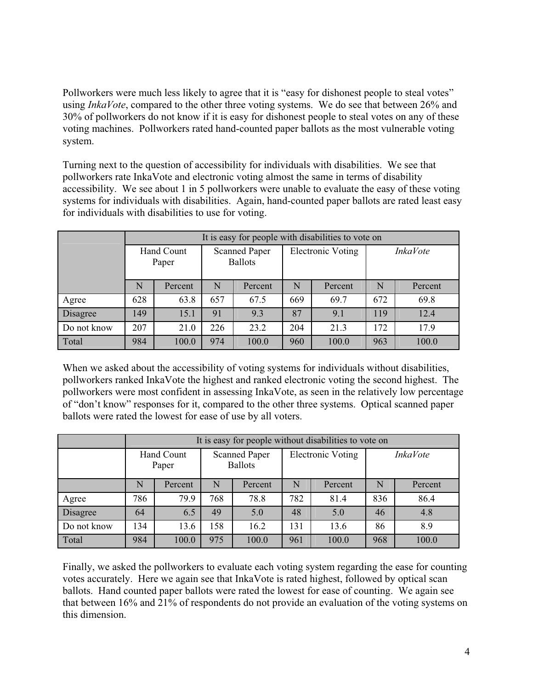Pollworkers were much less likely to agree that it is "easy for dishonest people to steal votes" using *InkaVote*, compared to the other three voting systems. We do see that between 26% and 30% of pollworkers do not know if it is easy for dishonest people to steal votes on any of these voting machines. Pollworkers rated hand-counted paper ballots as the most vulnerable voting system.

Turning next to the question of accessibility for individuals with disabilities. We see that pollworkers rate InkaVote and electronic voting almost the same in terms of disability accessibility. We see about 1 in 5 pollworkers were unable to evaluate the easy of these voting systems for individuals with disabilities. Again, hand-counted paper ballots are rated least easy for individuals with disabilities to use for voting.

|             |                     | It is easy for people with disabilities to vote on |                                        |         |                          |         |                 |         |  |
|-------------|---------------------|----------------------------------------------------|----------------------------------------|---------|--------------------------|---------|-----------------|---------|--|
|             | Hand Count<br>Paper |                                                    | <b>Scanned Paper</b><br><b>Ballots</b> |         | <b>Electronic Voting</b> |         | <i>InkaVote</i> |         |  |
|             | $\mathbf N$         | Percent                                            | N                                      | Percent | N                        | Percent | N               | Percent |  |
| Agree       | 628                 | 63.8                                               | 657                                    | 67.5    | 669                      | 69.7    | 672             | 69.8    |  |
| Disagree    | 149                 | 15.1                                               | 91                                     | 9.3     | 87                       | 9.1     | 119             | 12.4    |  |
| Do not know | 207                 | 21.0                                               | 226                                    | 23.2    | 204                      | 21.3    | 172             | 17.9    |  |
| Total       | 984                 | 100.0                                              | 974                                    | 100.0   | 960                      | 100.0   | 963             | 100.0   |  |

When we asked about the accessibility of voting systems for individuals without disabilities, pollworkers ranked InkaVote the highest and ranked electronic voting the second highest. The pollworkers were most confident in assessing InkaVote, as seen in the relatively low percentage of "don't know" responses for it, compared to the other three systems. Optical scanned paper ballots were rated the lowest for ease of use by all voters.

|             | It is easy for people without disabilities to vote on |         |                                        |         |                          |         |                 |         |
|-------------|-------------------------------------------------------|---------|----------------------------------------|---------|--------------------------|---------|-----------------|---------|
|             | Hand Count<br>Paper                                   |         | <b>Scanned Paper</b><br><b>Ballots</b> |         | <b>Electronic Voting</b> |         | <i>InkaVote</i> |         |
|             | N                                                     | Percent | N                                      | Percent | N                        | Percent | N               | Percent |
| Agree       | 786                                                   | 79.9    | 768                                    | 78.8    | 782                      | 81.4    | 836             | 86.4    |
| Disagree    | 64                                                    | 6.5     | 49                                     | 5.0     | 48                       | 5.0     | 46              | 4.8     |
| Do not know | 134                                                   | 13.6    | 58                                     | 16.2    | 131                      | 13.6    | 86              | 8.9     |
| Total       | 984                                                   | 100.0   | 975                                    | 100.0   | 961                      | 100.0   | 968             | 100.0   |

Finally, we asked the pollworkers to evaluate each voting system regarding the ease for counting votes accurately. Here we again see that InkaVote is rated highest, followed by optical scan ballots. Hand counted paper ballots were rated the lowest for ease of counting. We again see that between 16% and 21% of respondents do not provide an evaluation of the voting systems on this dimension.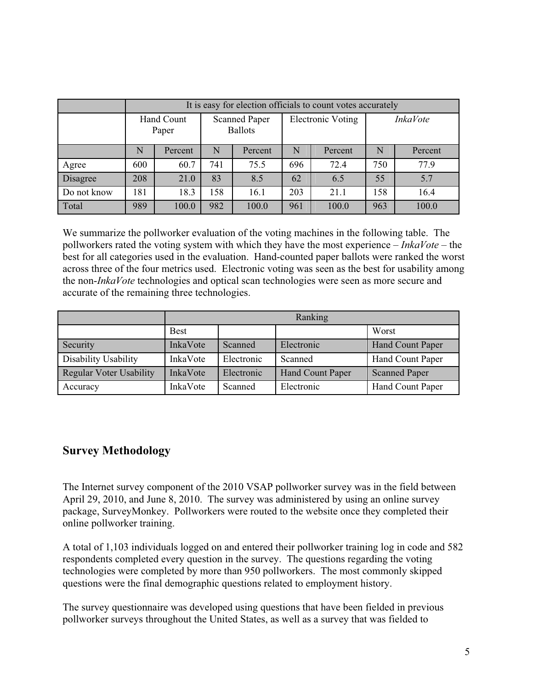|             | It is easy for election officials to count votes accurately |         |                                        |         |                          |         |                 |         |
|-------------|-------------------------------------------------------------|---------|----------------------------------------|---------|--------------------------|---------|-----------------|---------|
|             | Hand Count<br>Paper                                         |         | <b>Scanned Paper</b><br><b>Ballots</b> |         | <b>Electronic Voting</b> |         | <b>InkaVote</b> |         |
|             | N                                                           | Percent | N                                      | Percent | N                        | Percent | N               | Percent |
| Agree       | 600                                                         | 60.7    | 741                                    | 75.5    | 696                      | 72.4    | 750             | 77.9    |
| Disagree    | 208                                                         | 21.0    | 83                                     | 8.5     | 62                       | 6.5     | 55              | 5.7     |
| Do not know | 181                                                         | 18.3    | 158                                    | 16.1    | 203                      | 21.1    | 158             | 16.4    |
| Total       | 989                                                         | 100.0   | 982                                    | 100.0   | 961                      | 100.0   | 963             | 100.0   |

We summarize the pollworker evaluation of the voting machines in the following table. The pollworkers rated the voting system with which they have the most experience – *InkaVote* – the best for all categories used in the evaluation. Hand-counted paper ballots were ranked the worst across three of the four metrics used. Electronic voting was seen as the best for usability among the non-*InkaVote* technologies and optical scan technologies were seen as more secure and accurate of the remaining three technologies.

|                                |             | Ranking    |                  |                      |  |  |  |  |
|--------------------------------|-------------|------------|------------------|----------------------|--|--|--|--|
|                                | <b>Best</b> |            |                  | Worst                |  |  |  |  |
| Security                       | InkaVote    | Scanned    | Electronic       | Hand Count Paper     |  |  |  |  |
| Disability Usability           | InkaVote    | Electronic | Scanned          | Hand Count Paper     |  |  |  |  |
| <b>Regular Voter Usability</b> | InkaVote    | Electronic | Hand Count Paper | <b>Scanned Paper</b> |  |  |  |  |
| Accuracy                       | InkaVote    | Scanned    | Electronic       | Hand Count Paper     |  |  |  |  |

## **Survey Methodology**

The Internet survey component of the 2010 VSAP pollworker survey was in the field between April 29, 2010, and June 8, 2010. The survey was administered by using an online survey package, SurveyMonkey. Pollworkers were routed to the website once they completed their online pollworker training.

A total of 1,103 individuals logged on and entered their pollworker training log in code and 582 respondents completed every question in the survey. The questions regarding the voting technologies were completed by more than 950 pollworkers. The most commonly skipped questions were the final demographic questions related to employment history.

The survey questionnaire was developed using questions that have been fielded in previous pollworker surveys throughout the United States, as well as a survey that was fielded to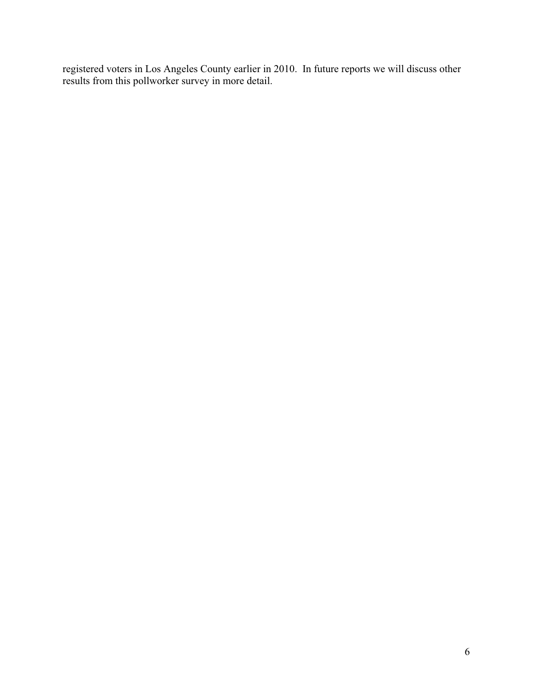registered voters in Los Angeles County earlier in 2010. In future reports we will discuss other results from this pollworker survey in more detail.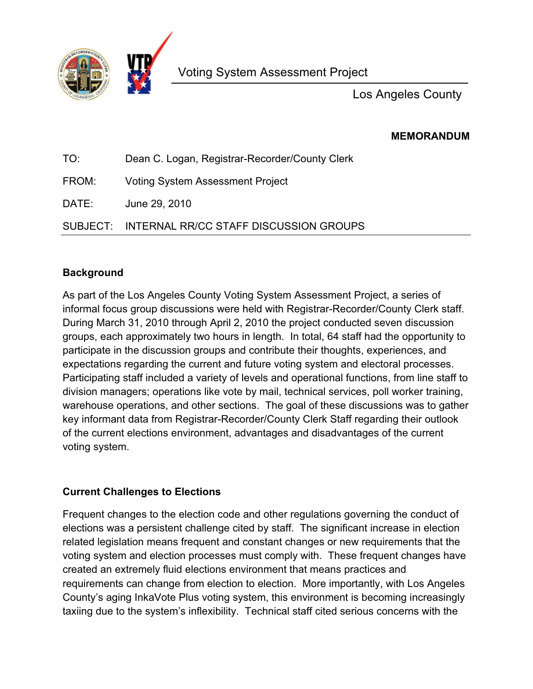

Los Angeles County

**MEMORANDUM**

| TO:   | Dean C. Logan, Registrar-Recorder/County Clerk  |
|-------|-------------------------------------------------|
| FROM: | <b>Voting System Assessment Project</b>         |
| DATE: | June 29, 2010                                   |
|       | SUBJECT: INTERNAL RR/CC STAFF DISCUSSION GROUPS |

## **Background**

As part of the Los Angeles County Voting System Assessment Project, a series of informal focus group discussions were held with Registrar-Recorder/County Clerk staff. During March 31, 2010 through April 2, 2010 the project conducted seven discussion groups, each approximately two hours in length. In total, 64 staff had the opportunity to participate in the discussion groups and contribute their thoughts, experiences, and expectations regarding the current and future voting system and electoral processes. Participating staff included a variety of levels and operational functions, from line staff to division managers; operations like vote by mail, technical services, poll worker training, warehouse operations, and other sections. The goal of these discussions was to gather key informant data from Registrar-Recorder/County Clerk Staff regarding their outlook of the current elections environment, advantages and disadvantages of the current voting system.

## **Current Challenges to Elections**

Frequent changes to the election code and other regulations governing the conduct of elections was a persistent challenge cited by staff. The significant increase in election related legislation means frequent and constant changes or new requirements that the voting system and election processes must comply with. These frequent changes have created an extremely fluid elections environment that means practices and requirements can change from election to election. More importantly, with Los Angeles County's aging InkaVote Plus voting system, this environment is becoming increasingly taxiing due to the system's inflexibility. Technical staff cited serious concerns with the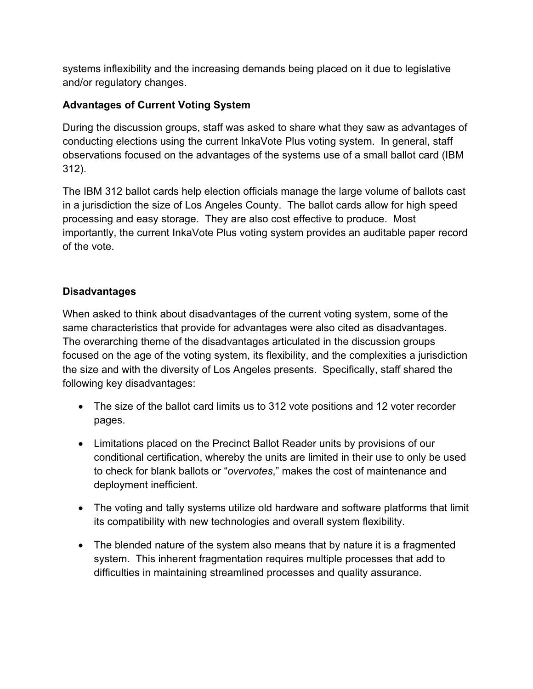systems inflexibility and the increasing demands being placed on it due to legislative and/or regulatory changes.

## **Advantages of Current Voting System**

During the discussion groups, staff was asked to share what they saw as advantages of conducting elections using the current InkaVote Plus voting system. In general, staff observations focused on the advantages of the systems use of a small ballot card (IBM 312).

The IBM 312 ballot cards help election officials manage the large volume of ballots cast in a jurisdiction the size of Los Angeles County. The ballot cards allow for high speed processing and easy storage. They are also cost effective to produce. Most importantly, the current InkaVote Plus voting system provides an auditable paper record of the vote.

## **Disadvantages**

When asked to think about disadvantages of the current voting system, some of the same characteristics that provide for advantages were also cited as disadvantages. The overarching theme of the disadvantages articulated in the discussion groups focused on the age of the voting system, its flexibility, and the complexities a jurisdiction the size and with the diversity of Los Angeles presents. Specifically, staff shared the following key disadvantages:

- The size of the ballot card limits us to 312 vote positions and 12 voter recorder pages.
- Limitations placed on the Precinct Ballot Reader units by provisions of our conditional certification, whereby the units are limited in their use to only be used to check for blank ballots or "*overvotes*," makes the cost of maintenance and deployment inefficient.
- The voting and tally systems utilize old hardware and software platforms that limit its compatibility with new technologies and overall system flexibility.
- The blended nature of the system also means that by nature it is a fragmented system. This inherent fragmentation requires multiple processes that add to difficulties in maintaining streamlined processes and quality assurance.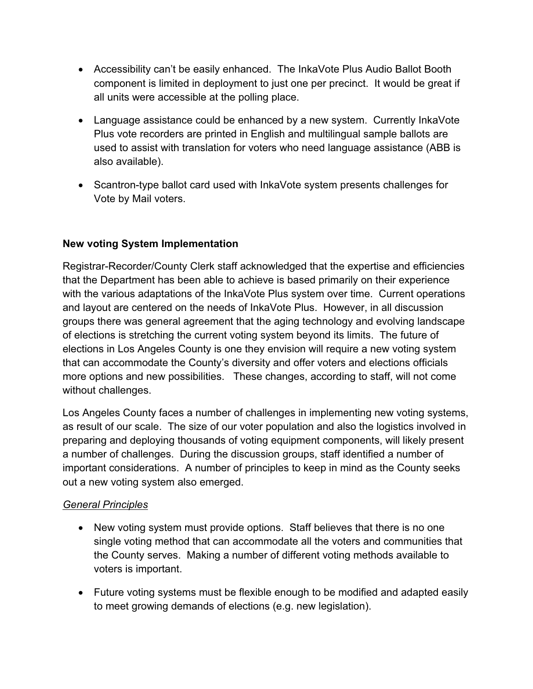- Accessibility can't be easily enhanced. The InkaVote Plus Audio Ballot Booth component is limited in deployment to just one per precinct. It would be great if all units were accessible at the polling place.
- Language assistance could be enhanced by a new system. Currently InkaVote Plus vote recorders are printed in English and multilingual sample ballots are used to assist with translation for voters who need language assistance (ABB is also available).
- Scantron-type ballot card used with InkaVote system presents challenges for Vote by Mail voters.

## **New voting System Implementation**

Registrar-Recorder/County Clerk staff acknowledged that the expertise and efficiencies that the Department has been able to achieve is based primarily on their experience with the various adaptations of the InkaVote Plus system over time. Current operations and layout are centered on the needs of InkaVote Plus. However, in all discussion groups there was general agreement that the aging technology and evolving landscape of elections is stretching the current voting system beyond its limits. The future of elections in Los Angeles County is one they envision will require a new voting system that can accommodate the County's diversity and offer voters and elections officials more options and new possibilities. These changes, according to staff, will not come without challenges.

Los Angeles County faces a number of challenges in implementing new voting systems, as result of our scale. The size of our voter population and also the logistics involved in preparing and deploying thousands of voting equipment components, will likely present a number of challenges. During the discussion groups, staff identified a number of important considerations. A number of principles to keep in mind as the County seeks out a new voting system also emerged.

## *General Principles*

- New voting system must provide options. Staff believes that there is no one single voting method that can accommodate all the voters and communities that the County serves. Making a number of different voting methods available to voters is important.
- Future voting systems must be flexible enough to be modified and adapted easily to meet growing demands of elections (e.g. new legislation).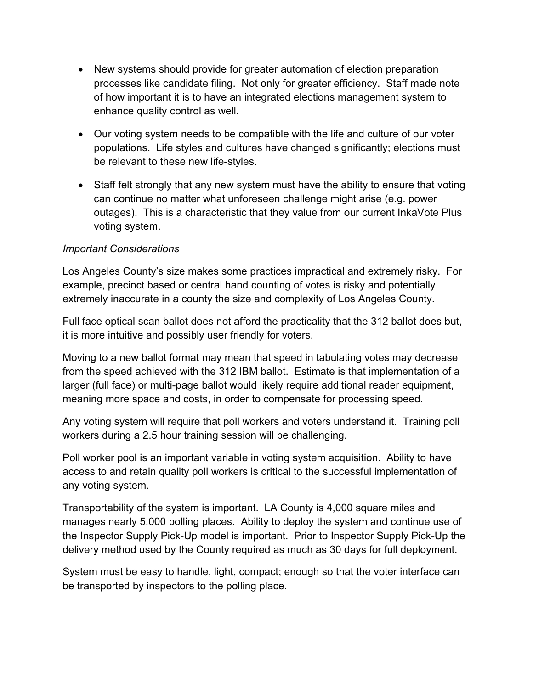- New systems should provide for greater automation of election preparation processes like candidate filing. Not only for greater efficiency. Staff made note of how important it is to have an integrated elections management system to enhance quality control as well.
- Our voting system needs to be compatible with the life and culture of our voter populations. Life styles and cultures have changed significantly; elections must be relevant to these new life-styles.
- Staff felt strongly that any new system must have the ability to ensure that voting can continue no matter what unforeseen challenge might arise (e.g. power outages). This is a characteristic that they value from our current InkaVote Plus voting system.

## *Important Considerations*

Los Angeles County's size makes some practices impractical and extremely risky. For example, precinct based or central hand counting of votes is risky and potentially extremely inaccurate in a county the size and complexity of Los Angeles County.

Full face optical scan ballot does not afford the practicality that the 312 ballot does but, it is more intuitive and possibly user friendly for voters.

Moving to a new ballot format may mean that speed in tabulating votes may decrease from the speed achieved with the 312 IBM ballot. Estimate is that implementation of a larger (full face) or multi-page ballot would likely require additional reader equipment, meaning more space and costs, in order to compensate for processing speed.

Any voting system will require that poll workers and voters understand it. Training poll workers during a 2.5 hour training session will be challenging.

Poll worker pool is an important variable in voting system acquisition. Ability to have access to and retain quality poll workers is critical to the successful implementation of any voting system.

Transportability of the system is important. LA County is 4,000 square miles and manages nearly 5,000 polling places. Ability to deploy the system and continue use of the Inspector Supply Pick-Up model is important. Prior to Inspector Supply Pick-Up the delivery method used by the County required as much as 30 days for full deployment.

System must be easy to handle, light, compact; enough so that the voter interface can be transported by inspectors to the polling place.